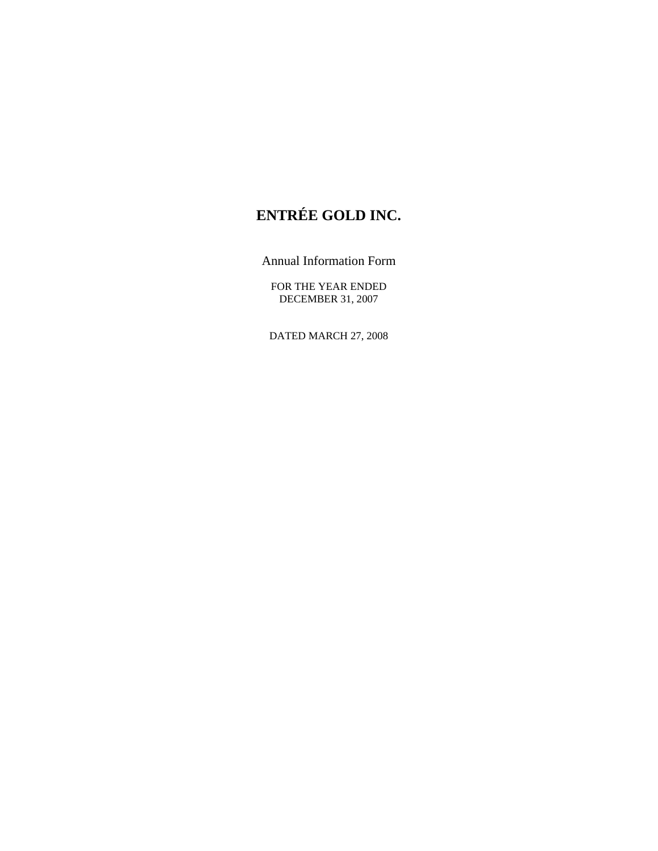# **ENTRÉE GOLD INC.**

Annual Information Form

FOR THE YEAR ENDED DECEMBER 31, 2007

DATED MARCH 27, 2008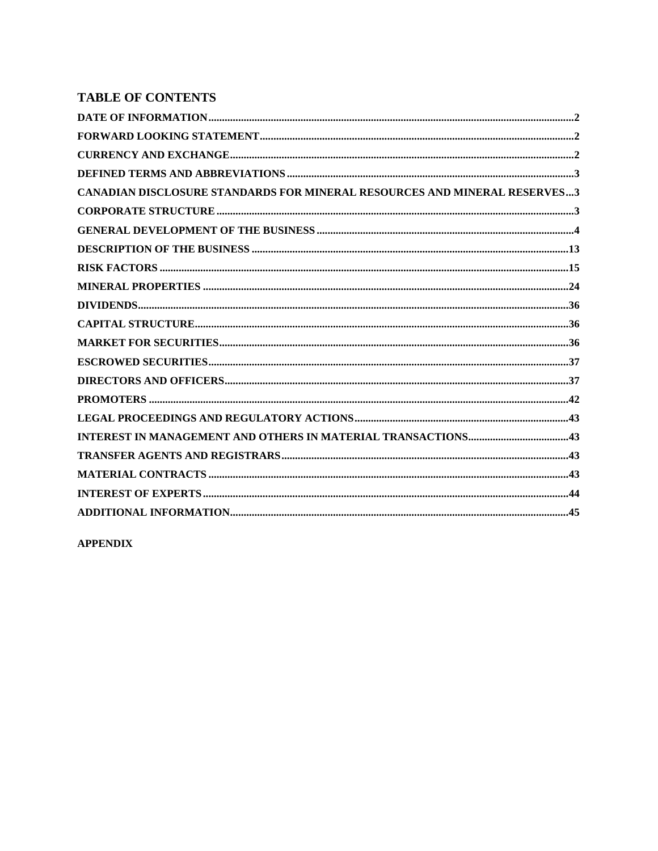# **TABLE OF CONTENTS**

**APPENDIX**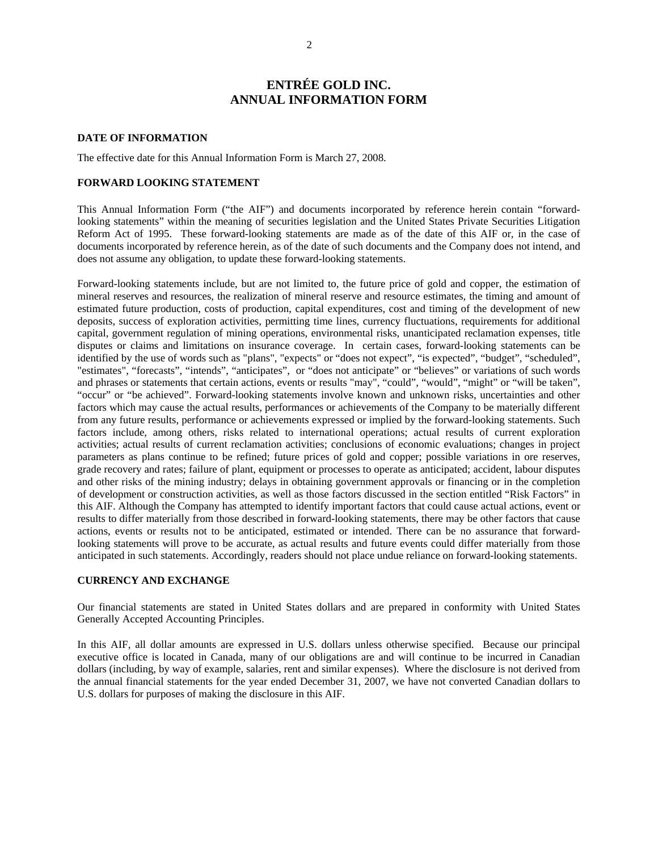# **ENTRÉE GOLD INC. ANNUAL INFORMATION FORM**

#### <span id="page-2-0"></span>**DATE OF INFORMATION**

The effective date for this Annual Information Form is March 27, 2008.

## **FORWARD LOOKING STATEMENT**

This Annual Information Form ("the AIF") and documents incorporated by reference herein contain "forwardlooking statements" within the meaning of securities legislation and the United States Private Securities Litigation Reform Act of 1995. These forward-looking statements are made as of the date of this AIF or, in the case of documents incorporated by reference herein, as of the date of such documents and the Company does not intend, and does not assume any obligation, to update these forward-looking statements.

Forward-looking statements include, but are not limited to, the future price of gold and copper, the estimation of mineral reserves and resources, the realization of mineral reserve and resource estimates, the timing and amount of estimated future production, costs of production, capital expenditures, cost and timing of the development of new deposits, success of exploration activities, permitting time lines, currency fluctuations, requirements for additional capital, government regulation of mining operations, environmental risks, unanticipated reclamation expenses, title disputes or claims and limitations on insurance coverage. In certain cases, forward-looking statements can be identified by the use of words such as "plans", "expects" or "does not expect", "is expected", "budget", "scheduled", "estimates", "forecasts", "intends", "anticipates", or "does not anticipate" or "believes" or variations of such words and phrases or statements that certain actions, events or results "may", "could", "would", "might" or "will be taken", "occur" or "be achieved". Forward-looking statements involve known and unknown risks, uncertainties and other factors which may cause the actual results, performances or achievements of the Company to be materially different from any future results, performance or achievements expressed or implied by the forward-looking statements. Such factors include, among others, risks related to international operations; actual results of current exploration activities; actual results of current reclamation activities; conclusions of economic evaluations; changes in project parameters as plans continue to be refined; future prices of gold and copper; possible variations in ore reserves, grade recovery and rates; failure of plant, equipment or processes to operate as anticipated; accident, labour disputes and other risks of the mining industry; delays in obtaining government approvals or financing or in the completion of development or construction activities, as well as those factors discussed in the section entitled "Risk Factors" in this AIF. Although the Company has attempted to identify important factors that could cause actual actions, event or results to differ materially from those described in forward-looking statements, there may be other factors that cause actions, events or results not to be anticipated, estimated or intended. There can be no assurance that forwardlooking statements will prove to be accurate, as actual results and future events could differ materially from those anticipated in such statements. Accordingly, readers should not place undue reliance on forward-looking statements.

## **CURRENCY AND EXCHANGE**

Our financial statements are stated in United States dollars and are prepared in conformity with United States Generally Accepted Accounting Principles.

In this AIF, all dollar amounts are expressed in U.S. dollars unless otherwise specified. Because our principal executive office is located in Canada, many of our obligations are and will continue to be incurred in Canadian dollars (including, by way of example, salaries, rent and similar expenses). Where the disclosure is not derived from the annual financial statements for the year ended December 31, 2007, we have not converted Canadian dollars to U.S. dollars for purposes of making the disclosure in this AIF.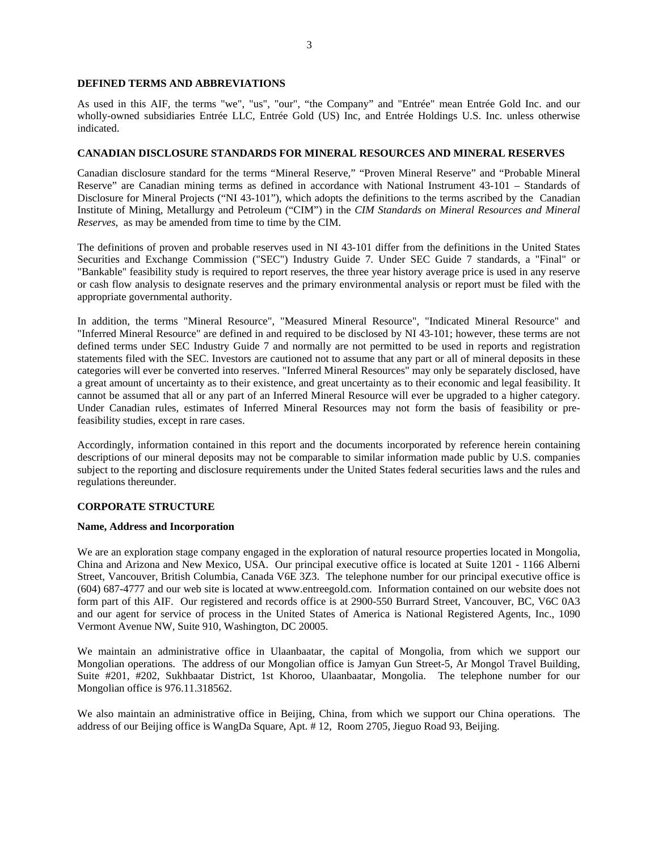#### <span id="page-3-0"></span>**DEFINED TERMS AND ABBREVIATIONS**

As used in this AIF, the terms "we", "us", "our", "the Company" and "Entrée" mean Entrée Gold Inc. and our wholly-owned subsidiaries Entrée LLC, Entrée Gold (US) Inc, and Entrée Holdings U.S. Inc. unless otherwise indicated.

#### **CANADIAN DISCLOSURE STANDARDS FOR MINERAL RESOURCES AND MINERAL RESERVES**

Canadian disclosure standard for the terms "Mineral Reserve," "Proven Mineral Reserve" and "Probable Mineral Reserve" are Canadian mining terms as defined in accordance with National Instrument 43-101 – Standards of Disclosure for Mineral Projects ("NI 43-101"), which adopts the definitions to the terms ascribed by the Canadian Institute of Mining, Metallurgy and Petroleum ("CIM") in the *CIM Standards on Mineral Resources and Mineral Reserves*, as may be amended from time to time by the CIM.

The definitions of proven and probable reserves used in NI 43-101 differ from the definitions in the United States Securities and Exchange Commission ("SEC") Industry Guide 7. Under SEC Guide 7 standards, a "Final" or "Bankable" feasibility study is required to report reserves, the three year history average price is used in any reserve or cash flow analysis to designate reserves and the primary environmental analysis or report must be filed with the appropriate governmental authority.

In addition, the terms "Mineral Resource", "Measured Mineral Resource", "Indicated Mineral Resource" and "Inferred Mineral Resource" are defined in and required to be disclosed by NI 43-101; however, these terms are not defined terms under SEC Industry Guide 7 and normally are not permitted to be used in reports and registration statements filed with the SEC. Investors are cautioned not to assume that any part or all of mineral deposits in these categories will ever be converted into reserves. "Inferred Mineral Resources" may only be separately disclosed, have a great amount of uncertainty as to their existence, and great uncertainty as to their economic and legal feasibility. It cannot be assumed that all or any part of an Inferred Mineral Resource will ever be upgraded to a higher category. Under Canadian rules, estimates of Inferred Mineral Resources may not form the basis of feasibility or prefeasibility studies, except in rare cases.

Accordingly, information contained in this report and the documents incorporated by reference herein containing descriptions of our mineral deposits may not be comparable to similar information made public by U.S. companies subject to the reporting and disclosure requirements under the United States federal securities laws and the rules and regulations thereunder.

#### **CORPORATE STRUCTURE**

#### **Name, Address and Incorporation**

We are an exploration stage company engaged in the exploration of natural resource properties located in Mongolia, China and Arizona and New Mexico, USA. Our principal executive office is located at Suite 1201 - 1166 Alberni Street, Vancouver, British Columbia, Canada V6E 3Z3. The telephone number for our principal executive office is (604) 687-4777 and our web site is located at www.entreegold.com. Information contained on our website does not form part of this AIF. Our registered and records office is at 2900-550 Burrard Street, Vancouver, BC, V6C 0A3 and our agent for service of process in the United States of America is National Registered Agents, Inc., 1090 Vermont Avenue NW, Suite 910, Washington, DC 20005.

We maintain an administrative office in Ulaanbaatar, the capital of Mongolia, from which we support our Mongolian operations. The address of our Mongolian office is Jamyan Gun Street-5, Ar Mongol Travel Building, Suite #201, #202, Sukhbaatar District, 1st Khoroo, Ulaanbaatar, Mongolia. The telephone number for our Mongolian office is 976.11.318562.

We also maintain an administrative office in Beijing, China, from which we support our China operations. The address of our Beijing office is WangDa Square, Apt. # 12, Room 2705, Jieguo Road 93, Beijing.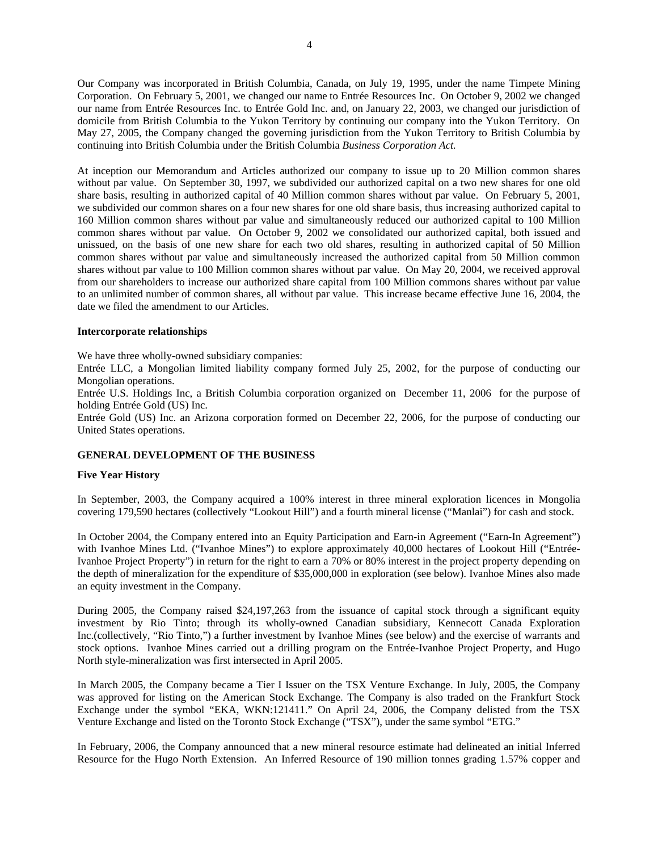<span id="page-4-0"></span>Our Company was incorporated in British Columbia, Canada, on July 19, 1995, under the name Timpete Mining Corporation. On February 5, 2001, we changed our name to Entrée Resources Inc. On October 9, 2002 we changed our name from Entrée Resources Inc. to Entrée Gold Inc. and, on January 22, 2003, we changed our jurisdiction of domicile from British Columbia to the Yukon Territory by continuing our company into the Yukon Territory. On May 27, 2005, the Company changed the governing jurisdiction from the Yukon Territory to British Columbia by continuing into British Columbia under the British Columbia *Business Corporation Act.*

At inception our Memorandum and Articles authorized our company to issue up to 20 Million common shares without par value. On September 30, 1997, we subdivided our authorized capital on a two new shares for one old share basis, resulting in authorized capital of 40 Million common shares without par value. On February 5, 2001, we subdivided our common shares on a four new shares for one old share basis, thus increasing authorized capital to 160 Million common shares without par value and simultaneously reduced our authorized capital to 100 Million common shares without par value. On October 9, 2002 we consolidated our authorized capital, both issued and unissued, on the basis of one new share for each two old shares, resulting in authorized capital of 50 Million common shares without par value and simultaneously increased the authorized capital from 50 Million common shares without par value to 100 Million common shares without par value. On May 20, 2004, we received approval from our shareholders to increase our authorized share capital from 100 Million commons shares without par value to an unlimited number of common shares, all without par value. This increase became effective June 16, 2004, the date we filed the amendment to our Articles.

#### **Intercorporate relationships**

We have three wholly-owned subsidiary companies:

Entrée LLC, a Mongolian limited liability company formed July 25, 2002, for the purpose of conducting our Mongolian operations.

Entrée U.S. Holdings Inc, a British Columbia corporation organized on December 11, 2006 for the purpose of holding Entrée Gold (US) Inc.

Entrée Gold (US) Inc. an Arizona corporation formed on December 22, 2006, for the purpose of conducting our United States operations.

#### **GENERAL DEVELOPMENT OF THE BUSINESS**

## **Five Year History**

In September, 2003, the Company acquired a 100% interest in three mineral exploration licences in Mongolia covering 179,590 hectares (collectively "Lookout Hill") and a fourth mineral license ("Manlai") for cash and stock.

In October 2004, the Company entered into an Equity Participation and Earn-in Agreement ("Earn-In Agreement") with Ivanhoe Mines Ltd. ("Ivanhoe Mines") to explore approximately 40,000 hectares of Lookout Hill ("Entrée-Ivanhoe Project Property") in return for the right to earn a 70% or 80% interest in the project property depending on the depth of mineralization for the expenditure of \$35,000,000 in exploration (see below). Ivanhoe Mines also made an equity investment in the Company.

During 2005, the Company raised \$24,197,263 from the issuance of capital stock through a significant equity investment by Rio Tinto; through its wholly-owned Canadian subsidiary, Kennecott Canada Exploration Inc.(collectively, "Rio Tinto,") a further investment by Ivanhoe Mines (see below) and the exercise of warrants and stock options. Ivanhoe Mines carried out a drilling program on the Entrée-Ivanhoe Project Property, and Hugo North style-mineralization was first intersected in April 2005.

In March 2005, the Company became a Tier I Issuer on the TSX Venture Exchange. In July, 2005, the Company was approved for listing on the American Stock Exchange. The Company is also traded on the Frankfurt Stock Exchange under the symbol "EKA, WKN:121411." On April 24, 2006, the Company delisted from the TSX Venture Exchange and listed on the Toronto Stock Exchange ("TSX"), under the same symbol "ETG."

In February, 2006, the Company announced that a new mineral resource estimate had delineated an initial Inferred Resource for the Hugo North Extension. An Inferred Resource of 190 million tonnes grading 1.57% copper and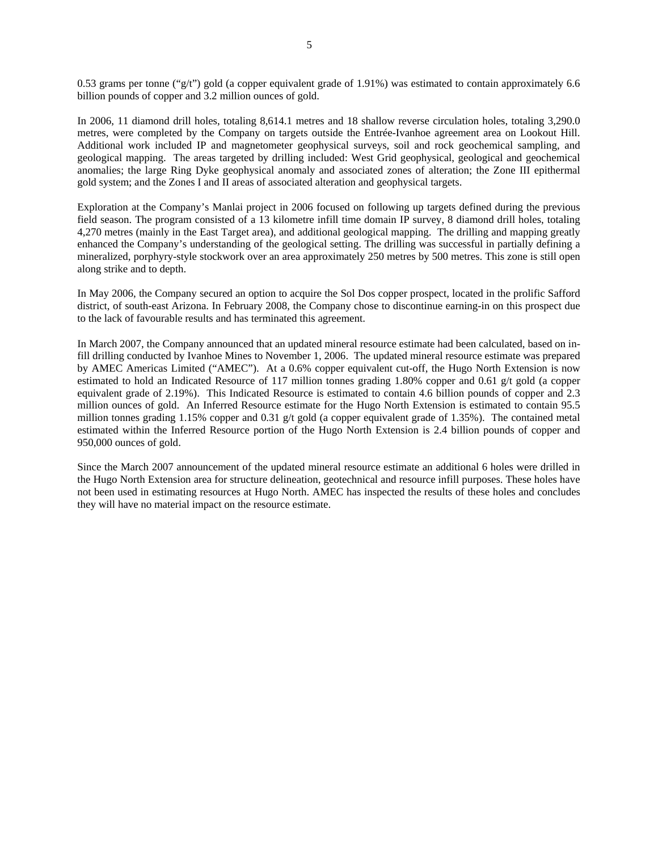0.53 grams per tonne ("g/t") gold (a copper equivalent grade of 1.91%) was estimated to contain approximately 6.6 billion pounds of copper and 3.2 million ounces of gold.

In 2006, 11 diamond drill holes, totaling 8,614.1 metres and 18 shallow reverse circulation holes, totaling 3,290.0 metres, were completed by the Company on targets outside the Entrée-Ivanhoe agreement area on Lookout Hill. Additional work included IP and magnetometer geophysical surveys, soil and rock geochemical sampling, and geological mapping. The areas targeted by drilling included: West Grid geophysical, geological and geochemical anomalies; the large Ring Dyke geophysical anomaly and associated zones of alteration; the Zone III epithermal gold system; and the Zones I and II areas of associated alteration and geophysical targets.

Exploration at the Company's Manlai project in 2006 focused on following up targets defined during the previous field season. The program consisted of a 13 kilometre infill time domain IP survey, 8 diamond drill holes, totaling 4,270 metres (mainly in the East Target area), and additional geological mapping. The drilling and mapping greatly enhanced the Company's understanding of the geological setting. The drilling was successful in partially defining a mineralized, porphyry-style stockwork over an area approximately 250 metres by 500 metres. This zone is still open along strike and to depth.

In May 2006, the Company secured an option to acquire the Sol Dos copper prospect, located in the prolific Safford district, of south-east Arizona. In February 2008, the Company chose to discontinue earning-in on this prospect due to the lack of favourable results and has terminated this agreement.

In March 2007, the Company announced that an updated mineral resource estimate had been calculated, based on infill drilling conducted by Ivanhoe Mines to November 1, 2006. The updated mineral resource estimate was prepared by AMEC Americas Limited ("AMEC"). At a 0.6% copper equivalent cut-off, the Hugo North Extension is now estimated to hold an Indicated Resource of 117 million tonnes grading 1.80% copper and 0.61 g/t gold (a copper equivalent grade of 2.19%). This Indicated Resource is estimated to contain 4.6 billion pounds of copper and 2.3 million ounces of gold. An Inferred Resource estimate for the Hugo North Extension is estimated to contain 95.5 million tonnes grading 1.15% copper and 0.31 g/t gold (a copper equivalent grade of 1.35%). The contained metal estimated within the Inferred Resource portion of the Hugo North Extension is 2.4 billion pounds of copper and 950,000 ounces of gold.

Since the March 2007 announcement of the updated mineral resource estimate an additional 6 holes were drilled in the Hugo North Extension area for structure delineation, geotechnical and resource infill purposes. These holes have not been used in estimating resources at Hugo North. AMEC has inspected the results of these holes and concludes they will have no material impact on the resource estimate.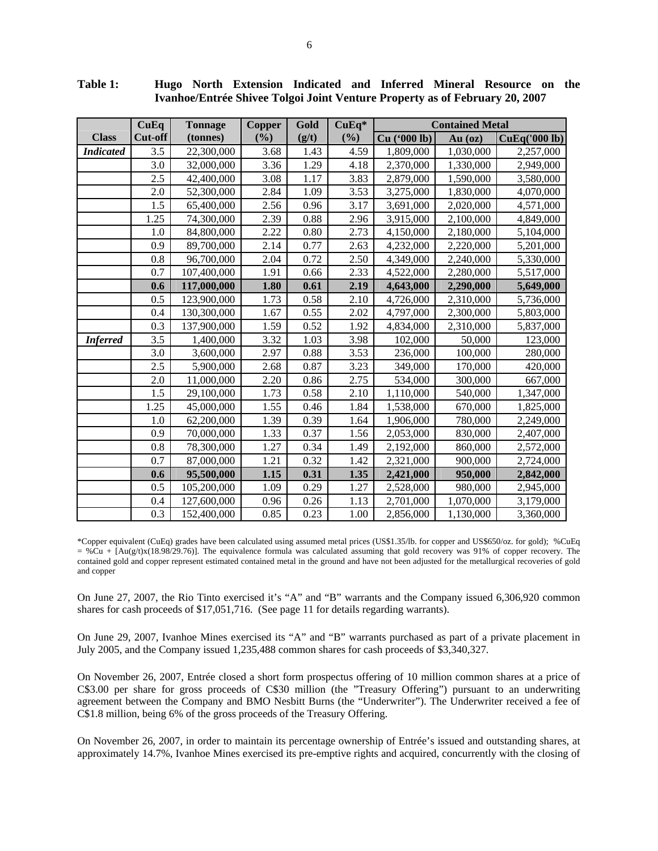|                  | CuEq    | <b>Tonnage</b> | Copper | Gold  | CuEq*  | <b>Contained Metal</b> |           |               |
|------------------|---------|----------------|--------|-------|--------|------------------------|-----------|---------------|
| <b>Class</b>     | Cut-off | (tonnes)       | (%)    | (g/t) | $(\%)$ | Cu ('000 lb)           | $Au$ (oz) | CuEq('000 lb) |
| <b>Indicated</b> | 3.5     | 22,300,000     | 3.68   | 1.43  | 4.59   | 1,809,000              | 1,030,000 | 2,257,000     |
|                  | 3.0     | 32,000,000     | 3.36   | 1.29  | 4.18   | 2,370,000              | 1,330,000 | 2,949,000     |
|                  | 2.5     | 42,400,000     | 3.08   | 1.17  | 3.83   | 2,879,000              | 1,590,000 | 3,580,000     |
|                  | 2.0     | 52,300,000     | 2.84   | 1.09  | 3.53   | 3,275,000              | 1,830,000 | 4,070,000     |
|                  | 1.5     | 65,400,000     | 2.56   | 0.96  | 3.17   | 3,691,000              | 2,020,000 | 4,571,000     |
|                  | 1.25    | 74,300,000     | 2.39   | 0.88  | 2.96   | 3,915,000              | 2,100,000 | 4,849,000     |
|                  | 1.0     | 84,800,000     | 2.22   | 0.80  | 2.73   | 4,150,000              | 2,180,000 | 5,104,000     |
|                  | 0.9     | 89,700,000     | 2.14   | 0.77  | 2.63   | 4,232,000              | 2,220,000 | 5,201,000     |
|                  | 0.8     | 96,700,000     | 2.04   | 0.72  | 2.50   | 4,349,000              | 2,240,000 | 5,330,000     |
|                  | 0.7     | 107,400,000    | 1.91   | 0.66  | 2.33   | 4,522,000              | 2,280,000 | 5,517,000     |
|                  | 0.6     | 117,000,000    | 1.80   | 0.61  | 2.19   | 4,643,000              | 2,290,000 | 5,649,000     |
|                  | 0.5     | 123,900,000    | 1.73   | 0.58  | 2.10   | 4,726,000              | 2,310,000 | 5,736,000     |
|                  | 0.4     | 130,300,000    | 1.67   | 0.55  | 2.02   | 4,797,000              | 2,300,000 | 5,803,000     |
|                  | 0.3     | 137,900,000    | 1.59   | 0.52  | 1.92   | 4,834,000              | 2,310,000 | 5,837,000     |
| <b>Inferred</b>  | 3.5     | 1,400,000      | 3.32   | 1.03  | 3.98   | 102,000                | 50,000    | 123,000       |
|                  | 3.0     | 3,600,000      | 2.97   | 0.88  | 3.53   | 236,000                | 100,000   | 280,000       |
|                  | 2.5     | 5,900,000      | 2.68   | 0.87  | 3.23   | 349,000                | 170,000   | 420,000       |
|                  | 2.0     | 11,000,000     | 2.20   | 0.86  | 2.75   | 534,000                | 300,000   | 667,000       |
|                  | 1.5     | 29,100,000     | 1.73   | 0.58  | 2.10   | 1,110,000              | 540,000   | 1,347,000     |
|                  | 1.25    | 45,000,000     | 1.55   | 0.46  | 1.84   | 1,538,000              | 670,000   | 1,825,000     |
|                  | 1.0     | 62,200,000     | 1.39   | 0.39  | 1.64   | 1,906,000              | 780,000   | 2,249,000     |
|                  | 0.9     | 70,000,000     | 1.33   | 0.37  | 1.56   | 2,053,000              | 830,000   | 2,407,000     |
|                  | 0.8     | 78,300,000     | 1.27   | 0.34  | 1.49   | 2,192,000              | 860,000   | 2,572,000     |
|                  | 0.7     | 87,000,000     | 1.21   | 0.32  | 1.42   | 2,321,000              | 900,000   | 2,724,000     |
|                  | 0.6     | 95,500,000     | 1.15   | 0.31  | 1.35   | 2,421,000              | 950,000   | 2,842,000     |
|                  | 0.5     | 105,200,000    | 1.09   | 0.29  | 1.27   | 2,528,000              | 980,000   | 2,945,000     |
|                  | 0.4     | 127,600,000    | 0.96   | 0.26  | 1.13   | 2,701,000              | 1,070,000 | 3,179,000     |
|                  | 0.3     | 152,400,000    | 0.85   | 0.23  | 1.00   | 2,856,000              | 1,130,000 | 3,360,000     |

**Table 1: Hugo North Extension Indicated and Inferred Mineral Resource on the Ivanhoe/Entrée Shivee Tolgoi Joint Venture Property as of February 20, 2007** 

\*Copper equivalent (CuEq) grades have been calculated using assumed metal prices (US\$1.35/lb. for copper and US\$650/oz. for gold); %CuEq  $= %$ Cu + [Au(g/t)x(18.98/29.76)]. The equivalence formula was calculated assuming that gold recovery was 91% of copper recovery. The contained gold and copper represent estimated contained metal in the ground and have not been adjusted for the metallurgical recoveries of gold and copper

On June 27, 2007, the Rio Tinto exercised it's "A" and "B" warrants and the Company issued 6,306,920 common shares for cash proceeds of \$17,051,716. (See page 11 for details regarding warrants).

On June 29, 2007, Ivanhoe Mines exercised its "A" and "B" warrants purchased as part of a private placement in July 2005, and the Company issued 1,235,488 common shares for cash proceeds of \$3,340,327.

On November 26, 2007, Entrée closed a short form prospectus offering of 10 million common shares at a price of C\$3.00 per share for gross proceeds of C\$30 million (the "Treasury Offering") pursuant to an underwriting agreement between the Company and BMO Nesbitt Burns (the "Underwriter"). The Underwriter received a fee of C\$1.8 million, being 6% of the gross proceeds of the Treasury Offering.

On November 26, 2007, in order to maintain its percentage ownership of Entrée's issued and outstanding shares, at approximately 14.7%, Ivanhoe Mines exercised its pre-emptive rights and acquired, concurrently with the closing of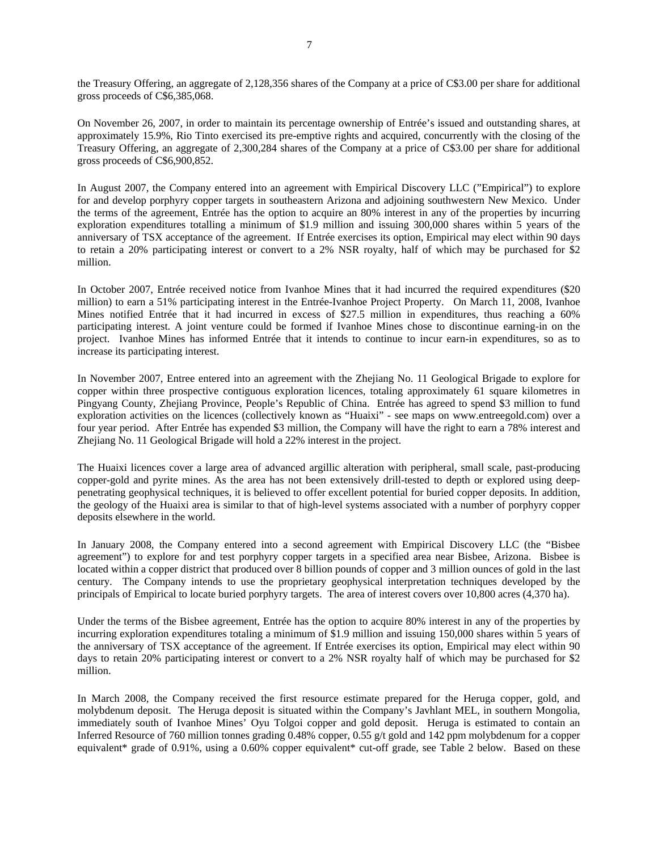the Treasury Offering, an aggregate of 2,128,356 shares of the Company at a price of C\$3.00 per share for additional gross proceeds of C\$6,385,068.

On November 26, 2007, in order to maintain its percentage ownership of Entrée's issued and outstanding shares, at approximately 15.9%, Rio Tinto exercised its pre-emptive rights and acquired, concurrently with the closing of the Treasury Offering, an aggregate of 2,300,284 shares of the Company at a price of C\$3.00 per share for additional gross proceeds of C\$6,900,852.

In August 2007, the Company entered into an agreement with Empirical Discovery LLC ("Empirical") to explore for and develop porphyry copper targets in southeastern Arizona and adjoining southwestern New Mexico. Under the terms of the agreement, Entrée has the option to acquire an 80% interest in any of the properties by incurring exploration expenditures totalling a minimum of \$1.9 million and issuing 300,000 shares within 5 years of the anniversary of TSX acceptance of the agreement. If Entrée exercises its option, Empirical may elect within 90 days to retain a 20% participating interest or convert to a 2% NSR royalty, half of which may be purchased for \$2 million.

In October 2007, Entrée received notice from Ivanhoe Mines that it had incurred the required expenditures (\$20 million) to earn a 51% participating interest in the Entrée-Ivanhoe Project Property. On March 11, 2008, Ivanhoe Mines notified Entrée that it had incurred in excess of \$27.5 million in expenditures, thus reaching a 60% participating interest. A joint venture could be formed if Ivanhoe Mines chose to discontinue earning-in on the project. Ivanhoe Mines has informed Entrée that it intends to continue to incur earn-in expenditures, so as to increase its participating interest.

In November 2007, Entree entered into an agreement with the Zhejiang No. 11 Geological Brigade to explore for copper within three prospective contiguous exploration licences, totaling approximately 61 square kilometres in Pingyang County, Zhejiang Province, People's Republic of China. Entrée has agreed to spend \$3 million to fund exploration activities on the licences (collectively known as "Huaixi" - see maps on [www.entreegold.com\)](http://www.entreegold.com/) over a four year period. After Entrée has expended \$3 million, the Company will have the right to earn a 78% interest and Zhejiang No. 11 Geological Brigade will hold a 22% interest in the project.

The Huaixi licences cover a large area of advanced argillic alteration with peripheral, small scale, past-producing copper-gold and pyrite mines. As the area has not been extensively drill-tested to depth or explored using deeppenetrating geophysical techniques, it is believed to offer excellent potential for buried copper deposits. In addition, the geology of the Huaixi area is similar to that of high-level systems associated with a number of porphyry copper deposits elsewhere in the world.

In January 2008, the Company entered into a second agreement with Empirical Discovery LLC (the "Bisbee agreement") to explore for and test porphyry copper targets in a specified area near Bisbee, Arizona. Bisbee is located within a copper district that produced over 8 billion pounds of copper and 3 million ounces of gold in the last century. The Company intends to use the proprietary geophysical interpretation techniques developed by the principals of Empirical to locate buried porphyry targets. The area of interest covers over 10,800 acres (4,370 ha).

Under the terms of the Bisbee agreement, Entrée has the option to acquire 80% interest in any of the properties by incurring exploration expenditures totaling a minimum of \$1.9 million and issuing 150,000 shares within 5 years of the anniversary of TSX acceptance of the agreement. If Entrée exercises its option, Empirical may elect within 90 days to retain 20% participating interest or convert to a 2% NSR royalty half of which may be purchased for \$2 million.

In March 2008, the Company received the first resource estimate prepared for the Heruga copper, gold, and molybdenum deposit. The Heruga deposit is situated within the Company's Javhlant MEL, in southern Mongolia, immediately south of Ivanhoe Mines' Oyu Tolgoi copper and gold deposit. Heruga is estimated to contain an Inferred Resource of 760 million tonnes grading 0.48% copper, 0.55 g/t gold and 142 ppm molybdenum for a copper equivalent\* grade of 0.91%, using a 0.60% copper equivalent\* cut-off grade, see Table 2 below. Based on these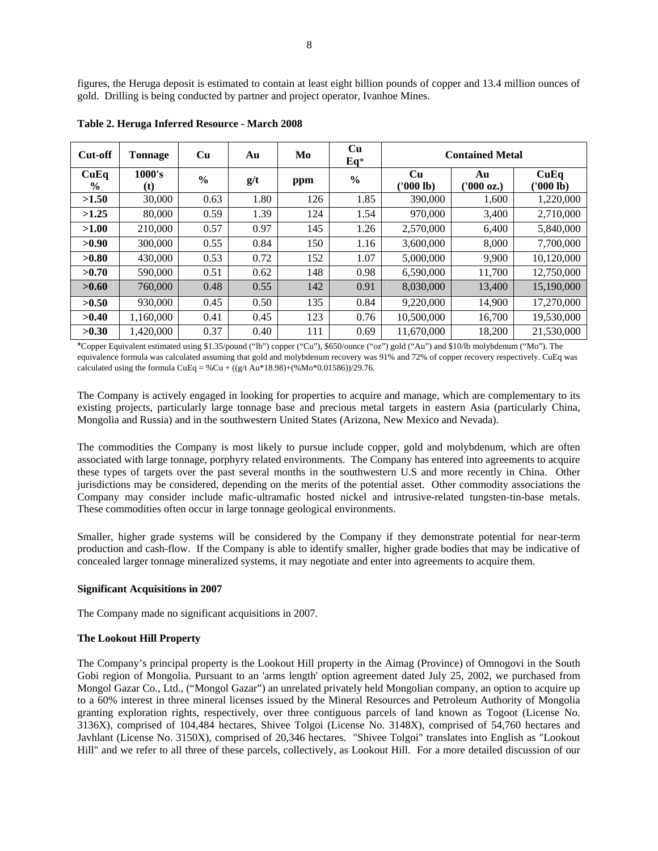figures, the Heruga deposit is estimated to contain at least eight billion pounds of copper and 13.4 million ounces of gold. Drilling is being conducted by partner and project operator, Ivanhoe Mines.

| Cut-off               | <b>Tonnage</b> | Cu            | Au   | Mo  | Cu<br>$Eq*$   | <b>Contained Metal</b> |                  |                   |
|-----------------------|----------------|---------------|------|-----|---------------|------------------------|------------------|-------------------|
| CuEq<br>$\frac{6}{9}$ | 1000's<br>(t)  | $\frac{0}{0}$ | g/t  | ppm | $\frac{6}{6}$ | Cu<br>('000 lb)        | Au<br>('000 oz.) | CuEq<br>(1000 lb) |
| >1.50                 | 30,000         | 0.63          | 1.80 | 126 | 1.85          | 390,000                | 1,600            | 1,220,000         |
| >1.25                 | 80,000         | 0.59          | 1.39 | 124 | 1.54          | 970,000                | 3,400            | 2.710.000         |
| >1.00                 | 210,000        | 0.57          | 0.97 | 145 | 1.26          | 2,570,000              | 6,400            | 5,840,000         |
| >0.90                 | 300,000        | 0.55          | 0.84 | 150 | 1.16          | 3.600.000              | 8,000            | 7.700.000         |
| >0.80                 | 430,000        | 0.53          | 0.72 | 152 | 1.07          | 5,000,000              | 9,900            | 10,120,000        |
| >0.70                 | 590,000        | 0.51          | 0.62 | 148 | 0.98          | 6.590,000              | 11,700           | 12,750,000        |
| >0.60                 | 760,000        | 0.48          | 0.55 | 142 | 0.91          | 8,030,000              | 13,400           | 15,190,000        |
| >0.50                 | 930,000        | 0.45          | 0.50 | 135 | 0.84          | 9,220,000              | 14,900           | 17,270,000        |
| >0.40                 | 1.160.000      | 0.41          | 0.45 | 123 | 0.76          | 10.500,000             | 16.700           | 19,530,000        |
| >0.30                 | 1,420,000      | 0.37          | 0.40 | 111 | 0.69          | 11,670,000             | 18,200           | 21,530,000        |

**Table 2. Heruga Inferred Resource - March 2008** 

\*Copper Equivalent estimated using \$1.35/pound ("lb") copper ("Cu"), \$650/ounce ("oz") gold ("Au") and \$10/lb molybdenum ("Mo"). The equivalence formula was calculated assuming that gold and molybdenum recovery was 91% and 72% of copper recovery respectively. CuEq was calculated using the formula CuEq = %Cu + ((g/t Au\*18.98)+(%Mo\*0.01586))/29.76.

The Company is actively engaged in looking for properties to acquire and manage, which are complementary to its existing projects, particularly large tonnage base and precious metal targets in eastern Asia (particularly China, Mongolia and Russia) and in the southwestern United States (Arizona, New Mexico and Nevada).

The commodities the Company is most likely to pursue include copper, gold and molybdenum, which are often associated with large tonnage, porphyry related environments. The Company has entered into agreements to acquire these types of targets over the past several months in the southwestern U.S and more recently in China. Other jurisdictions may be considered, depending on the merits of the potential asset. Other commodity associations the Company may consider include mafic-ultramafic hosted nickel and intrusive-related tungsten-tin-base metals. These commodities often occur in large tonnage geological environments.

Smaller, higher grade systems will be considered by the Company if they demonstrate potential for near-term production and cash-flow. If the Company is able to identify smaller, higher grade bodies that may be indicative of concealed larger tonnage mineralized systems, it may negotiate and enter into agreements to acquire them.

#### **Significant Acquisitions in 2007**

The Company made no significant acquisitions in 2007.

#### **The Lookout Hill Property**

The Company's principal property is the Lookout Hill property in the Aimag (Province) of Omnogovi in the South Gobi region of Mongolia. Pursuant to an 'arms length' option agreement dated July 25, 2002, we purchased from Mongol Gazar Co., Ltd., ("Mongol Gazar") an unrelated privately held Mongolian company, an option to acquire up to a 60% interest in three mineral licenses issued by the Mineral Resources and Petroleum Authority of Mongolia granting exploration rights, respectively, over three contiguous parcels of land known as Togoot (License No. 3136X), comprised of 104,484 hectares, Shivee Tolgoi (License No. 3148X), comprised of 54,760 hectares and Javhlant (License No. 3150X), comprised of 20,346 hectares. "Shivee Tolgoi" translates into English as "Lookout Hill" and we refer to all three of these parcels, collectively, as Lookout Hill. For a more detailed discussion of our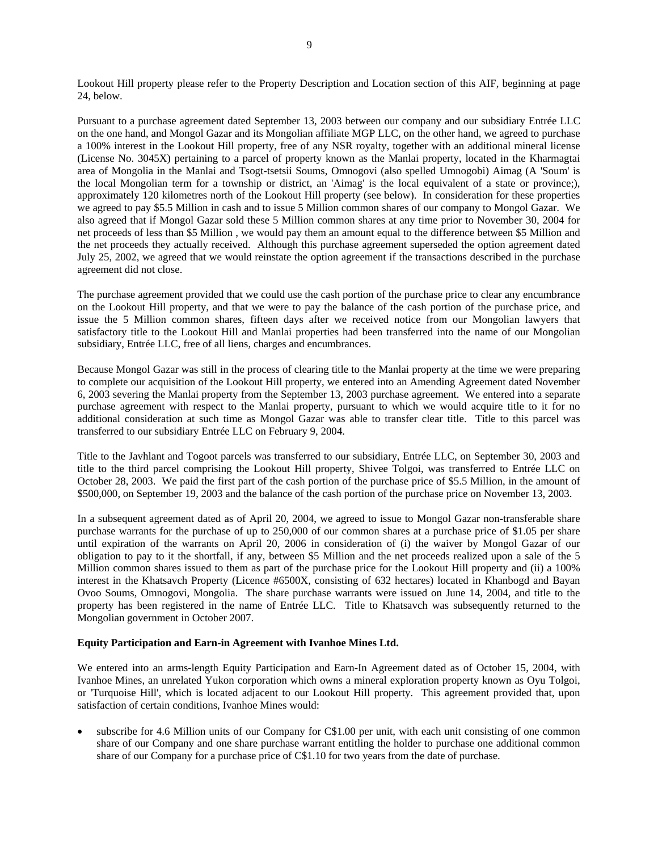Lookout Hill property please refer to the Property Description and Location section of this AIF, beginning at page 24, below.

Pursuant to a purchase agreement dated September 13, 2003 between our company and our subsidiary Entrée LLC on the one hand, and Mongol Gazar and its Mongolian affiliate MGP LLC, on the other hand, we agreed to purchase a 100% interest in the Lookout Hill property, free of any NSR royalty, together with an additional mineral license (License No. 3045X) pertaining to a parcel of property known as the Manlai property, located in the Kharmagtai area of Mongolia in the Manlai and Tsogt-tsetsii Soums, Omnogovi (also spelled Umnogobi) Aimag (A 'Soum' is the local Mongolian term for a township or district, an 'Aimag' is the local equivalent of a state or province;), approximately 120 kilometres north of the Lookout Hill property (see below). In consideration for these properties we agreed to pay \$5.5 Million in cash and to issue 5 Million common shares of our company to Mongol Gazar. We also agreed that if Mongol Gazar sold these 5 Million common shares at any time prior to November 30, 2004 for net proceeds of less than \$5 Million , we would pay them an amount equal to the difference between \$5 Million and the net proceeds they actually received. Although this purchase agreement superseded the option agreement dated July 25, 2002, we agreed that we would reinstate the option agreement if the transactions described in the purchase agreement did not close.

The purchase agreement provided that we could use the cash portion of the purchase price to clear any encumbrance on the Lookout Hill property, and that we were to pay the balance of the cash portion of the purchase price, and issue the 5 Million common shares, fifteen days after we received notice from our Mongolian lawyers that satisfactory title to the Lookout Hill and Manlai properties had been transferred into the name of our Mongolian subsidiary, Entrée LLC, free of all liens, charges and encumbrances.

Because Mongol Gazar was still in the process of clearing title to the Manlai property at the time we were preparing to complete our acquisition of the Lookout Hill property, we entered into an Amending Agreement dated November 6, 2003 severing the Manlai property from the September 13, 2003 purchase agreement. We entered into a separate purchase agreement with respect to the Manlai property, pursuant to which we would acquire title to it for no additional consideration at such time as Mongol Gazar was able to transfer clear title. Title to this parcel was transferred to our subsidiary Entrée LLC on February 9, 2004.

Title to the Javhlant and Togoot parcels was transferred to our subsidiary, Entrée LLC, on September 30, 2003 and title to the third parcel comprising the Lookout Hill property, Shivee Tolgoi, was transferred to Entrée LLC on October 28, 2003. We paid the first part of the cash portion of the purchase price of \$5.5 Million, in the amount of \$500,000, on September 19, 2003 and the balance of the cash portion of the purchase price on November 13, 2003.

In a subsequent agreement dated as of April 20, 2004, we agreed to issue to Mongol Gazar non-transferable share purchase warrants for the purchase of up to 250,000 of our common shares at a purchase price of \$1.05 per share until expiration of the warrants on April 20, 2006 in consideration of (i) the waiver by Mongol Gazar of our obligation to pay to it the shortfall, if any, between \$5 Million and the net proceeds realized upon a sale of the 5 Million common shares issued to them as part of the purchase price for the Lookout Hill property and (ii) a 100% interest in the Khatsavch Property (Licence #6500X, consisting of 632 hectares) located in Khanbogd and Bayan Ovoo Soums, Omnogovi, Mongolia. The share purchase warrants were issued on June 14, 2004, and title to the property has been registered in the name of Entrée LLC. Title to Khatsavch was subsequently returned to the Mongolian government in October 2007.

#### **Equity Participation and Earn-in Agreement with Ivanhoe Mines Ltd.**

We entered into an arms-length Equity Participation and Earn-In Agreement dated as of October 15, 2004, with Ivanhoe Mines, an unrelated Yukon corporation which owns a mineral exploration property known as Oyu Tolgoi, or 'Turquoise Hill', which is located adjacent to our Lookout Hill property. This agreement provided that, upon satisfaction of certain conditions, Ivanhoe Mines would:

subscribe for 4.6 Million units of our Company for C\$1.00 per unit, with each unit consisting of one common share of our Company and one share purchase warrant entitling the holder to purchase one additional common share of our Company for a purchase price of C\$1.10 for two years from the date of purchase.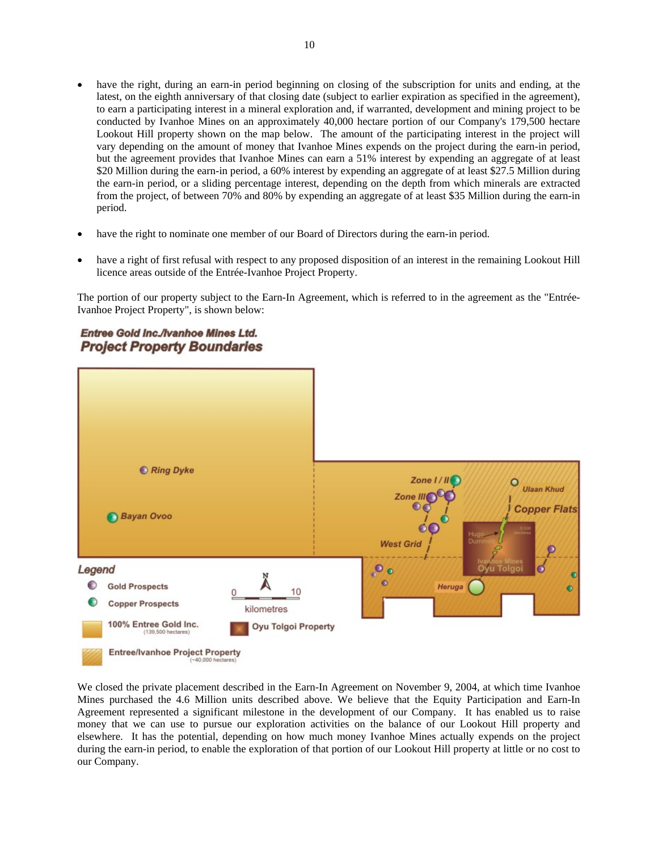- have the right, during an earn-in period beginning on closing of the subscription for units and ending, at the latest, on the eighth anniversary of that closing date (subject to earlier expiration as specified in the agreement), to earn a participating interest in a mineral exploration and, if warranted, development and mining project to be conducted by Ivanhoe Mines on an approximately 40,000 hectare portion of our Company's 179,500 hectare Lookout Hill property shown on the map below. The amount of the participating interest in the project will vary depending on the amount of money that Ivanhoe Mines expends on the project during the earn-in period, but the agreement provides that Ivanhoe Mines can earn a 51% interest by expending an aggregate of at least \$20 Million during the earn-in period, a 60% interest by expending an aggregate of at least \$27.5 Million during the earn-in period, or a sliding percentage interest, depending on the depth from which minerals are extracted from the project, of between 70% and 80% by expending an aggregate of at least \$35 Million during the earn-in period.
- have the right to nominate one member of our Board of Directors during the earn-in period.
- have a right of first refusal with respect to any proposed disposition of an interest in the remaining Lookout Hill licence areas outside of the Entrée-Ivanhoe Project Property.

The portion of our property subject to the Earn-In Agreement, which is referred to in the agreement as the "Entrée-Ivanhoe Project Property", is shown below:





We closed the private placement described in the Earn-In Agreement on November 9, 2004, at which time Ivanhoe Mines purchased the 4.6 Million units described above. We believe that the Equity Participation and Earn-In Agreement represented a significant milestone in the development of our Company. It has enabled us to raise money that we can use to pursue our exploration activities on the balance of our Lookout Hill property and elsewhere. It has the potential, depending on how much money Ivanhoe Mines actually expends on the project during the earn-in period, to enable the exploration of that portion of our Lookout Hill property at little or no cost to our Company.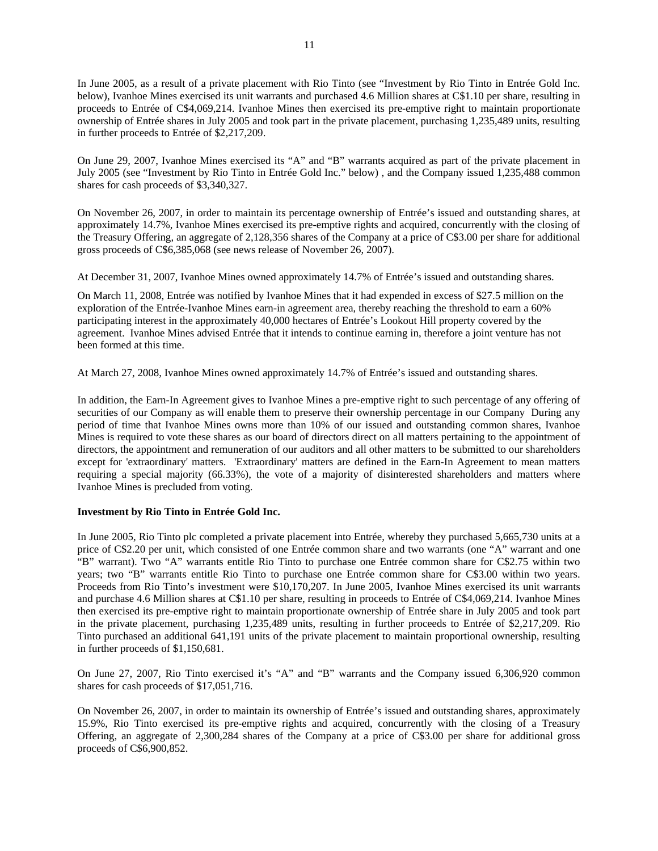In June 2005, as a result of a private placement with Rio Tinto (see "Investment by Rio Tinto in Entrée Gold Inc. below), Ivanhoe Mines exercised its unit warrants and purchased 4.6 Million shares at C\$1.10 per share, resulting in proceeds to Entrée of C\$4,069,214. Ivanhoe Mines then exercised its pre-emptive right to maintain proportionate ownership of Entrée shares in July 2005 and took part in the private placement, purchasing 1,235,489 units, resulting in further proceeds to Entrée of \$2,217,209.

On June 29, 2007, Ivanhoe Mines exercised its "A" and "B" warrants acquired as part of the private placement in July 2005 (see "Investment by Rio Tinto in Entrée Gold Inc." below) , and the Company issued 1,235,488 common shares for cash proceeds of \$3,340,327.

On November 26, 2007, in order to maintain its percentage ownership of Entrée's issued and outstanding shares, at approximately 14.7%, Ivanhoe Mines exercised its pre-emptive rights and acquired, concurrently with the closing of the Treasury Offering, an aggregate of 2,128,356 shares of the Company at a price of C\$3.00 per share for additional gross proceeds of C\$6,385,068 (see news release of November 26, 2007).

At December 31, 2007, Ivanhoe Mines owned approximately 14.7% of Entrée's issued and outstanding shares.

On March 11, 2008, Entrée was notified by Ivanhoe Mines that it had expended in excess of \$27.5 million on the exploration of the Entrée-Ivanhoe Mines earn-in agreement area, thereby reaching the threshold to earn a 60% participating interest in the approximately 40,000 hectares of Entrée's Lookout Hill property covered by the agreement. Ivanhoe Mines advised Entrée that it intends to continue earning in, therefore a joint venture has not been formed at this time.

At March 27, 2008, Ivanhoe Mines owned approximately 14.7% of Entrée's issued and outstanding shares.

In addition, the Earn-In Agreement gives to Ivanhoe Mines a pre-emptive right to such percentage of any offering of securities of our Company as will enable them to preserve their ownership percentage in our Company During any period of time that Ivanhoe Mines owns more than 10% of our issued and outstanding common shares, Ivanhoe Mines is required to vote these shares as our board of directors direct on all matters pertaining to the appointment of directors, the appointment and remuneration of our auditors and all other matters to be submitted to our shareholders except for 'extraordinary' matters. 'Extraordinary' matters are defined in the Earn-In Agreement to mean matters requiring a special majority (66.33%), the vote of a majority of disinterested shareholders and matters where Ivanhoe Mines is precluded from voting.

#### **Investment by Rio Tinto in Entrée Gold Inc.**

In June 2005, Rio Tinto plc completed a private placement into Entrée, whereby they purchased 5,665,730 units at a price of C\$2.20 per unit, which consisted of one Entrée common share and two warrants (one "A" warrant and one "B" warrant). Two "A" warrants entitle Rio Tinto to purchase one Entrée common share for C\$2.75 within two years; two "B" warrants entitle Rio Tinto to purchase one Entrée common share for C\$3.00 within two years. Proceeds from Rio Tinto's investment were \$10,170,207. In June 2005, Ivanhoe Mines exercised its unit warrants and purchase 4.6 Million shares at C\$1.10 per share, resulting in proceeds to Entrée of C\$4,069,214. Ivanhoe Mines then exercised its pre-emptive right to maintain proportionate ownership of Entrée share in July 2005 and took part in the private placement, purchasing 1,235,489 units, resulting in further proceeds to Entrée of \$2,217,209. Rio Tinto purchased an additional 641,191 units of the private placement to maintain proportional ownership, resulting in further proceeds of \$1,150,681.

On June 27, 2007, Rio Tinto exercised it's "A" and "B" warrants and the Company issued 6,306,920 common shares for cash proceeds of \$17,051,716.

On November 26, 2007, in order to maintain its ownership of Entrée's issued and outstanding shares, approximately 15.9%, Rio Tinto exercised its pre-emptive rights and acquired, concurrently with the closing of a Treasury Offering, an aggregate of 2,300,284 shares of the Company at a price of C\$3.00 per share for additional gross proceeds of C\$6,900,852.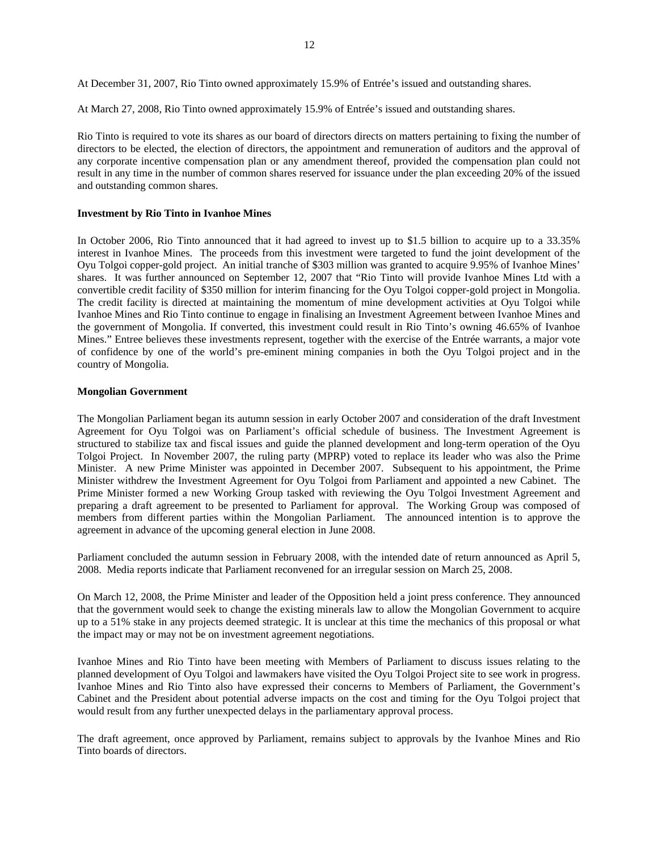At December 31, 2007, Rio Tinto owned approximately 15.9% of Entrée's issued and outstanding shares.

At March 27, 2008, Rio Tinto owned approximately 15.9% of Entrée's issued and outstanding shares.

Rio Tinto is required to vote its shares as our board of directors directs on matters pertaining to fixing the number of directors to be elected, the election of directors, the appointment and remuneration of auditors and the approval of any corporate incentive compensation plan or any amendment thereof, provided the compensation plan could not result in any time in the number of common shares reserved for issuance under the plan exceeding 20% of the issued and outstanding common shares.

#### **Investment by Rio Tinto in Ivanhoe Mines**

In October 2006, Rio Tinto announced that it had agreed to invest up to \$1.5 billion to acquire up to a 33.35% interest in Ivanhoe Mines. The proceeds from this investment were targeted to fund the joint development of the Oyu Tolgoi copper-gold project. An initial tranche of \$303 million was granted to acquire 9.95% of Ivanhoe Mines' shares. It was further announced on September 12, 2007 that "Rio Tinto will provide Ivanhoe Mines Ltd with a convertible credit facility of \$350 million for interim financing for the Oyu Tolgoi copper-gold project in Mongolia. The credit facility is directed at maintaining the momentum of mine development activities at Oyu Tolgoi while Ivanhoe Mines and Rio Tinto continue to engage in finalising an Investment Agreement between Ivanhoe Mines and the government of Mongolia. If converted, this investment could result in Rio Tinto's owning 46.65% of Ivanhoe Mines." Entree believes these investments represent, together with the exercise of the Entrée warrants, a major vote of confidence by one of the world's pre-eminent mining companies in both the Oyu Tolgoi project and in the country of Mongolia.

#### **Mongolian Government**

The Mongolian Parliament began its autumn session in early October 2007 and consideration of the draft Investment Agreement for Oyu Tolgoi was on Parliament's official schedule of business. The Investment Agreement is structured to stabilize tax and fiscal issues and guide the planned development and long-term operation of the Oyu Tolgoi Project. In November 2007, the ruling party (MPRP) voted to replace its leader who was also the Prime Minister. A new Prime Minister was appointed in December 2007. Subsequent to his appointment, the Prime Minister withdrew the Investment Agreement for Oyu Tolgoi from Parliament and appointed a new Cabinet. The Prime Minister formed a new Working Group tasked with reviewing the Oyu Tolgoi Investment Agreement and preparing a draft agreement to be presented to Parliament for approval. The Working Group was composed of members from different parties within the Mongolian Parliament. The announced intention is to approve the agreement in advance of the upcoming general election in June 2008.

Parliament concluded the autumn session in February 2008, with the intended date of return announced as April 5, 2008. Media reports indicate that Parliament reconvened for an irregular session on March 25, 2008.

On March 12, 2008, the Prime Minister and leader of the Opposition held a joint press conference. They announced that the government would seek to change the existing minerals law to allow the Mongolian Government to acquire up to a 51% stake in any projects deemed strategic. It is unclear at this time the mechanics of this proposal or what the impact may or may not be on investment agreement negotiations.

Ivanhoe Mines and Rio Tinto have been meeting with Members of Parliament to discuss issues relating to the planned development of Oyu Tolgoi and lawmakers have visited the Oyu Tolgoi Project site to see work in progress. Ivanhoe Mines and Rio Tinto also have expressed their concerns to Members of Parliament, the Government's Cabinet and the President about potential adverse impacts on the cost and timing for the Oyu Tolgoi project that would result from any further unexpected delays in the parliamentary approval process.

The draft agreement, once approved by Parliament, remains subject to approvals by the Ivanhoe Mines and Rio Tinto boards of directors.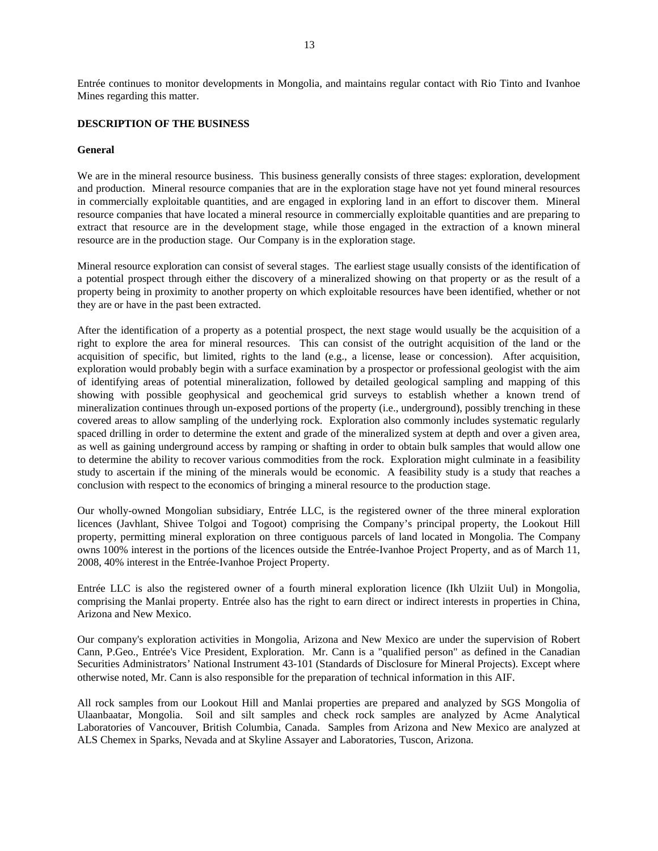<span id="page-13-0"></span>Entrée continues to monitor developments in Mongolia, and maintains regular contact with Rio Tinto and Ivanhoe Mines regarding this matter.

## **DESCRIPTION OF THE BUSINESS**

#### **General**

We are in the mineral resource business. This business generally consists of three stages: exploration, development and production. Mineral resource companies that are in the exploration stage have not yet found mineral resources in commercially exploitable quantities, and are engaged in exploring land in an effort to discover them. Mineral resource companies that have located a mineral resource in commercially exploitable quantities and are preparing to extract that resource are in the development stage, while those engaged in the extraction of a known mineral resource are in the production stage. Our Company is in the exploration stage.

Mineral resource exploration can consist of several stages. The earliest stage usually consists of the identification of a potential prospect through either the discovery of a mineralized showing on that property or as the result of a property being in proximity to another property on which exploitable resources have been identified, whether or not they are or have in the past been extracted.

After the identification of a property as a potential prospect, the next stage would usually be the acquisition of a right to explore the area for mineral resources. This can consist of the outright acquisition of the land or the acquisition of specific, but limited, rights to the land (e.g., a license, lease or concession). After acquisition, exploration would probably begin with a surface examination by a prospector or professional geologist with the aim of identifying areas of potential mineralization, followed by detailed geological sampling and mapping of this showing with possible geophysical and geochemical grid surveys to establish whether a known trend of mineralization continues through un-exposed portions of the property (i.e., underground), possibly trenching in these covered areas to allow sampling of the underlying rock. Exploration also commonly includes systematic regularly spaced drilling in order to determine the extent and grade of the mineralized system at depth and over a given area, as well as gaining underground access by ramping or shafting in order to obtain bulk samples that would allow one to determine the ability to recover various commodities from the rock. Exploration might culminate in a feasibility study to ascertain if the mining of the minerals would be economic. A feasibility study is a study that reaches a conclusion with respect to the economics of bringing a mineral resource to the production stage.

Our wholly-owned Mongolian subsidiary, Entrée LLC, is the registered owner of the three mineral exploration licences (Javhlant, Shivee Tolgoi and Togoot) comprising the Company's principal property, the Lookout Hill property, permitting mineral exploration on three contiguous parcels of land located in Mongolia. The Company owns 100% interest in the portions of the licences outside the Entrée-Ivanhoe Project Property, and as of March 11, 2008, 40% interest in the Entrée-Ivanhoe Project Property.

Entrée LLC is also the registered owner of a fourth mineral exploration licence (Ikh Ulziit Uul) in Mongolia, comprising the Manlai property. Entrée also has the right to earn direct or indirect interests in properties in China, Arizona and New Mexico.

Our company's exploration activities in Mongolia, Arizona and New Mexico are under the supervision of Robert Cann, P.Geo., Entrée's Vice President, Exploration. Mr. Cann is a "qualified person" as defined in the Canadian Securities Administrators' National Instrument 43-101 (Standards of Disclosure for Mineral Projects). Except where otherwise noted, Mr. Cann is also responsible for the preparation of technical information in this AIF.

All rock samples from our Lookout Hill and Manlai properties are prepared and analyzed by SGS Mongolia of Ulaanbaatar, Mongolia. Soil and silt samples and check rock samples are analyzed by Acme Analytical Laboratories of Vancouver, British Columbia, Canada. Samples from Arizona and New Mexico are analyzed at ALS Chemex in Sparks, Nevada and at Skyline Assayer and Laboratories, Tuscon, Arizona.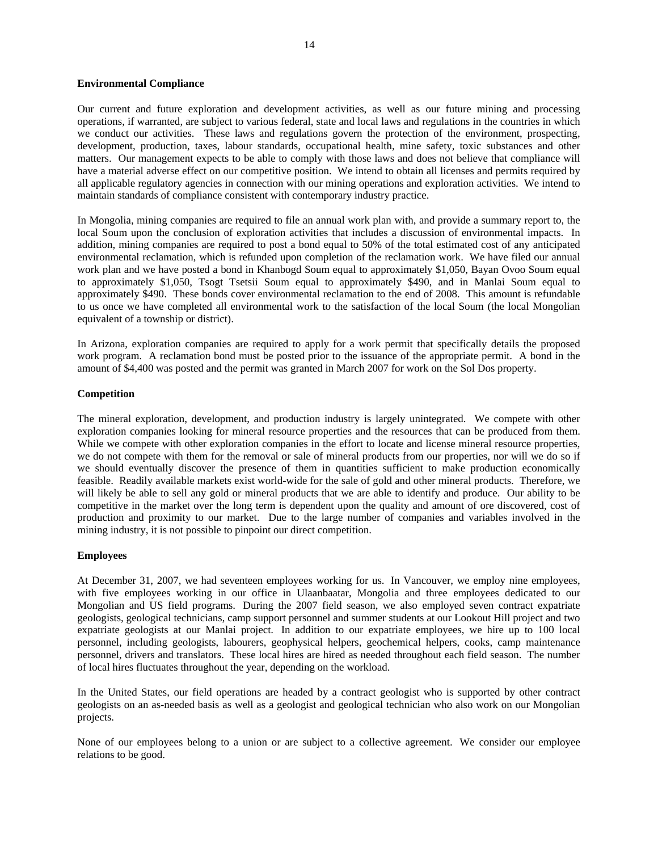#### **Environmental Compliance**

Our current and future exploration and development activities, as well as our future mining and processing operations, if warranted, are subject to various federal, state and local laws and regulations in the countries in which we conduct our activities. These laws and regulations govern the protection of the environment, prospecting, development, production, taxes, labour standards, occupational health, mine safety, toxic substances and other matters. Our management expects to be able to comply with those laws and does not believe that compliance will have a material adverse effect on our competitive position. We intend to obtain all licenses and permits required by all applicable regulatory agencies in connection with our mining operations and exploration activities. We intend to maintain standards of compliance consistent with contemporary industry practice.

In Mongolia, mining companies are required to file an annual work plan with, and provide a summary report to, the local Soum upon the conclusion of exploration activities that includes a discussion of environmental impacts. In addition, mining companies are required to post a bond equal to 50% of the total estimated cost of any anticipated environmental reclamation, which is refunded upon completion of the reclamation work. We have filed our annual work plan and we have posted a bond in Khanbogd Soum equal to approximately \$1,050, Bayan Ovoo Soum equal to approximately \$1,050, Tsogt Tsetsii Soum equal to approximately \$490, and in Manlai Soum equal to approximately \$490. These bonds cover environmental reclamation to the end of 2008. This amount is refundable to us once we have completed all environmental work to the satisfaction of the local Soum (the local Mongolian equivalent of a township or district).

In Arizona, exploration companies are required to apply for a work permit that specifically details the proposed work program. A reclamation bond must be posted prior to the issuance of the appropriate permit. A bond in the amount of \$4,400 was posted and the permit was granted in March 2007 for work on the Sol Dos property.

#### **Competition**

The mineral exploration, development, and production industry is largely unintegrated. We compete with other exploration companies looking for mineral resource properties and the resources that can be produced from them. While we compete with other exploration companies in the effort to locate and license mineral resource properties, we do not compete with them for the removal or sale of mineral products from our properties, nor will we do so if we should eventually discover the presence of them in quantities sufficient to make production economically feasible. Readily available markets exist world-wide for the sale of gold and other mineral products. Therefore, we will likely be able to sell any gold or mineral products that we are able to identify and produce. Our ability to be competitive in the market over the long term is dependent upon the quality and amount of ore discovered, cost of production and proximity to our market. Due to the large number of companies and variables involved in the mining industry, it is not possible to pinpoint our direct competition.

#### **Employees**

At December 31, 2007, we had seventeen employees working for us. In Vancouver, we employ nine employees, with five employees working in our office in Ulaanbaatar, Mongolia and three employees dedicated to our Mongolian and US field programs. During the 2007 field season, we also employed seven contract expatriate geologists, geological technicians, camp support personnel and summer students at our Lookout Hill project and two expatriate geologists at our Manlai project. In addition to our expatriate employees, we hire up to 100 local personnel, including geologists, labourers, geophysical helpers, geochemical helpers, cooks, camp maintenance personnel, drivers and translators. These local hires are hired as needed throughout each field season. The number of local hires fluctuates throughout the year, depending on the workload.

In the United States, our field operations are headed by a contract geologist who is supported by other contract geologists on an as-needed basis as well as a geologist and geological technician who also work on our Mongolian projects.

None of our employees belong to a union or are subject to a collective agreement. We consider our employee relations to be good.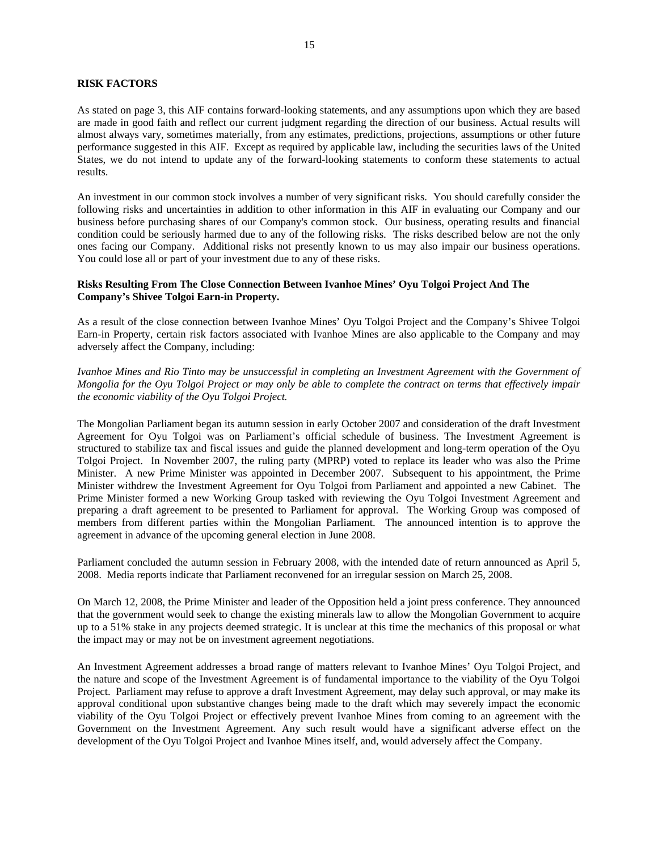## <span id="page-15-0"></span>**RISK FACTORS**

As stated on page 3, this AIF contains forward-looking statements, and any assumptions upon which they are based are made in good faith and reflect our current judgment regarding the direction of our business. Actual results will almost always vary, sometimes materially, from any estimates, predictions, projections, assumptions or other future performance suggested in this AIF. Except as required by applicable law, including the securities laws of the United States, we do not intend to update any of the forward-looking statements to conform these statements to actual results.

An investment in our common stock involves a number of very significant risks. You should carefully consider the following risks and uncertainties in addition to other information in this AIF in evaluating our Company and our business before purchasing shares of our Company's common stock. Our business, operating results and financial condition could be seriously harmed due to any of the following risks. The risks described below are not the only ones facing our Company. Additional risks not presently known to us may also impair our business operations. You could lose all or part of your investment due to any of these risks.

## **Risks Resulting From The Close Connection Between Ivanhoe Mines' Oyu Tolgoi Project And The Company's Shivee Tolgoi Earn-in Property.**

As a result of the close connection between Ivanhoe Mines' Oyu Tolgoi Project and the Company's Shivee Tolgoi Earn-in Property, certain risk factors associated with Ivanhoe Mines are also applicable to the Company and may adversely affect the Company, including:

*Ivanhoe Mines and Rio Tinto may be unsuccessful in completing an Investment Agreement with the Government of Mongolia for the Oyu Tolgoi Project or may only be able to complete the contract on terms that effectively impair the economic viability of the Oyu Tolgoi Project.* 

The Mongolian Parliament began its autumn session in early October 2007 and consideration of the draft Investment Agreement for Oyu Tolgoi was on Parliament's official schedule of business. The Investment Agreement is structured to stabilize tax and fiscal issues and guide the planned development and long-term operation of the Oyu Tolgoi Project. In November 2007, the ruling party (MPRP) voted to replace its leader who was also the Prime Minister. A new Prime Minister was appointed in December 2007. Subsequent to his appointment, the Prime Minister withdrew the Investment Agreement for Oyu Tolgoi from Parliament and appointed a new Cabinet. The Prime Minister formed a new Working Group tasked with reviewing the Oyu Tolgoi Investment Agreement and preparing a draft agreement to be presented to Parliament for approval. The Working Group was composed of members from different parties within the Mongolian Parliament. The announced intention is to approve the agreement in advance of the upcoming general election in June 2008.

Parliament concluded the autumn session in February 2008, with the intended date of return announced as April 5, 2008. Media reports indicate that Parliament reconvened for an irregular session on March 25, 2008.

On March 12, 2008, the Prime Minister and leader of the Opposition held a joint press conference. They announced that the government would seek to change the existing minerals law to allow the Mongolian Government to acquire up to a 51% stake in any projects deemed strategic. It is unclear at this time the mechanics of this proposal or what the impact may or may not be on investment agreement negotiations.

An Investment Agreement addresses a broad range of matters relevant to Ivanhoe Mines' Oyu Tolgoi Project, and the nature and scope of the Investment Agreement is of fundamental importance to the viability of the Oyu Tolgoi Project. Parliament may refuse to approve a draft Investment Agreement, may delay such approval, or may make its approval conditional upon substantive changes being made to the draft which may severely impact the economic viability of the Oyu Tolgoi Project or effectively prevent Ivanhoe Mines from coming to an agreement with the Government on the Investment Agreement. Any such result would have a significant adverse effect on the development of the Oyu Tolgoi Project and Ivanhoe Mines itself, and, would adversely affect the Company.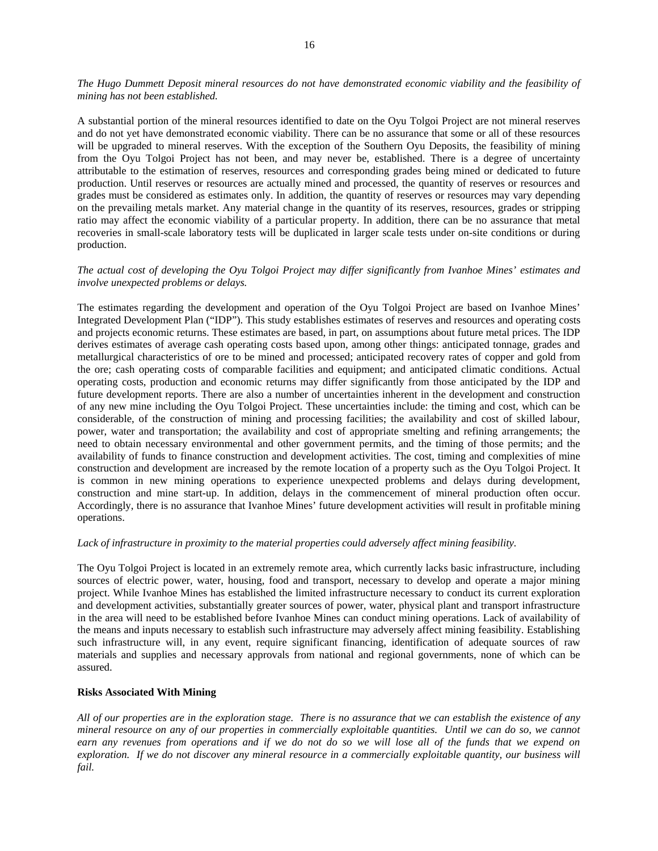*The Hugo Dummett Deposit mineral resources do not have demonstrated economic viability and the feasibility of mining has not been established.* 

A substantial portion of the mineral resources identified to date on the Oyu Tolgoi Project are not mineral reserves and do not yet have demonstrated economic viability. There can be no assurance that some or all of these resources will be upgraded to mineral reserves. With the exception of the Southern Oyu Deposits, the feasibility of mining from the Oyu Tolgoi Project has not been, and may never be, established. There is a degree of uncertainty attributable to the estimation of reserves, resources and corresponding grades being mined or dedicated to future production. Until reserves or resources are actually mined and processed, the quantity of reserves or resources and grades must be considered as estimates only. In addition, the quantity of reserves or resources may vary depending on the prevailing metals market. Any material change in the quantity of its reserves, resources, grades or stripping ratio may affect the economic viability of a particular property. In addition, there can be no assurance that metal recoveries in small-scale laboratory tests will be duplicated in larger scale tests under on-site conditions or during production.

#### *The actual cost of developing the Oyu Tolgoi Project may differ significantly from Ivanhoe Mines' estimates and involve unexpected problems or delays.*

The estimates regarding the development and operation of the Oyu Tolgoi Project are based on Ivanhoe Mines' Integrated Development Plan ("IDP"). This study establishes estimates of reserves and resources and operating costs and projects economic returns. These estimates are based, in part, on assumptions about future metal prices. The IDP derives estimates of average cash operating costs based upon, among other things: anticipated tonnage, grades and metallurgical characteristics of ore to be mined and processed; anticipated recovery rates of copper and gold from the ore; cash operating costs of comparable facilities and equipment; and anticipated climatic conditions. Actual operating costs, production and economic returns may differ significantly from those anticipated by the IDP and future development reports. There are also a number of uncertainties inherent in the development and construction of any new mine including the Oyu Tolgoi Project. These uncertainties include: the timing and cost, which can be considerable, of the construction of mining and processing facilities; the availability and cost of skilled labour, power, water and transportation; the availability and cost of appropriate smelting and refining arrangements; the need to obtain necessary environmental and other government permits, and the timing of those permits; and the availability of funds to finance construction and development activities. The cost, timing and complexities of mine construction and development are increased by the remote location of a property such as the Oyu Tolgoi Project. It is common in new mining operations to experience unexpected problems and delays during development, construction and mine start-up. In addition, delays in the commencement of mineral production often occur. Accordingly, there is no assurance that Ivanhoe Mines' future development activities will result in profitable mining operations.

### *Lack of infrastructure in proximity to the material properties could adversely affect mining feasibility.*

The Oyu Tolgoi Project is located in an extremely remote area, which currently lacks basic infrastructure, including sources of electric power, water, housing, food and transport, necessary to develop and operate a major mining project. While Ivanhoe Mines has established the limited infrastructure necessary to conduct its current exploration and development activities, substantially greater sources of power, water, physical plant and transport infrastructure in the area will need to be established before Ivanhoe Mines can conduct mining operations. Lack of availability of the means and inputs necessary to establish such infrastructure may adversely affect mining feasibility. Establishing such infrastructure will, in any event, require significant financing, identification of adequate sources of raw materials and supplies and necessary approvals from national and regional governments, none of which can be assured.

## **Risks Associated With Mining**

*All of our properties are in the exploration stage. There is no assurance that we can establish the existence of any mineral resource on any of our properties in commercially exploitable quantities. Until we can do so, we cannot earn any revenues from operations and if we do not do so we will lose all of the funds that we expend on exploration. If we do not discover any mineral resource in a commercially exploitable quantity, our business will fail.*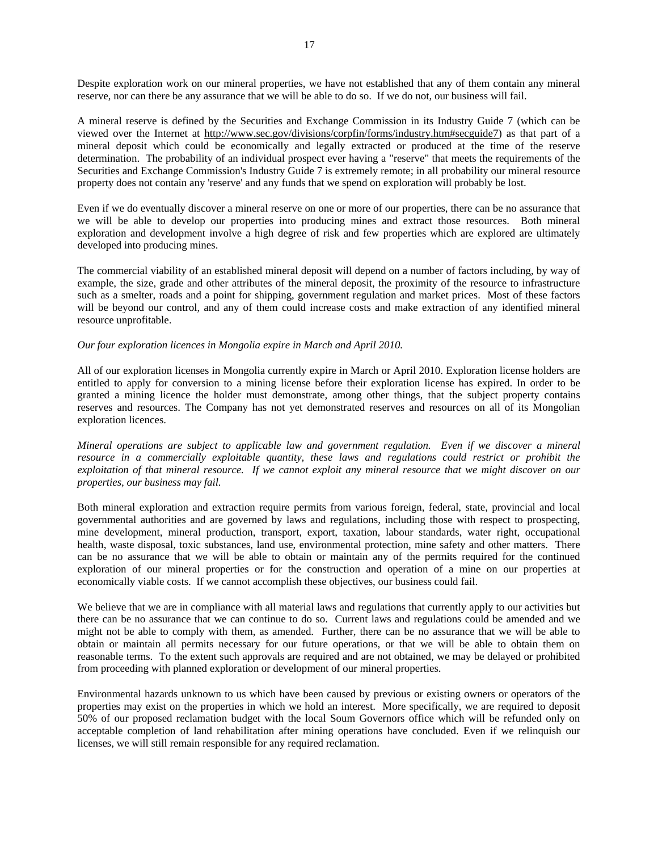Despite exploration work on our mineral properties, we have not established that any of them contain any mineral reserve, nor can there be any assurance that we will be able to do so. If we do not, our business will fail.

A mineral reserve is defined by the Securities and Exchange Commission in its Industry Guide 7 (which can be viewed over the Internet at http://www.sec.gov/divisions/corpfin/forms/industry.htm#secguide7) as that part of a mineral deposit which could be economically and legally extracted or produced at the time of the reserve determination. The probability of an individual prospect ever having a "reserve" that meets the requirements of the Securities and Exchange Commission's Industry Guide 7 is extremely remote; in all probability our mineral resource property does not contain any 'reserve' and any funds that we spend on exploration will probably be lost.

Even if we do eventually discover a mineral reserve on one or more of our properties, there can be no assurance that we will be able to develop our properties into producing mines and extract those resources. Both mineral exploration and development involve a high degree of risk and few properties which are explored are ultimately developed into producing mines.

The commercial viability of an established mineral deposit will depend on a number of factors including, by way of example, the size, grade and other attributes of the mineral deposit, the proximity of the resource to infrastructure such as a smelter, roads and a point for shipping, government regulation and market prices. Most of these factors will be beyond our control, and any of them could increase costs and make extraction of any identified mineral resource unprofitable.

#### *Our four exploration licences in Mongolia expire in March and April 2010.*

All of our exploration licenses in Mongolia currently expire in March or April 2010. Exploration license holders are entitled to apply for conversion to a mining license before their exploration license has expired. In order to be granted a mining licence the holder must demonstrate, among other things, that the subject property contains reserves and resources. The Company has not yet demonstrated reserves and resources on all of its Mongolian exploration licences.

*Mineral operations are subject to applicable law and government regulation. Even if we discover a mineral resource in a commercially exploitable quantity, these laws and regulations could restrict or prohibit the exploitation of that mineral resource. If we cannot exploit any mineral resource that we might discover on our properties, our business may fail.* 

Both mineral exploration and extraction require permits from various foreign, federal, state, provincial and local governmental authorities and are governed by laws and regulations, including those with respect to prospecting, mine development, mineral production, transport, export, taxation, labour standards, water right, occupational health, waste disposal, toxic substances, land use, environmental protection, mine safety and other matters. There can be no assurance that we will be able to obtain or maintain any of the permits required for the continued exploration of our mineral properties or for the construction and operation of a mine on our properties at economically viable costs. If we cannot accomplish these objectives, our business could fail.

We believe that we are in compliance with all material laws and regulations that currently apply to our activities but there can be no assurance that we can continue to do so. Current laws and regulations could be amended and we might not be able to comply with them, as amended. Further, there can be no assurance that we will be able to obtain or maintain all permits necessary for our future operations, or that we will be able to obtain them on reasonable terms. To the extent such approvals are required and are not obtained, we may be delayed or prohibited from proceeding with planned exploration or development of our mineral properties.

Environmental hazards unknown to us which have been caused by previous or existing owners or operators of the properties may exist on the properties in which we hold an interest. More specifically, we are required to deposit 50% of our proposed reclamation budget with the local Soum Governors office which will be refunded only on acceptable completion of land rehabilitation after mining operations have concluded. Even if we relinquish our licenses, we will still remain responsible for any required reclamation.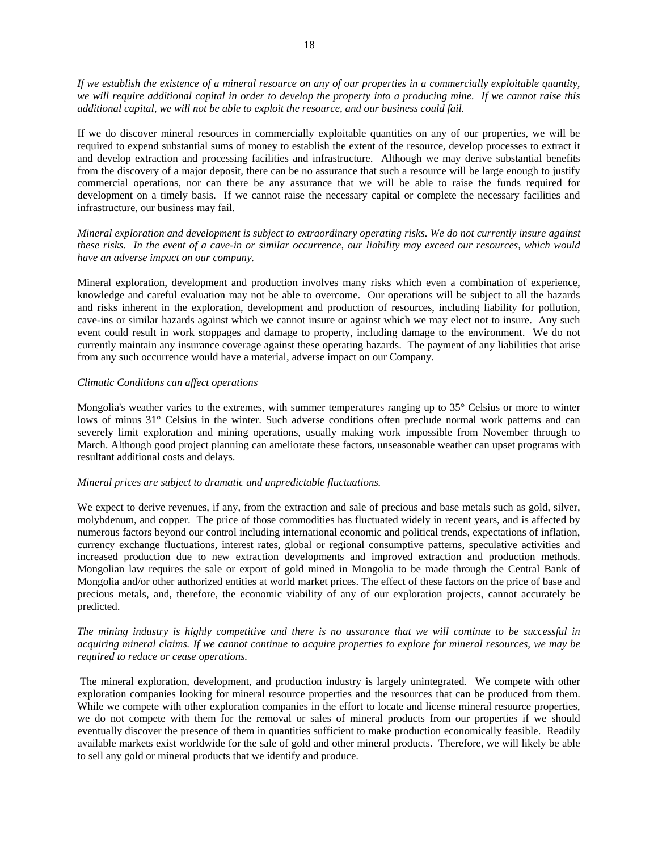*If we establish the existence of a mineral resource on any of our properties in a commercially exploitable quantity, we will require additional capital in order to develop the property into a producing mine. If we cannot raise this additional capital, we will not be able to exploit the resource, and our business could fail.* 

If we do discover mineral resources in commercially exploitable quantities on any of our properties, we will be required to expend substantial sums of money to establish the extent of the resource, develop processes to extract it and develop extraction and processing facilities and infrastructure. Although we may derive substantial benefits from the discovery of a major deposit, there can be no assurance that such a resource will be large enough to justify commercial operations, nor can there be any assurance that we will be able to raise the funds required for development on a timely basis. If we cannot raise the necessary capital or complete the necessary facilities and infrastructure, our business may fail.

*Mineral exploration and development is subject to extraordinary operating risks. We do not currently insure against these risks. In the event of a cave-in or similar occurrence, our liability may exceed our resources, which would have an adverse impact on our company.* 

Mineral exploration, development and production involves many risks which even a combination of experience, knowledge and careful evaluation may not be able to overcome. Our operations will be subject to all the hazards and risks inherent in the exploration, development and production of resources, including liability for pollution, cave-ins or similar hazards against which we cannot insure or against which we may elect not to insure. Any such event could result in work stoppages and damage to property, including damage to the environment. We do not currently maintain any insurance coverage against these operating hazards. The payment of any liabilities that arise from any such occurrence would have a material, adverse impact on our Company.

#### *Climatic Conditions can affect operations*

Mongolia's weather varies to the extremes, with summer temperatures ranging up to 35° Celsius or more to winter lows of minus 31° Celsius in the winter. Such adverse conditions often preclude normal work patterns and can severely limit exploration and mining operations, usually making work impossible from November through to March. Although good project planning can ameliorate these factors, unseasonable weather can upset programs with resultant additional costs and delays.

#### *Mineral prices are subject to dramatic and unpredictable fluctuations.*

We expect to derive revenues, if any, from the extraction and sale of precious and base metals such as gold, silver, molybdenum, and copper. The price of those commodities has fluctuated widely in recent years, and is affected by numerous factors beyond our control including international economic and political trends, expectations of inflation, currency exchange fluctuations, interest rates, global or regional consumptive patterns, speculative activities and increased production due to new extraction developments and improved extraction and production methods. Mongolian law requires the sale or export of gold mined in Mongolia to be made through the Central Bank of Mongolia and/or other authorized entities at world market prices. The effect of these factors on the price of base and precious metals, and, therefore, the economic viability of any of our exploration projects, cannot accurately be predicted.

## *The mining industry is highly competitive and there is no assurance that we will continue to be successful in acquiring mineral claims. If we cannot continue to acquire properties to explore for mineral resources, we may be required to reduce or cease operations.*

 The mineral exploration, development, and production industry is largely unintegrated. We compete with other exploration companies looking for mineral resource properties and the resources that can be produced from them. While we compete with other exploration companies in the effort to locate and license mineral resource properties, we do not compete with them for the removal or sales of mineral products from our properties if we should eventually discover the presence of them in quantities sufficient to make production economically feasible. Readily available markets exist worldwide for the sale of gold and other mineral products. Therefore, we will likely be able to sell any gold or mineral products that we identify and produce.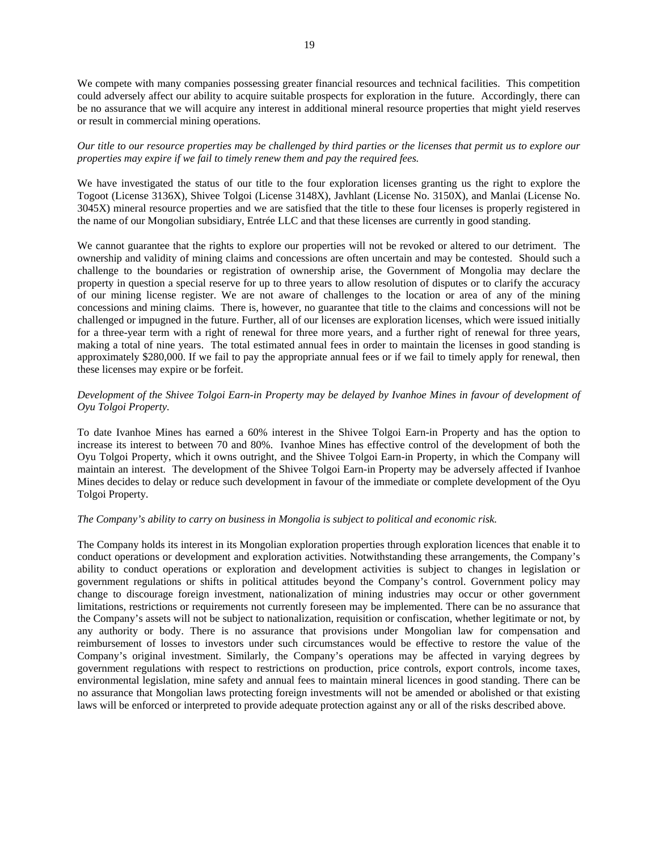We compete with many companies possessing greater financial resources and technical facilities. This competition could adversely affect our ability to acquire suitable prospects for exploration in the future. Accordingly, there can be no assurance that we will acquire any interest in additional mineral resource properties that might yield reserves or result in commercial mining operations.

## *Our title to our resource properties may be challenged by third parties or the licenses that permit us to explore our properties may expire if we fail to timely renew them and pay the required fees.*

We have investigated the status of our title to the four exploration licenses granting us the right to explore the Togoot (License 3136X), Shivee Tolgoi (License 3148X), Javhlant (License No. 3150X), and Manlai (License No. 3045X) mineral resource properties and we are satisfied that the title to these four licenses is properly registered in the name of our Mongolian subsidiary, Entrée LLC and that these licenses are currently in good standing.

We cannot guarantee that the rights to explore our properties will not be revoked or altered to our detriment. The ownership and validity of mining claims and concessions are often uncertain and may be contested. Should such a challenge to the boundaries or registration of ownership arise, the Government of Mongolia may declare the property in question a special reserve for up to three years to allow resolution of disputes or to clarify the accuracy of our mining license register. We are not aware of challenges to the location or area of any of the mining concessions and mining claims. There is, however, no guarantee that title to the claims and concessions will not be challenged or impugned in the future. Further, all of our licenses are exploration licenses, which were issued initially for a three-year term with a right of renewal for three more years, and a further right of renewal for three years, making a total of nine years. The total estimated annual fees in order to maintain the licenses in good standing is approximately \$280,000. If we fail to pay the appropriate annual fees or if we fail to timely apply for renewal, then these licenses may expire or be forfeit.

## *Development of the Shivee Tolgoi Earn-in Property may be delayed by Ivanhoe Mines in favour of development of Oyu Tolgoi Property.*

To date Ivanhoe Mines has earned a 60% interest in the Shivee Tolgoi Earn-in Property and has the option to increase its interest to between 70 and 80%. Ivanhoe Mines has effective control of the development of both the Oyu Tolgoi Property, which it owns outright, and the Shivee Tolgoi Earn-in Property, in which the Company will maintain an interest. The development of the Shivee Tolgoi Earn-in Property may be adversely affected if Ivanhoe Mines decides to delay or reduce such development in favour of the immediate or complete development of the Oyu Tolgoi Property.

#### *The Company's ability to carry on business in Mongolia is subject to political and economic risk.*

The Company holds its interest in its Mongolian exploration properties through exploration licences that enable it to conduct operations or development and exploration activities. Notwithstanding these arrangements, the Company's ability to conduct operations or exploration and development activities is subject to changes in legislation or government regulations or shifts in political attitudes beyond the Company's control. Government policy may change to discourage foreign investment, nationalization of mining industries may occur or other government limitations, restrictions or requirements not currently foreseen may be implemented. There can be no assurance that the Company's assets will not be subject to nationalization, requisition or confiscation, whether legitimate or not, by any authority or body. There is no assurance that provisions under Mongolian law for compensation and reimbursement of losses to investors under such circumstances would be effective to restore the value of the Company's original investment. Similarly, the Company's operations may be affected in varying degrees by government regulations with respect to restrictions on production, price controls, export controls, income taxes, environmental legislation, mine safety and annual fees to maintain mineral licences in good standing. There can be no assurance that Mongolian laws protecting foreign investments will not be amended or abolished or that existing laws will be enforced or interpreted to provide adequate protection against any or all of the risks described above.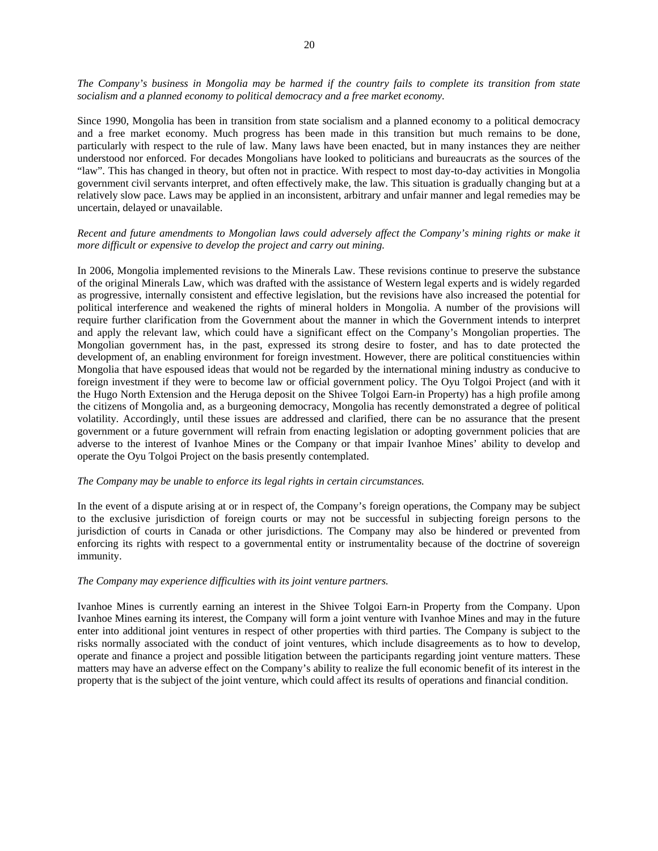*The Company's business in Mongolia may be harmed if the country fails to complete its transition from state socialism and a planned economy to political democracy and a free market economy.* 

Since 1990, Mongolia has been in transition from state socialism and a planned economy to a political democracy and a free market economy. Much progress has been made in this transition but much remains to be done, particularly with respect to the rule of law. Many laws have been enacted, but in many instances they are neither understood nor enforced. For decades Mongolians have looked to politicians and bureaucrats as the sources of the "law". This has changed in theory, but often not in practice. With respect to most day-to-day activities in Mongolia government civil servants interpret, and often effectively make, the law. This situation is gradually changing but at a relatively slow pace. Laws may be applied in an inconsistent, arbitrary and unfair manner and legal remedies may be uncertain, delayed or unavailable.

## *Recent and future amendments to Mongolian laws could adversely affect the Company's mining rights or make it more difficult or expensive to develop the project and carry out mining.*

In 2006, Mongolia implemented revisions to the Minerals Law. These revisions continue to preserve the substance of the original Minerals Law, which was drafted with the assistance of Western legal experts and is widely regarded as progressive, internally consistent and effective legislation, but the revisions have also increased the potential for political interference and weakened the rights of mineral holders in Mongolia. A number of the provisions will require further clarification from the Government about the manner in which the Government intends to interpret and apply the relevant law, which could have a significant effect on the Company's Mongolian properties. The Mongolian government has, in the past, expressed its strong desire to foster, and has to date protected the development of, an enabling environment for foreign investment. However, there are political constituencies within Mongolia that have espoused ideas that would not be regarded by the international mining industry as conducive to foreign investment if they were to become law or official government policy. The Oyu Tolgoi Project (and with it the Hugo North Extension and the Heruga deposit on the Shivee Tolgoi Earn-in Property) has a high profile among the citizens of Mongolia and, as a burgeoning democracy, Mongolia has recently demonstrated a degree of political volatility. Accordingly, until these issues are addressed and clarified, there can be no assurance that the present government or a future government will refrain from enacting legislation or adopting government policies that are adverse to the interest of Ivanhoe Mines or the Company or that impair Ivanhoe Mines' ability to develop and operate the Oyu Tolgoi Project on the basis presently contemplated.

#### *The Company may be unable to enforce its legal rights in certain circumstances.*

In the event of a dispute arising at or in respect of, the Company's foreign operations, the Company may be subject to the exclusive jurisdiction of foreign courts or may not be successful in subjecting foreign persons to the jurisdiction of courts in Canada or other jurisdictions. The Company may also be hindered or prevented from enforcing its rights with respect to a governmental entity or instrumentality because of the doctrine of sovereign immunity.

#### *The Company may experience difficulties with its joint venture partners.*

Ivanhoe Mines is currently earning an interest in the Shivee Tolgoi Earn-in Property from the Company. Upon Ivanhoe Mines earning its interest, the Company will form a joint venture with Ivanhoe Mines and may in the future enter into additional joint ventures in respect of other properties with third parties. The Company is subject to the risks normally associated with the conduct of joint ventures, which include disagreements as to how to develop, operate and finance a project and possible litigation between the participants regarding joint venture matters. These matters may have an adverse effect on the Company's ability to realize the full economic benefit of its interest in the property that is the subject of the joint venture, which could affect its results of operations and financial condition.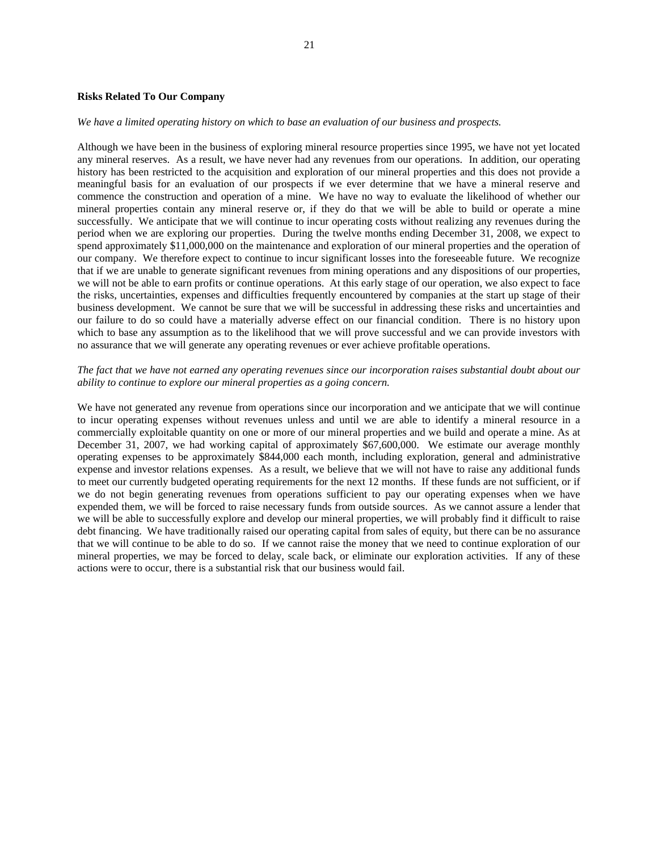#### **Risks Related To Our Company**

#### *We have a limited operating history on which to base an evaluation of our business and prospects.*

Although we have been in the business of exploring mineral resource properties since 1995, we have not yet located any mineral reserves. As a result, we have never had any revenues from our operations. In addition, our operating history has been restricted to the acquisition and exploration of our mineral properties and this does not provide a meaningful basis for an evaluation of our prospects if we ever determine that we have a mineral reserve and commence the construction and operation of a mine. We have no way to evaluate the likelihood of whether our mineral properties contain any mineral reserve or, if they do that we will be able to build or operate a mine successfully. We anticipate that we will continue to incur operating costs without realizing any revenues during the period when we are exploring our properties. During the twelve months ending December 31, 2008, we expect to spend approximately \$11,000,000 on the maintenance and exploration of our mineral properties and the operation of our company. We therefore expect to continue to incur significant losses into the foreseeable future. We recognize that if we are unable to generate significant revenues from mining operations and any dispositions of our properties, we will not be able to earn profits or continue operations. At this early stage of our operation, we also expect to face the risks, uncertainties, expenses and difficulties frequently encountered by companies at the start up stage of their business development. We cannot be sure that we will be successful in addressing these risks and uncertainties and our failure to do so could have a materially adverse effect on our financial condition. There is no history upon which to base any assumption as to the likelihood that we will prove successful and we can provide investors with no assurance that we will generate any operating revenues or ever achieve profitable operations.

#### *The fact that we have not earned any operating revenues since our incorporation raises substantial doubt about our ability to continue to explore our mineral properties as a going concern.*

We have not generated any revenue from operations since our incorporation and we anticipate that we will continue to incur operating expenses without revenues unless and until we are able to identify a mineral resource in a commercially exploitable quantity on one or more of our mineral properties and we build and operate a mine. As at December 31, 2007, we had working capital of approximately \$67,600,000. We estimate our average monthly operating expenses to be approximately \$844,000 each month, including exploration, general and administrative expense and investor relations expenses. As a result, we believe that we will not have to raise any additional funds to meet our currently budgeted operating requirements for the next 12 months. If these funds are not sufficient, or if we do not begin generating revenues from operations sufficient to pay our operating expenses when we have expended them, we will be forced to raise necessary funds from outside sources. As we cannot assure a lender that we will be able to successfully explore and develop our mineral properties, we will probably find it difficult to raise debt financing. We have traditionally raised our operating capital from sales of equity, but there can be no assurance that we will continue to be able to do so. If we cannot raise the money that we need to continue exploration of our mineral properties, we may be forced to delay, scale back, or eliminate our exploration activities. If any of these actions were to occur, there is a substantial risk that our business would fail.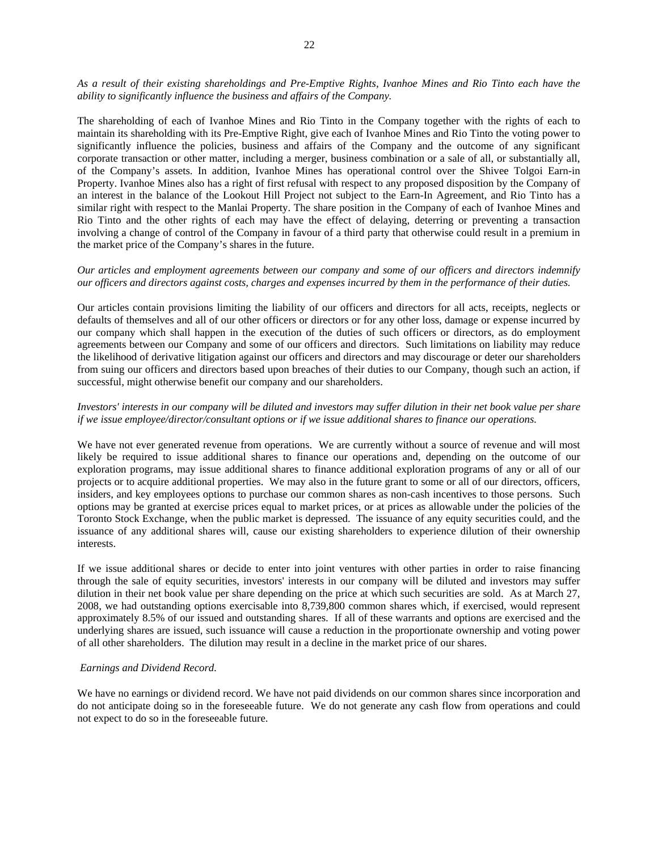*As a result of their existing shareholdings and Pre-Emptive Rights, Ivanhoe Mines and Rio Tinto each have the ability to significantly influence the business and affairs of the Company.* 

The shareholding of each of Ivanhoe Mines and Rio Tinto in the Company together with the rights of each to maintain its shareholding with its Pre-Emptive Right, give each of Ivanhoe Mines and Rio Tinto the voting power to significantly influence the policies, business and affairs of the Company and the outcome of any significant corporate transaction or other matter, including a merger, business combination or a sale of all, or substantially all, of the Company's assets. In addition, Ivanhoe Mines has operational control over the Shivee Tolgoi Earn-in Property. Ivanhoe Mines also has a right of first refusal with respect to any proposed disposition by the Company of an interest in the balance of the Lookout Hill Project not subject to the Earn-In Agreement, and Rio Tinto has a similar right with respect to the Manlai Property. The share position in the Company of each of Ivanhoe Mines and Rio Tinto and the other rights of each may have the effect of delaying, deterring or preventing a transaction involving a change of control of the Company in favour of a third party that otherwise could result in a premium in the market price of the Company's shares in the future.

#### *Our articles and employment agreements between our company and some of our officers and directors indemnify our officers and directors against costs, charges and expenses incurred by them in the performance of their duties.*

Our articles contain provisions limiting the liability of our officers and directors for all acts, receipts, neglects or defaults of themselves and all of our other officers or directors or for any other loss, damage or expense incurred by our company which shall happen in the execution of the duties of such officers or directors, as do employment agreements between our Company and some of our officers and directors. Such limitations on liability may reduce the likelihood of derivative litigation against our officers and directors and may discourage or deter our shareholders from suing our officers and directors based upon breaches of their duties to our Company, though such an action, if successful, might otherwise benefit our company and our shareholders.

## *Investors' interests in our company will be diluted and investors may suffer dilution in their net book value per share if we issue employee/director/consultant options or if we issue additional shares to finance our operations.*

We have not ever generated revenue from operations. We are currently without a source of revenue and will most likely be required to issue additional shares to finance our operations and, depending on the outcome of our exploration programs, may issue additional shares to finance additional exploration programs of any or all of our projects or to acquire additional properties. We may also in the future grant to some or all of our directors, officers, insiders, and key employees options to purchase our common shares as non-cash incentives to those persons. Such options may be granted at exercise prices equal to market prices, or at prices as allowable under the policies of the Toronto Stock Exchange, when the public market is depressed. The issuance of any equity securities could, and the issuance of any additional shares will, cause our existing shareholders to experience dilution of their ownership interests.

If we issue additional shares or decide to enter into joint ventures with other parties in order to raise financing through the sale of equity securities, investors' interests in our company will be diluted and investors may suffer dilution in their net book value per share depending on the price at which such securities are sold. As at March 27, 2008, we had outstanding options exercisable into 8,739,800 common shares which, if exercised, would represent approximately 8.5% of our issued and outstanding shares. If all of these warrants and options are exercised and the underlying shares are issued, such issuance will cause a reduction in the proportionate ownership and voting power of all other shareholders. The dilution may result in a decline in the market price of our shares.

#### *Earnings and Dividend Record.*

We have no earnings or dividend record. We have not paid dividends on our common shares since incorporation and do not anticipate doing so in the foreseeable future. We do not generate any cash flow from operations and could not expect to do so in the foreseeable future.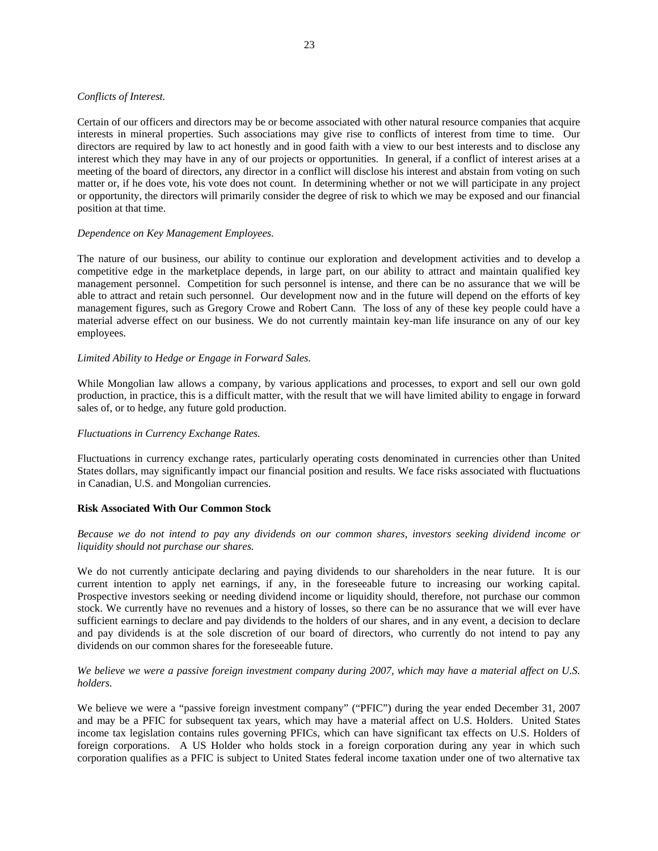#### *Conflicts of Interest.*

Certain of our officers and directors may be or become associated with other natural resource companies that acquire interests in mineral properties. Such associations may give rise to conflicts of interest from time to time. Our directors are required by law to act honestly and in good faith with a view to our best interests and to disclose any interest which they may have in any of our projects or opportunities. In general, if a conflict of interest arises at a meeting of the board of directors, any director in a conflict will disclose his interest and abstain from voting on such matter or, if he does vote, his vote does not count. In determining whether or not we will participate in any project or opportunity, the directors will primarily consider the degree of risk to which we may be exposed and our financial position at that time.

#### *Dependence on Key Management Employees.*

The nature of our business, our ability to continue our exploration and development activities and to develop a competitive edge in the marketplace depends, in large part, on our ability to attract and maintain qualified key management personnel. Competition for such personnel is intense, and there can be no assurance that we will be able to attract and retain such personnel. Our development now and in the future will depend on the efforts of key management figures, such as Gregory Crowe and Robert Cann. The loss of any of these key people could have a material adverse effect on our business. We do not currently maintain key-man life insurance on any of our key employees.

#### *Limited Ability to Hedge or Engage in Forward Sales.*

While Mongolian law allows a company, by various applications and processes, to export and sell our own gold production, in practice, this is a difficult matter, with the result that we will have limited ability to engage in forward sales of, or to hedge, any future gold production.

#### *Fluctuations in Currency Exchange Rates.*

Fluctuations in currency exchange rates, particularly operating costs denominated in currencies other than United States dollars, may significantly impact our financial position and results. We face risks associated with fluctuations in Canadian, U.S. and Mongolian currencies.

#### **Risk Associated With Our Common Stock**

#### *Because we do not intend to pay any dividends on our common shares, investors seeking dividend income or liquidity should not purchase our shares.*

We do not currently anticipate declaring and paying dividends to our shareholders in the near future. It is our current intention to apply net earnings, if any, in the foreseeable future to increasing our working capital. Prospective investors seeking or needing dividend income or liquidity should, therefore, not purchase our common stock. We currently have no revenues and a history of losses, so there can be no assurance that we will ever have sufficient earnings to declare and pay dividends to the holders of our shares, and in any event, a decision to declare and pay dividends is at the sole discretion of our board of directors, who currently do not intend to pay any dividends on our common shares for the foreseeable future.

## *We believe we were a passive foreign investment company during 2007, which may have a material affect on U.S. holders.*

We believe we were a "passive foreign investment company" ("PFIC") during the year ended December 31, 2007 and may be a PFIC for subsequent tax years, which may have a material affect on U.S. Holders. United States income tax legislation contains rules governing PFICs, which can have significant tax effects on U.S. Holders of foreign corporations. A US Holder who holds stock in a foreign corporation during any year in which such corporation qualifies as a PFIC is subject to United States federal income taxation under one of two alternative tax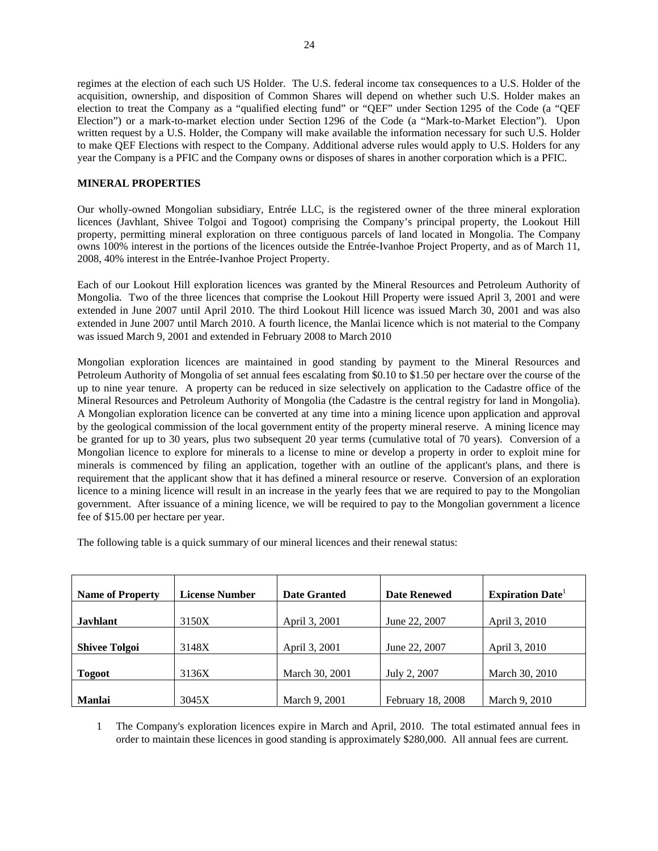<span id="page-24-0"></span>regimes at the election of each such US Holder. The U.S. federal income tax consequences to a U.S. Holder of the acquisition, ownership, and disposition of Common Shares will depend on whether such U.S. Holder makes an election to treat the Company as a "qualified electing fund" or "QEF" under Section 1295 of the Code (a "QEF Election") or a mark-to-market election under Section 1296 of the Code (a "Mark-to-Market Election"). Upon written request by a U.S. Holder, the Company will make available the information necessary for such U.S. Holder to make QEF Elections with respect to the Company. Additional adverse rules would apply to U.S. Holders for any year the Company is a PFIC and the Company owns or disposes of shares in another corporation which is a PFIC.

## **MINERAL PROPERTIES**

Our wholly-owned Mongolian subsidiary, Entrée LLC, is the registered owner of the three mineral exploration licences (Javhlant, Shivee Tolgoi and Togoot) comprising the Company's principal property, the Lookout Hill property, permitting mineral exploration on three contiguous parcels of land located in Mongolia. The Company owns 100% interest in the portions of the licences outside the Entrée-Ivanhoe Project Property, and as of March 11, 2008, 40% interest in the Entrée-Ivanhoe Project Property.

Each of our Lookout Hill exploration licences was granted by the Mineral Resources and Petroleum Authority of Mongolia. Two of the three licences that comprise the Lookout Hill Property were issued April 3, 2001 and were extended in June 2007 until April 2010. The third Lookout Hill licence was issued March 30, 2001 and was also extended in June 2007 until March 2010. A fourth licence, the Manlai licence which is not material to the Company was issued March 9, 2001 and extended in February 2008 to March 2010

Mongolian exploration licences are maintained in good standing by payment to the Mineral Resources and Petroleum Authority of Mongolia of set annual fees escalating from \$0.10 to \$1.50 per hectare over the course of the up to nine year tenure. A property can be reduced in size selectively on application to the Cadastre office of the Mineral Resources and Petroleum Authority of Mongolia (the Cadastre is the central registry for land in Mongolia). A Mongolian exploration licence can be converted at any time into a mining licence upon application and approval by the geological commission of the local government entity of the property mineral reserve. A mining licence may be granted for up to 30 years, plus two subsequent 20 year terms (cumulative total of 70 years). Conversion of a Mongolian licence to explore for minerals to a license to mine or develop a property in order to exploit mine for minerals is commenced by filing an application, together with an outline of the applicant's plans, and there is requirement that the applicant show that it has defined a mineral resource or reserve. Conversion of an exploration licence to a mining licence will result in an increase in the yearly fees that we are required to pay to the Mongolian government. After issuance of a mining licence, we will be required to pay to the Mongolian government a licence fee of \$15.00 per hectare per year.

The following table is a quick summary of our mineral licences and their renewal status:

| <b>Name of Property</b> | <b>License Number</b> | <b>Date Granted</b> | <b>Date Renewed</b> | <b>Expiration Date</b> |
|-------------------------|-----------------------|---------------------|---------------------|------------------------|
| <b>Javhlant</b>         | 3150X                 | April 3, 2001       | June 22, 2007       | April 3, 2010          |
| <b>Shivee Tolgoi</b>    | 3148X                 | April 3, 2001       | June 22, 2007       | April 3, 2010          |
| <b>Togoot</b>           | 3136X                 | March 30, 2001      | July 2, 2007        | March 30, 2010         |
| <b>Manlai</b>           | 3045X                 | March 9, 2001       | February 18, 2008   | March 9, 2010          |

1 The Company's exploration licences expire in March and April, 2010. The total estimated annual fees in order to maintain these licences in good standing is approximately \$280,000. All annual fees are current.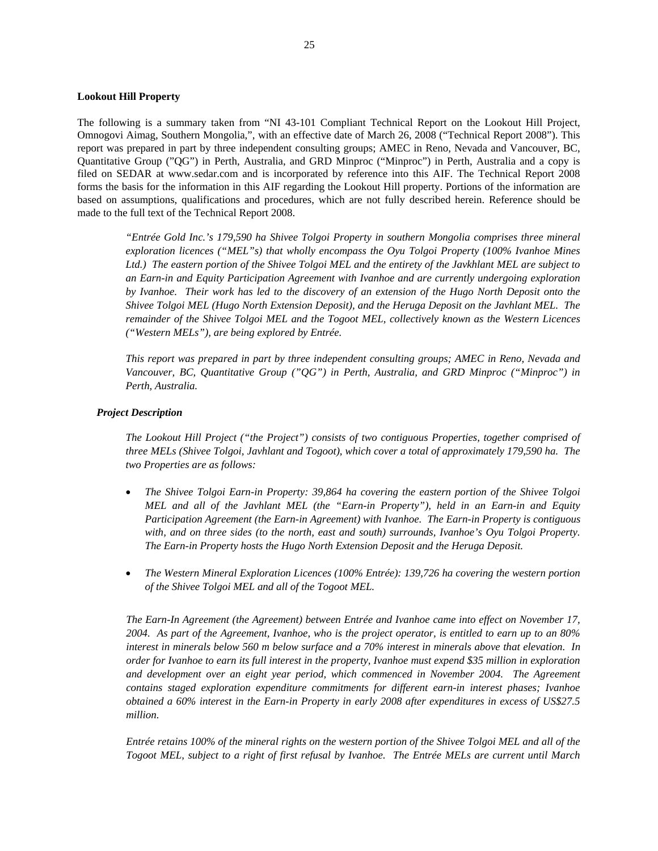#### **Lookout Hill Property**

The following is a summary taken from "NI 43-101 Compliant Technical Report on the Lookout Hill Project, Omnogovi Aimag, Southern Mongolia,", with an effective date of March 26, 2008 ("Technical Report 2008"). This report was prepared in part by three independent consulting groups; AMEC in Reno, Nevada and Vancouver, BC, Quantitative Group ("QG") in Perth, Australia, and GRD Minproc ("Minproc") in Perth, Australia and a copy is filed on SEDAR at www.sedar.com and is incorporated by reference into this AIF. The Technical Report 2008 forms the basis for the information in this AIF regarding the Lookout Hill property. Portions of the information are based on assumptions, qualifications and procedures, which are not fully described herein. Reference should be made to the full text of the Technical Report 2008.

*"Entrée Gold Inc.'s 179,590 ha Shivee Tolgoi Property in southern Mongolia comprises three mineral exploration licences ("MEL"s) that wholly encompass the Oyu Tolgoi Property (100% Ivanhoe Mines Ltd.) The eastern portion of the Shivee Tolgoi MEL and the entirety of the Javkhlant MEL are subject to an Earn-in and Equity Participation Agreement with Ivanhoe and are currently undergoing exploration by Ivanhoe. Their work has led to the discovery of an extension of the Hugo North Deposit onto the Shivee Tolgoi MEL (Hugo North Extension Deposit), and the Heruga Deposit on the Javhlant MEL. The remainder of the Shivee Tolgoi MEL and the Togoot MEL, collectively known as the Western Licences ("Western MELs"), are being explored by Entrée.* 

*This report was prepared in part by three independent consulting groups; AMEC in Reno, Nevada and Vancouver, BC, Quantitative Group ("QG") in Perth, Australia, and GRD Minproc ("Minproc") in Perth, Australia.* 

#### *Project Description*

*The Lookout Hill Project ("the Project") consists of two contiguous Properties, together comprised of three MELs (Shivee Tolgoi, Javhlant and Togoot), which cover a total of approximately 179,590 ha. The two Properties are as follows:* 

- *The Shivee Tolgoi Earn-in Property: 39,864 ha covering the eastern portion of the Shivee Tolgoi MEL and all of the Javhlant MEL (the "Earn-in Property"), held in an Earn-in and Equity Participation Agreement (the Earn-in Agreement) with Ivanhoe. The Earn-in Property is contiguous with, and on three sides (to the north, east and south) surrounds, Ivanhoe's Oyu Tolgoi Property. The Earn-in Property hosts the Hugo North Extension Deposit and the Heruga Deposit.*
- *The Western Mineral Exploration Licences (100% Entrée): 139,726 ha covering the western portion of the Shivee Tolgoi MEL and all of the Togoot MEL.*

*The Earn-In Agreement (the Agreement) between Entrée and Ivanhoe came into effect on November 17, 2004. As part of the Agreement, Ivanhoe, who is the project operator, is entitled to earn up to an 80% interest in minerals below 560 m below surface and a 70% interest in minerals above that elevation. In order for Ivanhoe to earn its full interest in the property, Ivanhoe must expend \$35 million in exploration*  and development over an eight year period, which commenced in November 2004. The Agreement *contains staged exploration expenditure commitments for different earn-in interest phases; Ivanhoe obtained a 60% interest in the Earn-in Property in early 2008 after expenditures in excess of US\$27.5 million.* 

*Entrée retains 100% of the mineral rights on the western portion of the Shivee Tolgoi MEL and all of the Togoot MEL, subject to a right of first refusal by Ivanhoe. The Entrée MELs are current until March*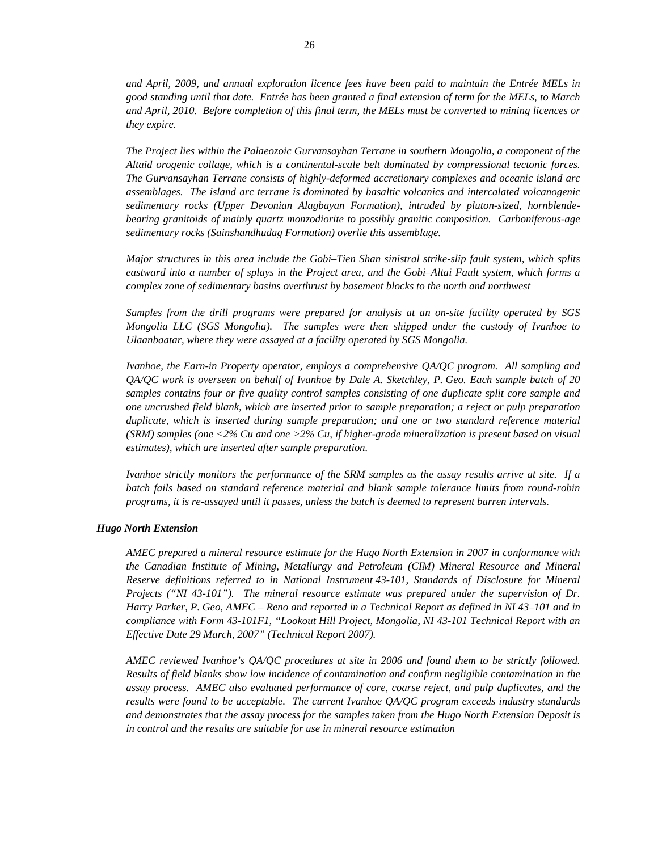*and April, 2009, and annual exploration licence fees have been paid to maintain the Entrée MELs in good standing until that date. Entrée has been granted a final extension of term for the MELs, to March and April, 2010. Before completion of this final term, the MELs must be converted to mining licences or they expire.* 

*The Project lies within the Palaeozoic Gurvansayhan Terrane in southern Mongolia, a component of the Altaid orogenic collage, which is a continental-scale belt dominated by compressional tectonic forces. The Gurvansayhan Terrane consists of highly-deformed accretionary complexes and oceanic island arc assemblages. The island arc terrane is dominated by basaltic volcanics and intercalated volcanogenic sedimentary rocks (Upper Devonian Alagbayan Formation), intruded by pluton-sized, hornblendebearing granitoids of mainly quartz monzodiorite to possibly granitic composition. Carboniferous-age sedimentary rocks (Sainshandhudag Formation) overlie this assemblage.* 

*Major structures in this area include the Gobi–Tien Shan sinistral strike-slip fault system, which splits eastward into a number of splays in the Project area, and the Gobi–Altai Fault system, which forms a complex zone of sedimentary basins overthrust by basement blocks to the north and northwest* 

*Samples from the drill programs were prepared for analysis at an on-site facility operated by SGS Mongolia LLC (SGS Mongolia). The samples were then shipped under the custody of Ivanhoe to Ulaanbaatar, where they were assayed at a facility operated by SGS Mongolia.* 

*Ivanhoe, the Earn-in Property operator, employs a comprehensive QA/QC program. All sampling and QA/QC work is overseen on behalf of Ivanhoe by Dale A. Sketchley, P. Geo. Each sample batch of 20 samples contains four or five quality control samples consisting of one duplicate split core sample and one uncrushed field blank, which are inserted prior to sample preparation; a reject or pulp preparation duplicate, which is inserted during sample preparation; and one or two standard reference material (SRM) samples (one <2% Cu and one >2% Cu, if higher-grade mineralization is present based on visual estimates), which are inserted after sample preparation.* 

*Ivanhoe strictly monitors the performance of the SRM samples as the assay results arrive at site. If a batch fails based on standard reference material and blank sample tolerance limits from round-robin programs, it is re-assayed until it passes, unless the batch is deemed to represent barren intervals.* 

#### *Hugo North Extension*

*AMEC prepared a mineral resource estimate for the Hugo North Extension in 2007 in conformance with the Canadian Institute of Mining, Metallurgy and Petroleum (CIM) Mineral Resource and Mineral Reserve definitions referred to in National Instrument 43-101, Standards of Disclosure for Mineral Projects ("NI 43-101"). The mineral resource estimate was prepared under the supervision of Dr. Harry Parker, P. Geo, AMEC – Reno and reported in a Technical Report as defined in NI 43–101 and in compliance with Form 43-101F1, "Lookout Hill Project, Mongolia, NI 43-101 Technical Report with an Effective Date 29 March, 2007" (Technical Report 2007).* 

*AMEC reviewed Ivanhoe's QA/QC procedures at site in 2006 and found them to be strictly followed. Results of field blanks show low incidence of contamination and confirm negligible contamination in the assay process. AMEC also evaluated performance of core, coarse reject, and pulp duplicates, and the results were found to be acceptable. The current Ivanhoe QA/QC program exceeds industry standards and demonstrates that the assay process for the samples taken from the Hugo North Extension Deposit is in control and the results are suitable for use in mineral resource estimation*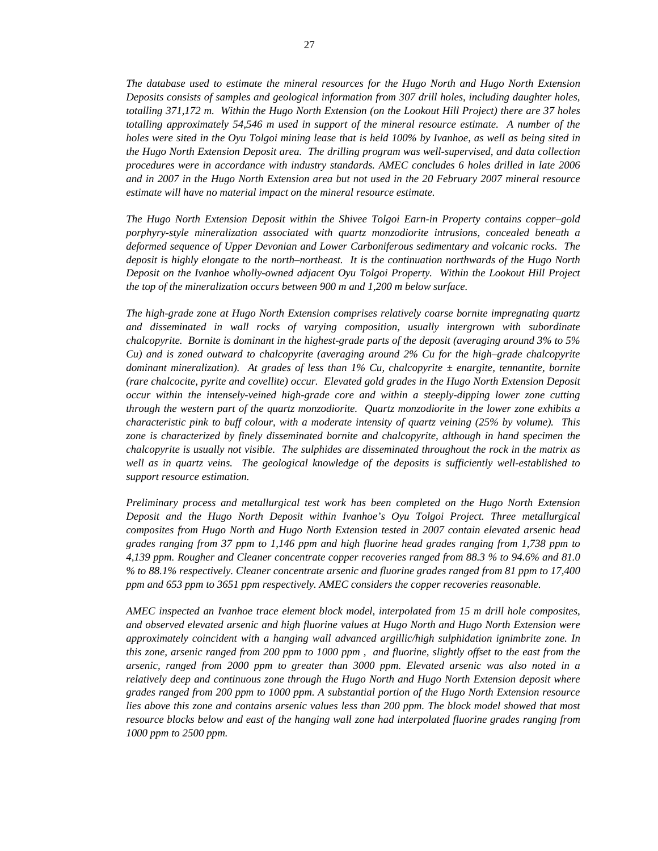*The database used to estimate the mineral resources for the Hugo North and Hugo North Extension Deposits consists of samples and geological information from 307 drill holes, including daughter holes, totalling 371,172 m. Within the Hugo North Extension (on the Lookout Hill Project) there are 37 holes totalling approximately 54,546 m used in support of the mineral resource estimate. A number of the holes were sited in the Oyu Tolgoi mining lease that is held 100% by Ivanhoe, as well as being sited in the Hugo North Extension Deposit area. The drilling program was well-supervised, and data collection procedures were in accordance with industry standards. AMEC concludes 6 holes drilled in late 2006 and in 2007 in the Hugo North Extension area but not used in the 20 February 2007 mineral resource estimate will have no material impact on the mineral resource estimate.* 

*The Hugo North Extension Deposit within the Shivee Tolgoi Earn-in Property contains copper–gold porphyry-style mineralization associated with quartz monzodiorite intrusions, concealed beneath a deformed sequence of Upper Devonian and Lower Carboniferous sedimentary and volcanic rocks. The deposit is highly elongate to the north–northeast. It is the continuation northwards of the Hugo North Deposit on the Ivanhoe wholly-owned adjacent Oyu Tolgoi Property. Within the Lookout Hill Project the top of the mineralization occurs between 900 m and 1,200 m below surface.* 

*The high-grade zone at Hugo North Extension comprises relatively coarse bornite impregnating quartz and disseminated in wall rocks of varying composition, usually intergrown with subordinate chalcopyrite. Bornite is dominant in the highest-grade parts of the deposit (averaging around 3% to 5% Cu) and is zoned outward to chalcopyrite (averaging around 2% Cu for the high–grade chalcopyrite dominant mineralization). At grades of less than 1% Cu, chalcopyrite ± enargite, tennantite, bornite (rare chalcocite, pyrite and covellite) occur. Elevated gold grades in the Hugo North Extension Deposit occur within the intensely-veined high-grade core and within a steeply-dipping lower zone cutting through the western part of the quartz monzodiorite. Quartz monzodiorite in the lower zone exhibits a characteristic pink to buff colour, with a moderate intensity of quartz veining (25% by volume). This zone is characterized by finely disseminated bornite and chalcopyrite, although in hand specimen the chalcopyrite is usually not visible. The sulphides are disseminated throughout the rock in the matrix as well as in quartz veins. The geological knowledge of the deposits is sufficiently well-established to support resource estimation.* 

*Preliminary process and metallurgical test work has been completed on the Hugo North Extension Deposit and the Hugo North Deposit within Ivanhoe's Oyu Tolgoi Project. Three metallurgical composites from Hugo North and Hugo North Extension tested in 2007 contain elevated arsenic head grades ranging from 37 ppm to 1,146 ppm and high fluorine head grades ranging from 1,738 ppm to 4,139 ppm. Rougher and Cleaner concentrate copper recoveries ranged from 88.3 % to 94.6% and 81.0 % to 88.1% respectively. Cleaner concentrate arsenic and fluorine grades ranged from 81 ppm to 17,400 ppm and 653 ppm to 3651 ppm respectively. AMEC considers the copper recoveries reasonable.* 

*AMEC inspected an Ivanhoe trace element block model, interpolated from 15 m drill hole composites, and observed elevated arsenic and high fluorine values at Hugo North and Hugo North Extension were approximately coincident with a hanging wall advanced argillic/high sulphidation ignimbrite zone. In this zone, arsenic ranged from 200 ppm to 1000 ppm , and fluorine, slightly offset to the east from the arsenic, ranged from 2000 ppm to greater than 3000 ppm. Elevated arsenic was also noted in a relatively deep and continuous zone through the Hugo North and Hugo North Extension deposit where grades ranged from 200 ppm to 1000 ppm. A substantial portion of the Hugo North Extension resource lies above this zone and contains arsenic values less than 200 ppm. The block model showed that most resource blocks below and east of the hanging wall zone had interpolated fluorine grades ranging from 1000 ppm to 2500 ppm.*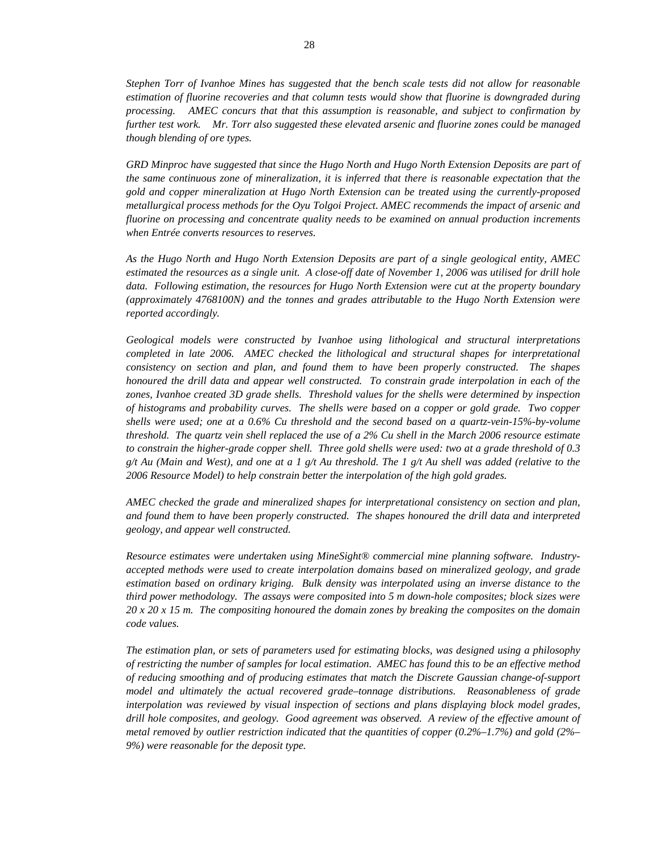*Stephen Torr of Ivanhoe Mines has suggested that the bench scale tests did not allow for reasonable estimation of fluorine recoveries and that column tests would show that fluorine is downgraded during processing. AMEC concurs that that this assumption is reasonable, and subject to confirmation by further test work. Mr. Torr also suggested these elevated arsenic and fluorine zones could be managed though blending of ore types.* 

*GRD Minproc have suggested that since the Hugo North and Hugo North Extension Deposits are part of the same continuous zone of mineralization, it is inferred that there is reasonable expectation that the gold and copper mineralization at Hugo North Extension can be treated using the currently-proposed metallurgical process methods for the Oyu Tolgoi Project. AMEC recommends the impact of arsenic and fluorine on processing and concentrate quality needs to be examined on annual production increments when Entrée converts resources to reserves.* 

*As the Hugo North and Hugo North Extension Deposits are part of a single geological entity, AMEC estimated the resources as a single unit. A close-off date of November 1, 2006 was utilised for drill hole data. Following estimation, the resources for Hugo North Extension were cut at the property boundary (approximately 4768100N) and the tonnes and grades attributable to the Hugo North Extension were reported accordingly.* 

*Geological models were constructed by Ivanhoe using lithological and structural interpretations completed in late 2006. AMEC checked the lithological and structural shapes for interpretational consistency on section and plan, and found them to have been properly constructed. The shapes honoured the drill data and appear well constructed. To constrain grade interpolation in each of the zones, Ivanhoe created 3D grade shells. Threshold values for the shells were determined by inspection of histograms and probability curves. The shells were based on a copper or gold grade. Two copper shells were used; one at a 0.6% Cu threshold and the second based on a quartz-vein-15%-by-volume threshold. The quartz vein shell replaced the use of a 2% Cu shell in the March 2006 resource estimate to constrain the higher-grade copper shell. Three gold shells were used: two at a grade threshold of 0.3 g/t Au (Main and West), and one at a 1 g/t Au threshold. The 1 g/t Au shell was added (relative to the 2006 Resource Model) to help constrain better the interpolation of the high gold grades.* 

*AMEC checked the grade and mineralized shapes for interpretational consistency on section and plan, and found them to have been properly constructed. The shapes honoured the drill data and interpreted geology, and appear well constructed.* 

*Resource estimates were undertaken using MineSight® commercial mine planning software. Industryaccepted methods were used to create interpolation domains based on mineralized geology, and grade estimation based on ordinary kriging. Bulk density was interpolated using an inverse distance to the third power methodology. The assays were composited into 5 m down-hole composites; block sizes were 20 x 20 x 15 m. The compositing honoured the domain zones by breaking the composites on the domain code values.* 

*The estimation plan, or sets of parameters used for estimating blocks, was designed using a philosophy of restricting the number of samples for local estimation. AMEC has found this to be an effective method of reducing smoothing and of producing estimates that match the Discrete Gaussian change-of-support model and ultimately the actual recovered grade–tonnage distributions. Reasonableness of grade interpolation was reviewed by visual inspection of sections and plans displaying block model grades, drill hole composites, and geology. Good agreement was observed. A review of the effective amount of metal removed by outlier restriction indicated that the quantities of copper (0.2%–1.7%) and gold (2%– 9%) were reasonable for the deposit type.*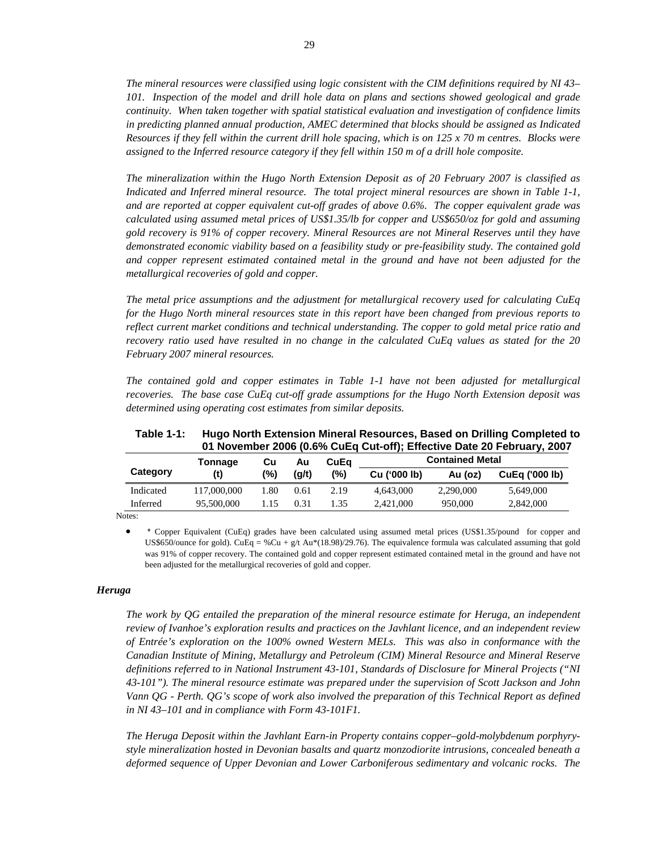*The mineral resources were classified using logic consistent with the CIM definitions required by NI 43– 101. Inspection of the model and drill hole data on plans and sections showed geological and grade continuity. When taken together with spatial statistical evaluation and investigation of confidence limits in predicting planned annual production, AMEC determined that blocks should be assigned as Indicated Resources if they fell within the current drill hole spacing, which is on 125 x 70 m centres. Blocks were assigned to the Inferred resource category if they fell within 150 m of a drill hole composite.* 

*The mineralization within the Hugo North Extension Deposit as of 20 February 2007 is classified as Indicated and Inferred mineral resource. The total project mineral resources are shown in Table 1-1, and are reported at copper equivalent cut-off grades of above 0.6%. The copper equivalent grade was calculated using assumed metal prices of US\$1.35/lb for copper and US\$650/oz for gold and assuming gold recovery is 91% of copper recovery. Mineral Resources are not Mineral Reserves until they have demonstrated economic viability based on a feasibility study or pre-feasibility study. The contained gold and copper represent estimated contained metal in the ground and have not been adjusted for the metallurgical recoveries of gold and copper.* 

*The metal price assumptions and the adjustment for metallurgical recovery used for calculating CuEq for the Hugo North mineral resources state in this report have been changed from previous reports to reflect current market conditions and technical understanding. The copper to gold metal price ratio and recovery ratio used have resulted in no change in the calculated CuEq values as stated for the 20 February 2007 mineral resources.* 

*The contained gold and copper estimates in Table 1-1 have not been adjusted for metallurgical recoveries. The base case CuEq cut-off grade assumptions for the Hugo North Extension deposit was determined using operating cost estimates from similar deposits.* 

|                             |             |      |       |      |              |                        | 01 November 2006 (0.6% CuEq Cut-off); Effective Date 20 February, 2007 |
|-----------------------------|-------------|------|-------|------|--------------|------------------------|------------------------------------------------------------------------|
| CuEa<br>Tonnage<br>Cu<br>Au |             |      |       |      |              | <b>Contained Metal</b> |                                                                        |
| Category                    | (t)         | (%)  | (a/t) | (%)  | Cu ('000 lb) | Au (oz)                | <b>CuEa ('000 lb)</b>                                                  |
| Indicated                   | 117,000,000 | 1.80 | 0.61  | 2.19 | 4.643.000    | 2.290,000              | 5.649,000                                                              |
| Inferred                    | 95,500,000  | 1.15 | 0.31  | 1.35 | 2.421,000    | 950,000                | 2,842,000                                                              |

**Table 1-1: Hugo North Extension Mineral Resources, Based on Drilling Completed to 01 November 2006 (0.6% CuEq Cut-off); Effective Date 20 February, 2007** 

Notes:

• \* Copper Equivalent (CuEq) grades have been calculated using assumed metal prices (US\$1.35/pound for copper and US\$650/ounce for gold). CuEq = %Cu + g/t Au\*(18.98)/29.76). The equivalence formula was calculated assuming that gold was 91% of copper recovery. The contained gold and copper represent estimated contained metal in the ground and have not been adjusted for the metallurgical recoveries of gold and copper.

#### *Heruga*

*The work by QG entailed the preparation of the mineral resource estimate for Heruga, an independent review of Ivanhoe's exploration results and practices on the Javhlant licence, and an independent review of Entrée's exploration on the 100% owned Western MELs. This was also in conformance with the Canadian Institute of Mining, Metallurgy and Petroleum (CIM) Mineral Resource and Mineral Reserve definitions referred to in National Instrument 43-101, Standards of Disclosure for Mineral Projects ("NI 43-101"). The mineral resource estimate was prepared under the supervision of Scott Jackson and John Vann QG - Perth. QG's scope of work also involved the preparation of this Technical Report as defined in NI 43–101 and in compliance with Form 43-101F1.* 

*The Heruga Deposit within the Javhlant Earn-in Property contains copper–gold-molybdenum porphyrystyle mineralization hosted in Devonian basalts and quartz monzodiorite intrusions, concealed beneath a deformed sequence of Upper Devonian and Lower Carboniferous sedimentary and volcanic rocks. The*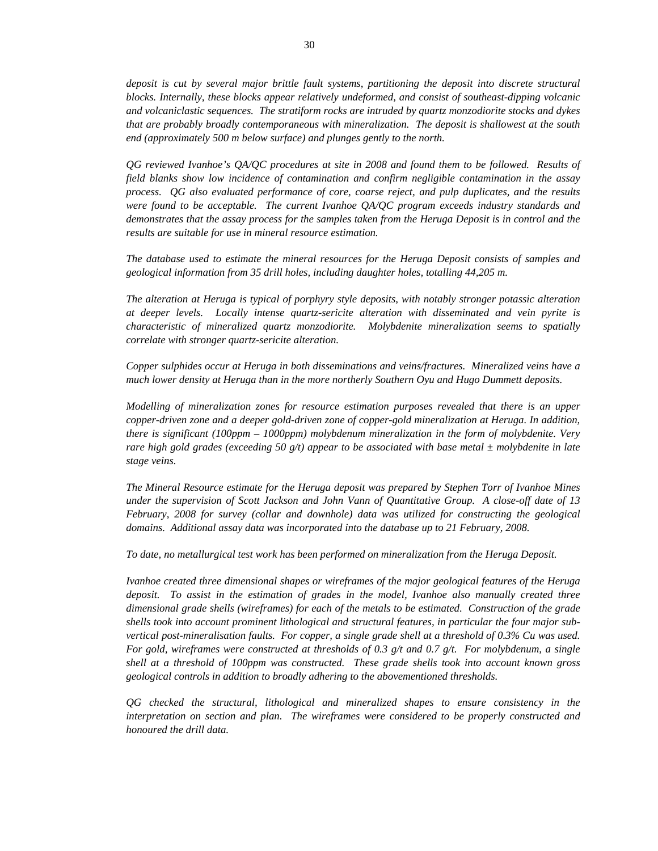30

*deposit is cut by several major brittle fault systems, partitioning the deposit into discrete structural blocks. Internally, these blocks appear relatively undeformed, and consist of southeast-dipping volcanic and volcaniclastic sequences. The stratiform rocks are intruded by quartz monzodiorite stocks and dykes that are probably broadly contemporaneous with mineralization. The deposit is shallowest at the south end (approximately 500 m below surface) and plunges gently to the north.* 

*QG reviewed Ivanhoe's QA/QC procedures at site in 2008 and found them to be followed. Results of field blanks show low incidence of contamination and confirm negligible contamination in the assay process. QG also evaluated performance of core, coarse reject, and pulp duplicates, and the results were found to be acceptable. The current Ivanhoe QA/QC program exceeds industry standards and demonstrates that the assay process for the samples taken from the Heruga Deposit is in control and the results are suitable for use in mineral resource estimation.* 

*The database used to estimate the mineral resources for the Heruga Deposit consists of samples and geological information from 35 drill holes, including daughter holes, totalling 44,205 m.* 

*The alteration at Heruga is typical of porphyry style deposits, with notably stronger potassic alteration at deeper levels. Locally intense quartz-sericite alteration with disseminated and vein pyrite is characteristic of mineralized quartz monzodiorite. Molybdenite mineralization seems to spatially correlate with stronger quartz-sericite alteration.* 

*Copper sulphides occur at Heruga in both disseminations and veins/fractures. Mineralized veins have a much lower density at Heruga than in the more northerly Southern Oyu and Hugo Dummett deposits.* 

*Modelling of mineralization zones for resource estimation purposes revealed that there is an upper copper-driven zone and a deeper gold-driven zone of copper-gold mineralization at Heruga. In addition, there is significant (100ppm – 1000ppm) molybdenum mineralization in the form of molybdenite. Very rare high gold grades (exceeding 50 g/t) appear to be associated with base metal ± molybdenite in late stage veins.* 

*The Mineral Resource estimate for the Heruga deposit was prepared by Stephen Torr of Ivanhoe Mines under the supervision of Scott Jackson and John Vann of Quantitative Group. A close-off date of 13 February, 2008 for survey (collar and downhole) data was utilized for constructing the geological domains. Additional assay data was incorporated into the database up to 21 February, 2008.* 

*To date, no metallurgical test work has been performed on mineralization from the Heruga Deposit.* 

*Ivanhoe created three dimensional shapes or wireframes of the major geological features of the Heruga deposit. To assist in the estimation of grades in the model, Ivanhoe also manually created three dimensional grade shells (wireframes) for each of the metals to be estimated. Construction of the grade shells took into account prominent lithological and structural features, in particular the four major subvertical post-mineralisation faults. For copper, a single grade shell at a threshold of 0.3% Cu was used. For gold, wireframes were constructed at thresholds of 0.3 g/t and 0.7 g/t. For molybdenum, a single shell at a threshold of 100ppm was constructed. These grade shells took into account known gross geological controls in addition to broadly adhering to the abovementioned thresholds.* 

*QG checked the structural, lithological and mineralized shapes to ensure consistency in the interpretation on section and plan. The wireframes were considered to be properly constructed and honoured the drill data.*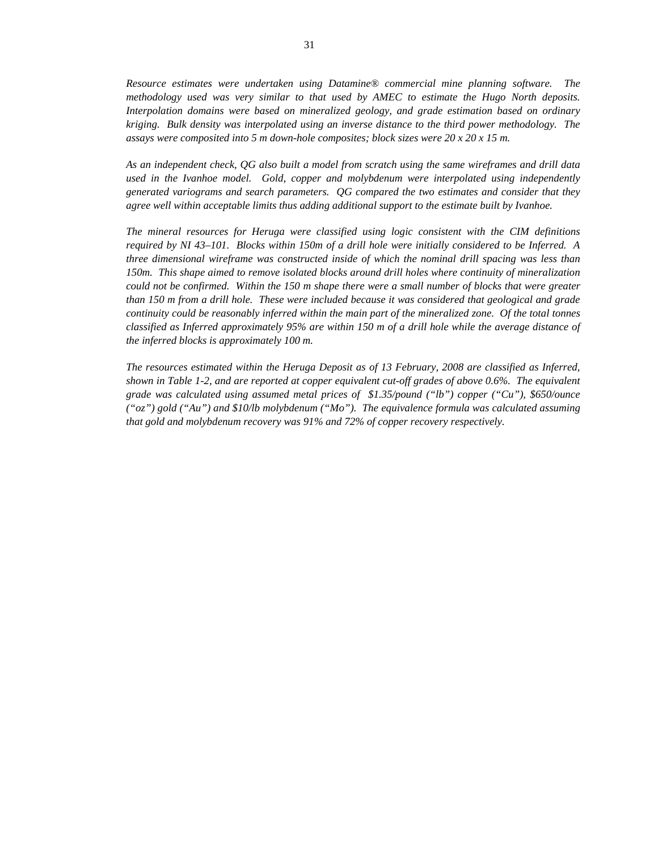*Resource estimates were undertaken using Datamine® commercial mine planning software. The methodology used was very similar to that used by AMEC to estimate the Hugo North deposits. Interpolation domains were based on mineralized geology, and grade estimation based on ordinary kriging. Bulk density was interpolated using an inverse distance to the third power methodology. The assays were composited into 5 m down-hole composites; block sizes were 20 x 20 x 15 m.* 

*As an independent check, QG also built a model from scratch using the same wireframes and drill data used in the Ivanhoe model. Gold, copper and molybdenum were interpolated using independently generated variograms and search parameters. QG compared the two estimates and consider that they agree well within acceptable limits thus adding additional support to the estimate built by Ivanhoe.* 

*The mineral resources for Heruga were classified using logic consistent with the CIM definitions required by NI 43–101. Blocks within 150m of a drill hole were initially considered to be Inferred. A three dimensional wireframe was constructed inside of which the nominal drill spacing was less than 150m. This shape aimed to remove isolated blocks around drill holes where continuity of mineralization could not be confirmed. Within the 150 m shape there were a small number of blocks that were greater than 150 m from a drill hole. These were included because it was considered that geological and grade continuity could be reasonably inferred within the main part of the mineralized zone. Of the total tonnes classified as Inferred approximately 95% are within 150 m of a drill hole while the average distance of the inferred blocks is approximately 100 m.* 

*The resources estimated within the Heruga Deposit as of 13 February, 2008 are classified as Inferred, shown in Table 1-2, and are reported at copper equivalent cut-off grades of above 0.6%. The equivalent grade was calculated using assumed metal prices of \$1.35/pound ("lb") copper ("Cu"), \$650/ounce ("oz") gold ("Au") and \$10/lb molybdenum ("Mo"). The equivalence formula was calculated assuming that gold and molybdenum recovery was 91% and 72% of copper recovery respectively.*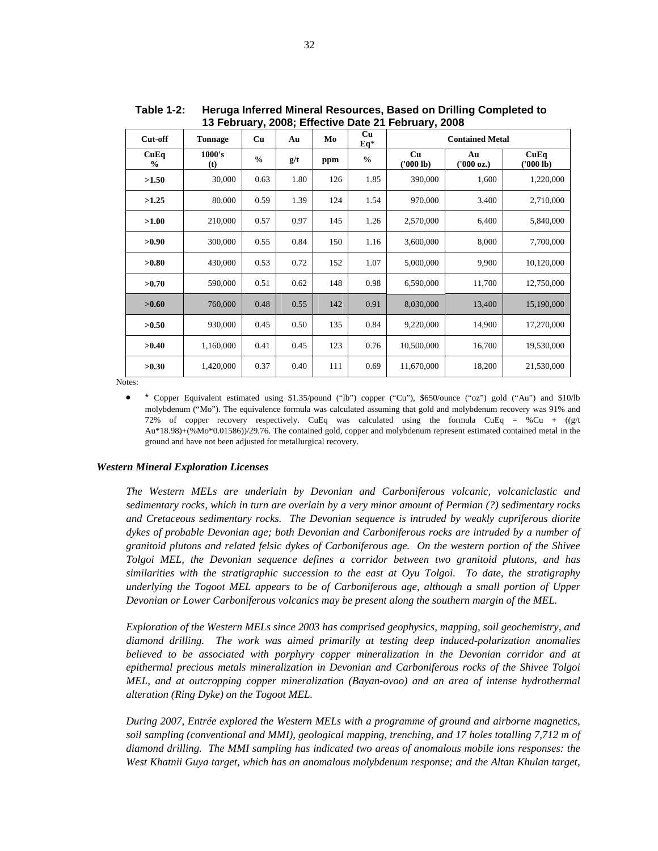| Cut-off               | <b>Tonnage</b> | ,,<br>Cu      | Au   | Mo  | Cu<br>$Eq*$   | ,,<br><b>Contained Metal</b> |                  |                   |
|-----------------------|----------------|---------------|------|-----|---------------|------------------------------|------------------|-------------------|
| CuEq<br>$\frac{6}{9}$ | 1000's<br>(t)  | $\frac{0}{0}$ | g/t  | ppm | $\frac{0}{0}$ | Cu<br>(1000 lb)              | Au<br>('000 oz.) | CuEq<br>(1000 lb) |
| >1.50                 | 30,000         | 0.63          | 1.80 | 126 | 1.85          | 390,000                      | 1,600            | 1,220,000         |
| >1.25                 | 80,000         | 0.59          | 1.39 | 124 | 1.54          | 970,000                      | 3,400            | 2,710,000         |
| >1.00                 | 210,000        | 0.57          | 0.97 | 145 | 1.26          | 2,570,000                    | 6,400            | 5,840,000         |
| >0.90                 | 300,000        | 0.55          | 0.84 | 150 | 1.16          | 3,600,000                    | 8,000            | 7,700,000         |
| >0.80                 | 430,000        | 0.53          | 0.72 | 152 | 1.07          | 5,000,000                    | 9,900            | 10,120,000        |
| >0.70                 | 590,000        | 0.51          | 0.62 | 148 | 0.98          | 6,590,000                    | 11,700           | 12,750,000        |
| >0.60                 | 760,000        | 0.48          | 0.55 | 142 | 0.91          | 8,030,000                    | 13,400           | 15,190,000        |
| >0.50                 | 930,000        | 0.45          | 0.50 | 135 | 0.84          | 9,220,000                    | 14,900           | 17,270,000        |
| >0.40                 | 1,160,000      | 0.41          | 0.45 | 123 | 0.76          | 10,500,000                   | 16,700           | 19,530,000        |
| >0.30                 | 1,420,000      | 0.37          | 0.40 | 111 | 0.69          | 11,670,000                   | 18,200           | 21,530,000        |

**Table 1-2: Heruga Inferred Mineral Resources, Based on Drilling Completed to 13 February, 2008; Effective Date 21 February, 2008** 

Notes:

• \* Copper Equivalent estimated using \$1.35/pound ("lb") copper ("Cu"), \$650/ounce ("oz") gold ("Au") and \$10/lb molybdenum ("Mo"). The equivalence formula was calculated assuming that gold and molybdenum recovery was 91% and 72% of copper recovery respectively. CuEq was calculated using the formula CuEq = %Cu +  $((g/t)$ Au\*18.98)+(%Mo\*0.01586))/29.76. The contained gold, copper and molybdenum represent estimated contained metal in the ground and have not been adjusted for metallurgical recovery.

## *Western Mineral Exploration Licenses*

*The Western MELs are underlain by Devonian and Carboniferous volcanic, volcaniclastic and sedimentary rocks, which in turn are overlain by a very minor amount of Permian (?) sedimentary rocks and Cretaceous sedimentary rocks. The Devonian sequence is intruded by weakly cupriferous diorite dykes of probable Devonian age; both Devonian and Carboniferous rocks are intruded by a number of granitoid plutons and related felsic dykes of Carboniferous age. On the western portion of the Shivee Tolgoi MEL, the Devonian sequence defines a corridor between two granitoid plutons, and has similarities with the stratigraphic succession to the east at Oyu Tolgoi. To date, the stratigraphy underlying the Togoot MEL appears to be of Carboniferous age, although a small portion of Upper Devonian or Lower Carboniferous volcanics may be present along the southern margin of the MEL.* 

*Exploration of the Western MELs since 2003 has comprised geophysics, mapping, soil geochemistry, and diamond drilling. The work was aimed primarily at testing deep induced-polarization anomalies believed to be associated with porphyry copper mineralization in the Devonian corridor and at epithermal precious metals mineralization in Devonian and Carboniferous rocks of the Shivee Tolgoi MEL, and at outcropping copper mineralization (Bayan-ovoo) and an area of intense hydrothermal alteration (Ring Dyke) on the Togoot MEL.* 

*During 2007, Entrée explored the Western MELs with a programme of ground and airborne magnetics, soil sampling (conventional and MMI), geological mapping, trenching, and 17 holes totalling 7,712 m of diamond drilling. The MMI sampling has indicated two areas of anomalous mobile ions responses: the*  West Khatnii Guya target, which has an anomalous molybdenum response; and the Altan Khulan target,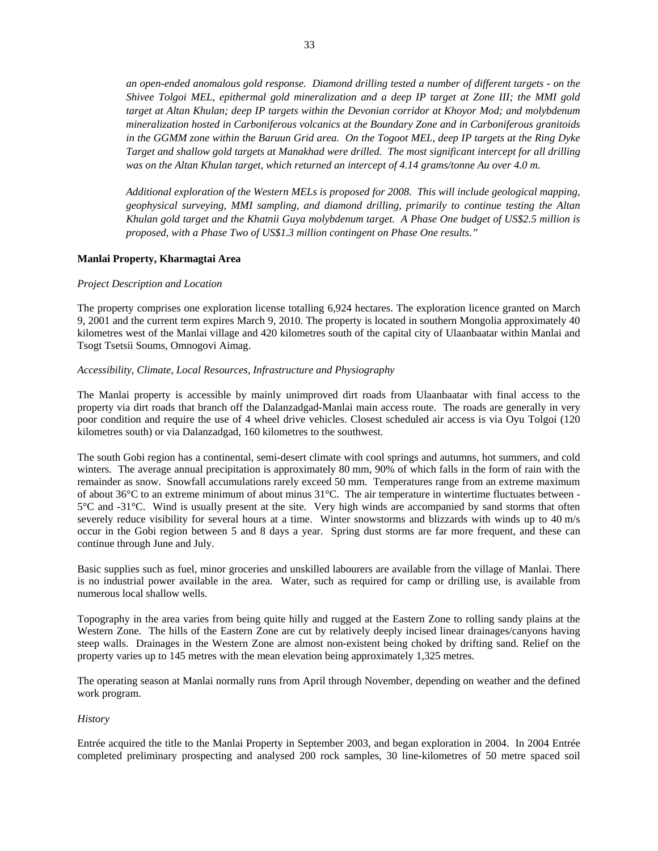*an open-ended anomalous gold response. Diamond drilling tested a number of different targets - on the Shivee Tolgoi MEL, epithermal gold mineralization and a deep IP target at Zone III; the MMI gold target at Altan Khulan; deep IP targets within the Devonian corridor at Khoyor Mod; and molybdenum mineralization hosted in Carboniferous volcanics at the Boundary Zone and in Carboniferous granitoids in the GGMM zone within the Baruun Grid area. On the Togoot MEL, deep IP targets at the Ring Dyke Target and shallow gold targets at Manakhad were drilled. The most significant intercept for all drilling*  was on the Altan Khulan target, which returned an intercept of 4.14 grams/tonne Au over 4.0 m.

*Additional exploration of the Western MELs is proposed for 2008. This will include geological mapping, geophysical surveying, MMI sampling, and diamond drilling, primarily to continue testing the Altan Khulan gold target and the Khatnii Guya molybdenum target. A Phase One budget of US\$2.5 million is proposed, with a Phase Two of US\$1.3 million contingent on Phase One results."* 

#### **Manlai Property, Kharmagtai Area**

#### *Project Description and Location*

The property comprises one exploration license totalling 6,924 hectares. The exploration licence granted on March 9, 2001 and the current term expires March 9, 2010. The property is located in southern Mongolia approximately 40 kilometres west of the Manlai village and 420 kilometres south of the capital city of Ulaanbaatar within Manlai and Tsogt Tsetsii Soums, Omnogovi Aimag.

#### *Accessibility, Climate, Local Resources, Infrastructure and Physiography*

The Manlai property is accessible by mainly unimproved dirt roads from Ulaanbaatar with final access to the property via dirt roads that branch off the Dalanzadgad-Manlai main access route. The roads are generally in very poor condition and require the use of 4 wheel drive vehicles. Closest scheduled air access is via Oyu Tolgoi (120 kilometres south) or via Dalanzadgad, 160 kilometres to the southwest.

The south Gobi region has a continental, semi-desert climate with cool springs and autumns, hot summers, and cold winters. The average annual precipitation is approximately 80 mm, 90% of which falls in the form of rain with the remainder as snow. Snowfall accumulations rarely exceed 50 mm. Temperatures range from an extreme maximum of about 36°C to an extreme minimum of about minus 31°C. The air temperature in wintertime fluctuates between - 5°C and -31°C. Wind is usually present at the site. Very high winds are accompanied by sand storms that often severely reduce visibility for several hours at a time. Winter snowstorms and blizzards with winds up to 40 m/s occur in the Gobi region between 5 and 8 days a year. Spring dust storms are far more frequent, and these can continue through June and July.

Basic supplies such as fuel, minor groceries and unskilled labourers are available from the village of Manlai. There is no industrial power available in the area. Water, such as required for camp or drilling use, is available from numerous local shallow wells.

Topography in the area varies from being quite hilly and rugged at the Eastern Zone to rolling sandy plains at the Western Zone. The hills of the Eastern Zone are cut by relatively deeply incised linear drainages/canyons having steep walls. Drainages in the Western Zone are almost non-existent being choked by drifting sand. Relief on the property varies up to 145 metres with the mean elevation being approximately 1,325 metres.

The operating season at Manlai normally runs from April through November, depending on weather and the defined work program.

#### *History*

Entrée acquired the title to the Manlai Property in September 2003, and began exploration in 2004. In 2004 Entrée completed preliminary prospecting and analysed 200 rock samples, 30 line-kilometres of 50 metre spaced soil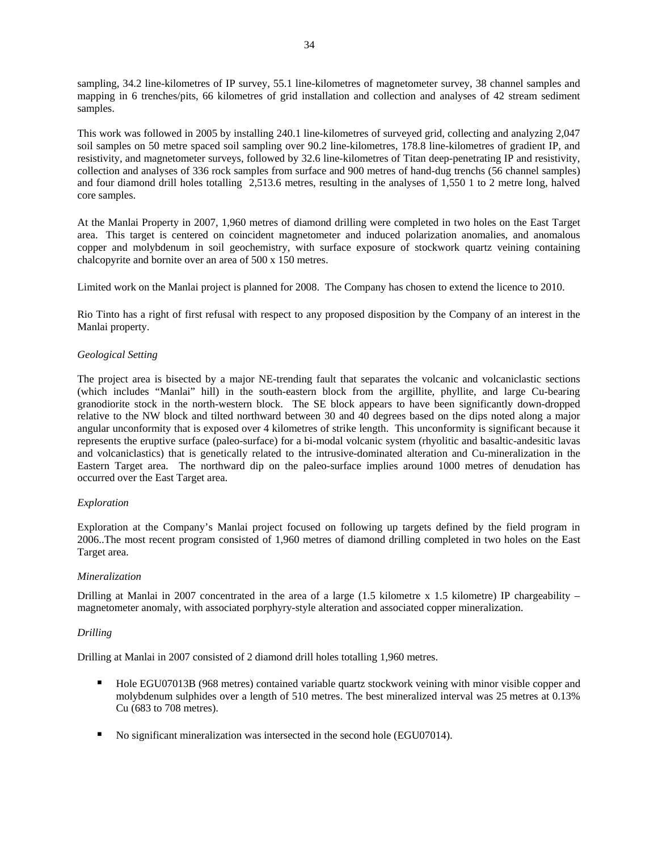sampling, 34.2 line-kilometres of IP survey, 55.1 line-kilometres of magnetometer survey, 38 channel samples and mapping in 6 trenches/pits, 66 kilometres of grid installation and collection and analyses of 42 stream sediment samples.

This work was followed in 2005 by installing 240.1 line-kilometres of surveyed grid, collecting and analyzing 2,047 soil samples on 50 metre spaced soil sampling over 90.2 line-kilometres, 178.8 line-kilometres of gradient IP, and resistivity, and magnetometer surveys, followed by 32.6 line-kilometres of Titan deep-penetrating IP and resistivity, collection and analyses of 336 rock samples from surface and 900 metres of hand-dug trenchs (56 channel samples) and four diamond drill holes totalling 2,513.6 metres, resulting in the analyses of 1,550 1 to 2 metre long, halved core samples.

At the Manlai Property in 2007, 1,960 metres of diamond drilling were completed in two holes on the East Target area. This target is centered on coincident magnetometer and induced polarization anomalies, and anomalous copper and molybdenum in soil geochemistry, with surface exposure of stockwork quartz veining containing chalcopyrite and bornite over an area of 500 x 150 metres.

Limited work on the Manlai project is planned for 2008. The Company has chosen to extend the licence to 2010.

Rio Tinto has a right of first refusal with respect to any proposed disposition by the Company of an interest in the Manlai property.

## *Geological Setting*

The project area is bisected by a major NE-trending fault that separates the volcanic and volcaniclastic sections (which includes "Manlai" hill) in the south-eastern block from the argillite, phyllite, and large Cu-bearing granodiorite stock in the north-western block. The SE block appears to have been significantly down-dropped relative to the NW block and tilted northward between 30 and 40 degrees based on the dips noted along a major angular unconformity that is exposed over 4 kilometres of strike length. This unconformity is significant because it represents the eruptive surface (paleo-surface) for a bi-modal volcanic system (rhyolitic and basaltic-andesitic lavas and volcaniclastics) that is genetically related to the intrusive-dominated alteration and Cu-mineralization in the Eastern Target area. The northward dip on the paleo-surface implies around 1000 metres of denudation has occurred over the East Target area.

## *Exploration*

Exploration at the Company's Manlai project focused on following up targets defined by the field program in 2006..The most recent program consisted of 1,960 metres of diamond drilling completed in two holes on the East Target area.

## *Mineralization*

Drilling at Manlai in 2007 concentrated in the area of a large  $(1.5 \text{ kilometer x } 1.5 \text{ kilometer})$  IP chargeability – magnetometer anomaly, with associated porphyry-style alteration and associated copper mineralization.

#### *Drilling*

Drilling at Manlai in 2007 consisted of 2 diamond drill holes totalling 1,960 metres.

- Hole EGU07013B (968 metres) contained variable quartz stockwork veining with minor visible copper and molybdenum sulphides over a length of 510 metres. The best mineralized interval was 25 metres at 0.13% Cu (683 to 708 metres).
- No significant mineralization was intersected in the second hole (EGU07014).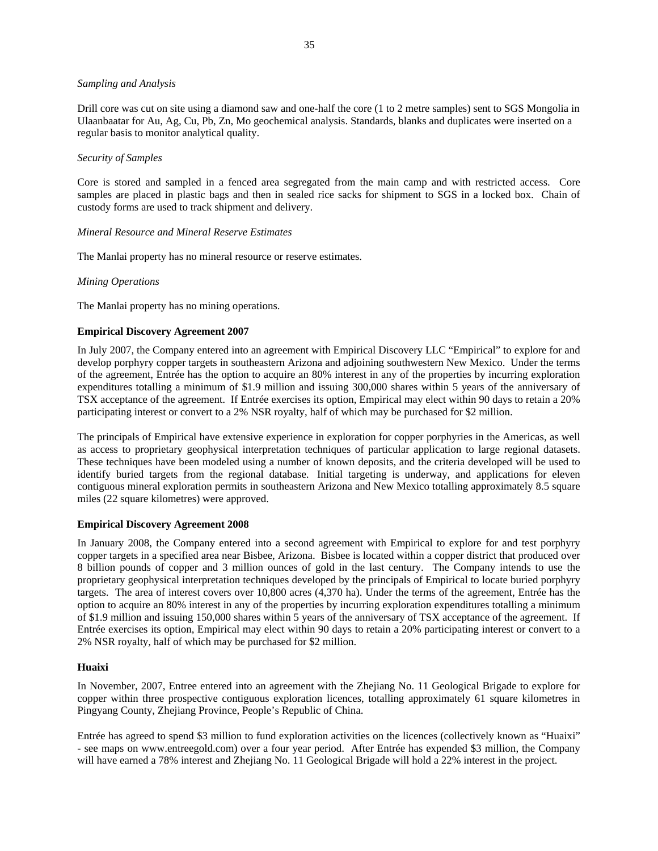#### *Sampling and Analysis*

Drill core was cut on site using a diamond saw and one-half the core (1 to 2 metre samples) sent to SGS Mongolia in Ulaanbaatar for Au, Ag, Cu, Pb, Zn, Mo geochemical analysis. Standards, blanks and duplicates were inserted on a regular basis to monitor analytical quality.

#### *Security of Samples*

Core is stored and sampled in a fenced area segregated from the main camp and with restricted access. Core samples are placed in plastic bags and then in sealed rice sacks for shipment to SGS in a locked box. Chain of custody forms are used to track shipment and delivery.

## *Mineral Resource and Mineral Reserve Estimates*

The Manlai property has no mineral resource or reserve estimates.

#### *Mining Operations*

The Manlai property has no mining operations.

#### **Empirical Discovery Agreement 2007**

In July 2007, the Company entered into an agreement with Empirical Discovery LLC "Empirical" to explore for and develop porphyry copper targets in southeastern Arizona and adjoining southwestern New Mexico. Under the terms of the agreement, Entrée has the option to acquire an 80% interest in any of the properties by incurring exploration expenditures totalling a minimum of \$1.9 million and issuing 300,000 shares within 5 years of the anniversary of TSX acceptance of the agreement. If Entrée exercises its option, Empirical may elect within 90 days to retain a 20% participating interest or convert to a 2% NSR royalty, half of which may be purchased for \$2 million.

The principals of Empirical have extensive experience in exploration for copper porphyries in the Americas, as well as access to proprietary geophysical interpretation techniques of particular application to large regional datasets. These techniques have been modeled using a number of known deposits, and the criteria developed will be used to identify buried targets from the regional database. Initial targeting is underway, and applications for eleven contiguous mineral exploration permits in southeastern Arizona and New Mexico totalling approximately 8.5 square miles (22 square kilometres) were approved.

#### **Empirical Discovery Agreement 2008**

In January 2008, the Company entered into a second agreement with Empirical to explore for and test porphyry copper targets in a specified area near Bisbee, Arizona. Bisbee is located within a copper district that produced over 8 billion pounds of copper and 3 million ounces of gold in the last century. The Company intends to use the proprietary geophysical interpretation techniques developed by the principals of Empirical to locate buried porphyry targets. The area of interest covers over 10,800 acres (4,370 ha). Under the terms of the agreement, Entrée has the option to acquire an 80% interest in any of the properties by incurring exploration expenditures totalling a minimum of \$1.9 million and issuing 150,000 shares within 5 years of the anniversary of TSX acceptance of the agreement. If Entrée exercises its option, Empirical may elect within 90 days to retain a 20% participating interest or convert to a 2% NSR royalty, half of which may be purchased for \$2 million.

#### **Huaixi**

In November, 2007, Entree entered into an agreement with the Zhejiang No. 11 Geological Brigade to explore for copper within three prospective contiguous exploration licences, totalling approximately 61 square kilometres in Pingyang County, Zhejiang Province, People's Republic of China.

Entrée has agreed to spend \$3 million to fund exploration activities on the licences (collectively known as "Huaixi" - see maps on [www.entreegold.com\)](http://www.entreegold.com/) over a four year period. After Entrée has expended \$3 million, the Company will have earned a 78% interest and Zhejiang No. 11 Geological Brigade will hold a 22% interest in the project.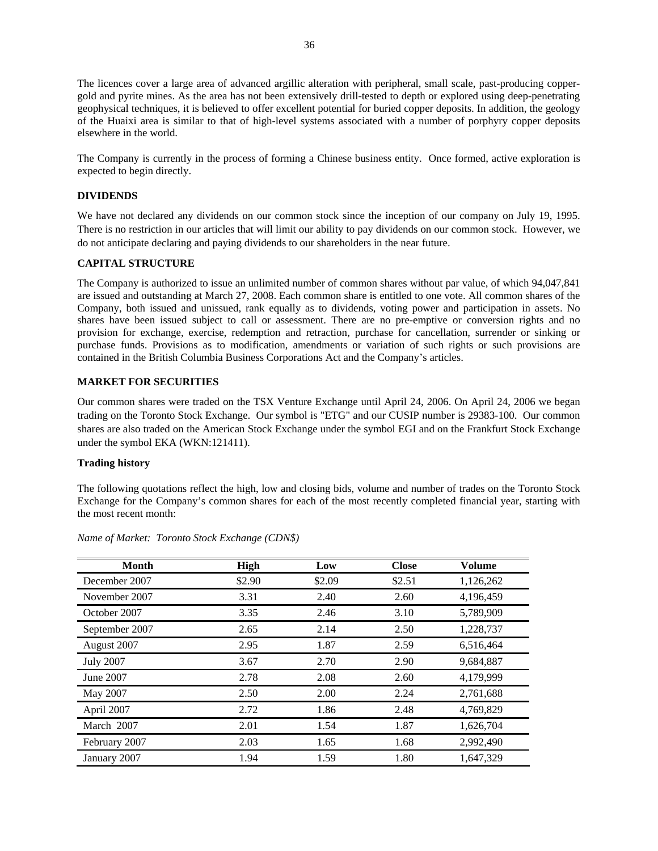<span id="page-36-0"></span>The licences cover a large area of advanced argillic alteration with peripheral, small scale, past-producing coppergold and pyrite mines. As the area has not been extensively drill-tested to depth or explored using deep-penetrating geophysical techniques, it is believed to offer excellent potential for buried copper deposits. In addition, the geology of the Huaixi area is similar to that of high-level systems associated with a number of porphyry copper deposits elsewhere in the world.

The Company is currently in the process of forming a Chinese business entity. Once formed, active exploration is expected to begin directly.

#### **DIVIDENDS**

We have not declared any dividends on our common stock since the inception of our company on July 19, 1995. There is no restriction in our articles that will limit our ability to pay dividends on our common stock. However, we do not anticipate declaring and paying dividends to our shareholders in the near future.

## **CAPITAL STRUCTURE**

The Company is authorized to issue an unlimited number of common shares without par value, of which 94,047,841 are issued and outstanding at March 27, 2008. Each common share is entitled to one vote. All common shares of the Company, both issued and unissued, rank equally as to dividends, voting power and participation in assets. No shares have been issued subject to call or assessment. There are no pre-emptive or conversion rights and no provision for exchange, exercise, redemption and retraction, purchase for cancellation, surrender or sinking or purchase funds. Provisions as to modification, amendments or variation of such rights or such provisions are contained in the British Columbia Business Corporations Act and the Company's articles.

#### **MARKET FOR SECURITIES**

Our common shares were traded on the TSX Venture Exchange until April 24, 2006. On April 24, 2006 we began trading on the Toronto Stock Exchange. Our symbol is "ETG" and our CUSIP number is 29383-100. Our common shares are also traded on the American Stock Exchange under the symbol EGI and on the Frankfurt Stock Exchange under the symbol EKA (WKN:121411).

#### **Trading history**

The following quotations reflect the high, low and closing bids, volume and number of trades on the Toronto Stock Exchange for the Company's common shares for each of the most recently completed financial year, starting with the most recent month:

| <b>Month</b>     | <b>High</b> | Low    | <b>Close</b> | Volume    |
|------------------|-------------|--------|--------------|-----------|
| December 2007    | \$2.90      | \$2.09 | \$2.51       | 1,126,262 |
| November 2007    | 3.31        | 2.40   | 2.60         | 4,196,459 |
| October 2007     | 3.35        | 2.46   | 3.10         | 5,789,909 |
| September 2007   | 2.65        | 2.14   | 2.50         | 1,228,737 |
| August 2007      | 2.95        | 1.87   | 2.59         | 6,516,464 |
| <b>July 2007</b> | 3.67        | 2.70   | 2.90         | 9,684,887 |
| June 2007        | 2.78        | 2.08   | 2.60         | 4,179,999 |
| May 2007         | 2.50        | 2.00   | 2.24         | 2,761,688 |
| April 2007       | 2.72        | 1.86   | 2.48         | 4,769,829 |
| March 2007       | 2.01        | 1.54   | 1.87         | 1,626,704 |
| February 2007    | 2.03        | 1.65   | 1.68         | 2,992,490 |
| January 2007     | 1.94        | 1.59   | 1.80         | 1.647.329 |

*Name of Market: Toronto Stock Exchange (CDN\$)*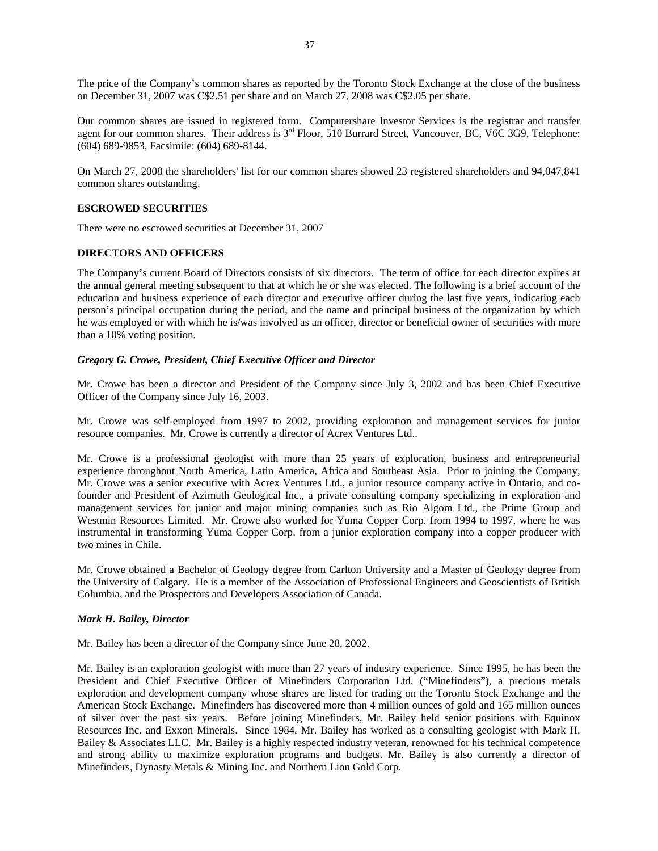<span id="page-37-0"></span>The price of the Company's common shares as reported by the Toronto Stock Exchange at the close of the business on December 31, 2007 was C\$2.51 per share and on March 27, 2008 was C\$2.05 per share.

Our common shares are issued in registered form. Computershare Investor Services is the registrar and transfer agent for our common shares. Their address is 3<sup>rd</sup> Floor, 510 Burrard Street, Vancouver, BC, V6C 3G9, Telephone: (604) 689-9853, Facsimile: (604) 689-8144.

On March 27, 2008 the shareholders' list for our common shares showed 23 registered shareholders and 94,047,841 common shares outstanding.

#### **ESCROWED SECURITIES**

There were no escrowed securities at December 31, 2007

#### **DIRECTORS AND OFFICERS**

The Company's current Board of Directors consists of six directors. The term of office for each director expires at the annual general meeting subsequent to that at which he or she was elected. The following is a brief account of the education and business experience of each director and executive officer during the last five years, indicating each person's principal occupation during the period, and the name and principal business of the organization by which he was employed or with which he is/was involved as an officer, director or beneficial owner of securities with more than a 10% voting position.

#### *Gregory G. Crowe, President, Chief Executive Officer and Director*

Mr. Crowe has been a director and President of the Company since July 3, 2002 and has been Chief Executive Officer of the Company since July 16, 2003.

Mr. Crowe was self-employed from 1997 to 2002, providing exploration and management services for junior resource companies. Mr. Crowe is currently a director of Acrex Ventures Ltd..

Mr. Crowe is a professional geologist with more than 25 years of exploration, business and entrepreneurial experience throughout North America, Latin America, Africa and Southeast Asia. Prior to joining the Company, Mr. Crowe was a senior executive with Acrex Ventures Ltd., a junior resource company active in Ontario, and cofounder and President of Azimuth Geological Inc., a private consulting company specializing in exploration and management services for junior and major mining companies such as Rio Algom Ltd., the Prime Group and Westmin Resources Limited. Mr. Crowe also worked for Yuma Copper Corp. from 1994 to 1997, where he was instrumental in transforming Yuma Copper Corp. from a junior exploration company into a copper producer with two mines in Chile.

Mr. Crowe obtained a Bachelor of Geology degree from Carlton University and a Master of Geology degree from the University of Calgary. He is a member of the Association of Professional Engineers and Geoscientists of British Columbia, and the Prospectors and Developers Association of Canada.

#### *Mark H. Bailey, Director*

Mr. Bailey has been a director of the Company since June 28, 2002.

Mr. Bailey is an exploration geologist with more than 27 years of industry experience. Since 1995, he has been the President and Chief Executive Officer of Minefinders Corporation Ltd. ("Minefinders"), a precious metals exploration and development company whose shares are listed for trading on the Toronto Stock Exchange and the American Stock Exchange. Minefinders has discovered more than 4 million ounces of gold and 165 million ounces of silver over the past six years. Before joining Minefinders, Mr. Bailey held senior positions with Equinox Resources Inc. and Exxon Minerals. Since 1984, Mr. Bailey has worked as a consulting geologist with Mark H. Bailey & Associates LLC. Mr. Bailey is a highly respected industry veteran, renowned for his technical competence and strong ability to maximize exploration programs and budgets. Mr. Bailey is also currently a director of Minefinders, Dynasty Metals & Mining Inc. and Northern Lion Gold Corp.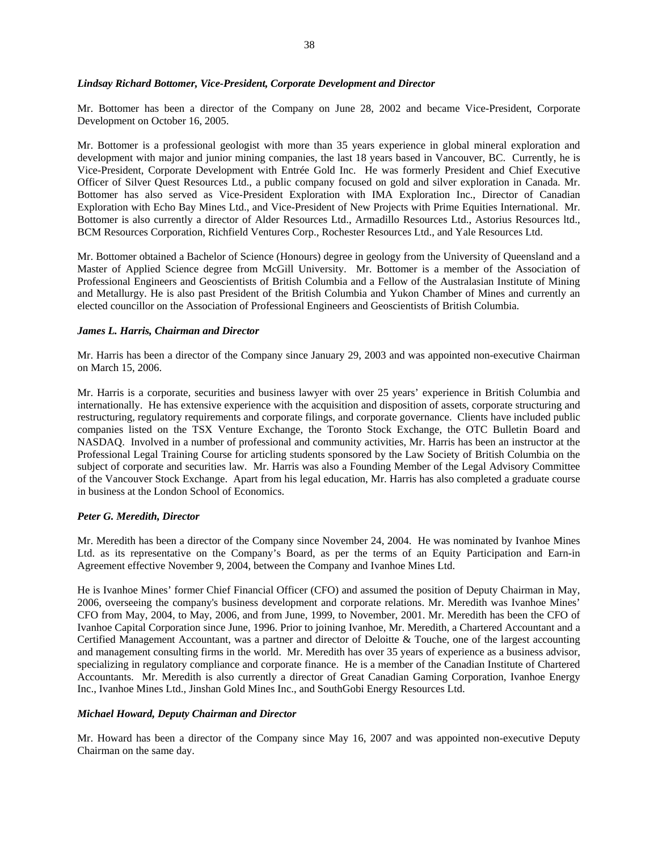#### *Lindsay Richard Bottomer, Vice-President, Corporate Development and Director*

Mr. Bottomer has been a director of the Company on June 28, 2002 and became Vice-President, Corporate Development on October 16, 2005.

Mr. Bottomer is a professional geologist with more than 35 years experience in global mineral exploration and development with major and junior mining companies, the last 18 years based in Vancouver, BC. Currently, he is Vice-President, Corporate Development with Entrée Gold Inc. He was formerly President and Chief Executive Officer of Silver Quest Resources Ltd., a public company focused on gold and silver exploration in Canada. Mr. Bottomer has also served as Vice-President Exploration with IMA Exploration Inc., Director of Canadian Exploration with Echo Bay Mines Ltd., and Vice-President of New Projects with Prime Equities International. Mr. Bottomer is also currently a director of Alder Resources Ltd., Armadillo Resources Ltd., Astorius Resources ltd., BCM Resources Corporation, Richfield Ventures Corp., Rochester Resources Ltd., and Yale Resources Ltd.

Mr. Bottomer obtained a Bachelor of Science (Honours) degree in geology from the University of Queensland and a Master of Applied Science degree from McGill University. Mr. Bottomer is a member of the Association of Professional Engineers and Geoscientists of British Columbia and a Fellow of the Australasian Institute of Mining and Metallurgy. He is also past President of the British Columbia and Yukon Chamber of Mines and currently an elected councillor on the Association of Professional Engineers and Geoscientists of British Columbia.

#### *James L. Harris, Chairman and Director*

Mr. Harris has been a director of the Company since January 29, 2003 and was appointed non-executive Chairman on March 15, 2006.

Mr. Harris is a corporate, securities and business lawyer with over 25 years' experience in British Columbia and internationally. He has extensive experience with the acquisition and disposition of assets, corporate structuring and restructuring, regulatory requirements and corporate filings, and corporate governance. Clients have included public companies listed on the TSX Venture Exchange, the Toronto Stock Exchange, the OTC Bulletin Board and NASDAQ. Involved in a number of professional and community activities, Mr. Harris has been an instructor at the Professional Legal Training Course for articling students sponsored by the Law Society of British Columbia on the subject of corporate and securities law. Mr. Harris was also a Founding Member of the Legal Advisory Committee of the Vancouver Stock Exchange. Apart from his legal education, Mr. Harris has also completed a graduate course in business at the London School of Economics.

#### *Peter G. Meredith, Director*

Mr. Meredith has been a director of the Company since November 24, 2004. He was nominated by Ivanhoe Mines Ltd. as its representative on the Company's Board, as per the terms of an Equity Participation and Earn-in Agreement effective November 9, 2004, between the Company and Ivanhoe Mines Ltd.

He is Ivanhoe Mines' former Chief Financial Officer (CFO) and assumed the position of Deputy Chairman in May, 2006, overseeing the company's business development and corporate relations. Mr. Meredith was Ivanhoe Mines' CFO from May, 2004, to May, 2006, and from June, 1999, to November, 2001. Mr. Meredith has been the CFO of Ivanhoe Capital Corporation since June, 1996. Prior to joining Ivanhoe, Mr. Meredith, a Chartered Accountant and a Certified Management Accountant, was a partner and director of Deloitte & Touche, one of the largest accounting and management consulting firms in the world. Mr. Meredith has over 35 years of experience as a business advisor, specializing in regulatory compliance and corporate finance. He is a member of the Canadian Institute of Chartered Accountants. Mr. Meredith is also currently a director of Great Canadian Gaming Corporation, Ivanhoe Energy Inc., Ivanhoe Mines Ltd., Jinshan Gold Mines Inc., and SouthGobi Energy Resources Ltd.

#### *Michael Howard, Deputy Chairman and Director*

Mr. Howard has been a director of the Company since May 16, 2007 and was appointed non-executive Deputy Chairman on the same day.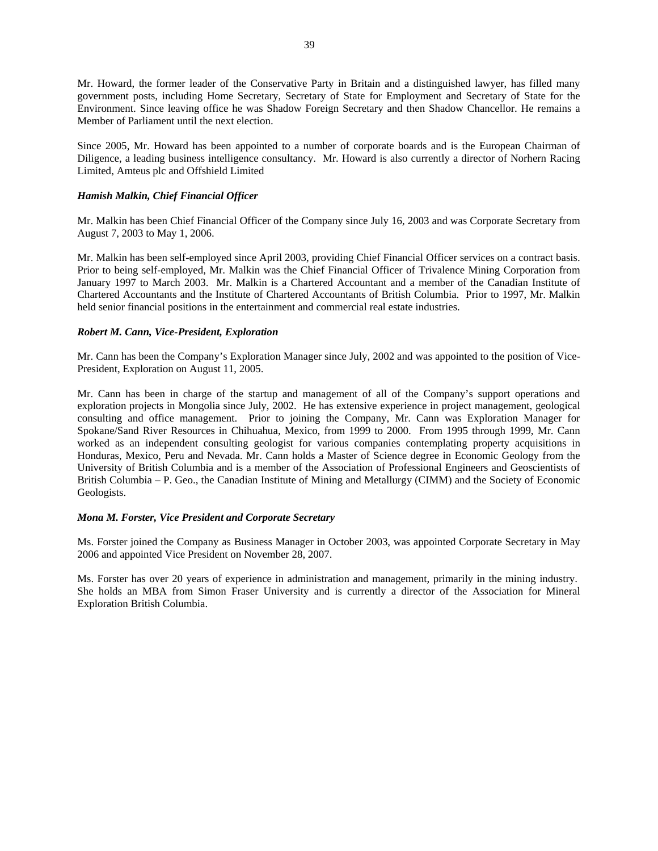Mr. Howard, the former leader of the Conservative Party in Britain and a distinguished lawyer, has filled many government posts, including Home Secretary, Secretary of State for Employment and Secretary of State for the Environment. Since leaving office he was Shadow Foreign Secretary and then Shadow Chancellor. He remains a Member of Parliament until the next election.

Since 2005, Mr. Howard has been appointed to a number of corporate boards and is the European Chairman of Diligence, a leading business intelligence consultancy. Mr. Howard is also currently a director of Norhern Racing Limited, Amteus plc and Offshield Limited

## *Hamish Malkin, Chief Financial Officer*

Mr. Malkin has been Chief Financial Officer of the Company since July 16, 2003 and was Corporate Secretary from August 7, 2003 to May 1, 2006.

Mr. Malkin has been self-employed since April 2003, providing Chief Financial Officer services on a contract basis. Prior to being self-employed, Mr. Malkin was the Chief Financial Officer of Trivalence Mining Corporation from January 1997 to March 2003. Mr. Malkin is a Chartered Accountant and a member of the Canadian Institute of Chartered Accountants and the Institute of Chartered Accountants of British Columbia. Prior to 1997, Mr. Malkin held senior financial positions in the entertainment and commercial real estate industries.

## *Robert M. Cann, Vice-President, Exploration*

Mr. Cann has been the Company's Exploration Manager since July, 2002 and was appointed to the position of Vice-President, Exploration on August 11, 2005.

Mr. Cann has been in charge of the startup and management of all of the Company's support operations and exploration projects in Mongolia since July, 2002. He has extensive experience in project management, geological consulting and office management. Prior to joining the Company, Mr. Cann was Exploration Manager for Spokane/Sand River Resources in Chihuahua, Mexico, from 1999 to 2000. From 1995 through 1999, Mr. Cann worked as an independent consulting geologist for various companies contemplating property acquisitions in Honduras, Mexico, Peru and Nevada. Mr. Cann holds a Master of Science degree in Economic Geology from the University of British Columbia and is a member of the Association of Professional Engineers and Geoscientists of British Columbia – P. Geo., the Canadian Institute of Mining and Metallurgy (CIMM) and the Society of Economic Geologists.

### *Mona M. Forster, Vice President and Corporate Secretary*

Ms. Forster joined the Company as Business Manager in October 2003, was appointed Corporate Secretary in May 2006 and appointed Vice President on November 28, 2007.

Ms. Forster has over 20 years of experience in administration and management, primarily in the mining industry. She holds an MBA from Simon Fraser University and is currently a director of the Association for Mineral Exploration British Columbia.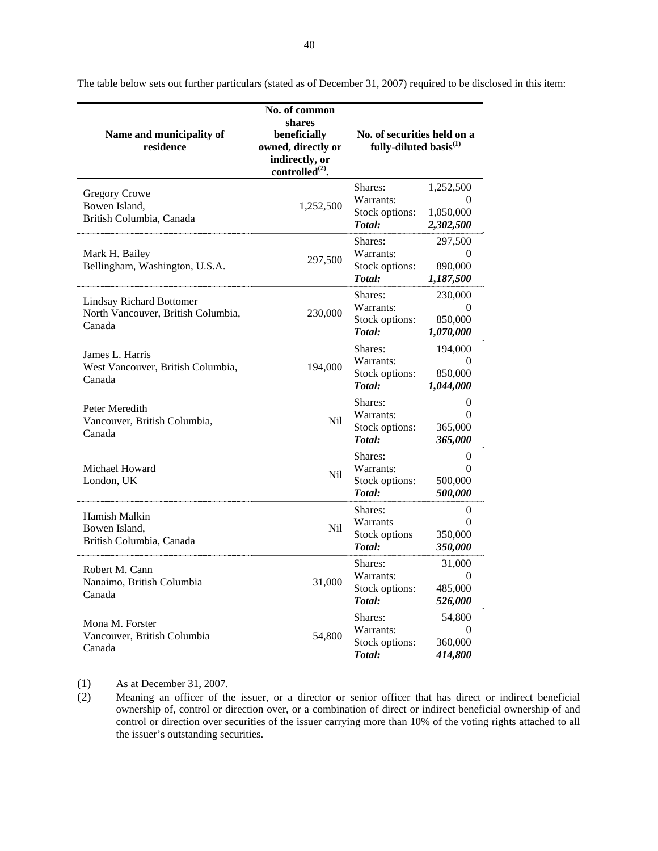| Name and municipality of<br>residence                                           | No. of common<br>shares<br>beneficially<br>owned, directly or<br>indirectly, or<br>controlled $^{(2)}$ . | No. of securities held on a<br>fully-diluted basis <sup>(1)</sup> |                                                  |
|---------------------------------------------------------------------------------|----------------------------------------------------------------------------------------------------------|-------------------------------------------------------------------|--------------------------------------------------|
| <b>Gregory Crowe</b><br>Bowen Island,<br>British Columbia, Canada               | 1,252,500                                                                                                | Shares:<br>Warrants:<br>Stock options:<br>Total:                  | 1,252,500<br>0<br>1,050,000<br>2,302,500         |
| Mark H. Bailey<br>Bellingham, Washington, U.S.A.                                | 297,500                                                                                                  | Shares:<br>Warrants:<br>Stock options:<br>Total:                  | 297,500<br>0<br>890,000<br>1,187,500             |
| <b>Lindsay Richard Bottomer</b><br>North Vancouver, British Columbia,<br>Canada | 230,000                                                                                                  | Shares:<br>Warrants:<br>Stock options:<br>Total:                  | 230,000<br>0<br>850,000<br>1,070,000             |
| James L. Harris<br>West Vancouver, British Columbia,<br>Canada                  | 194,000                                                                                                  | Shares:<br>Warrants:<br>Stock options:<br>Total:                  | 194,000<br>$\Omega$<br>850,000<br>1,044,000      |
| Peter Meredith<br>Vancouver, British Columbia,<br>Canada                        | Nil                                                                                                      | Shares:<br>Warrants:<br>Stock options:<br>Total:                  | $\theta$<br>$\Omega$<br>365,000<br>365,000       |
| Michael Howard<br>London, UK                                                    | Nil                                                                                                      | Shares:<br>Warrants:<br>Stock options:<br>Total:                  | $\overline{0}$<br>$\theta$<br>500,000<br>500,000 |
| Hamish Malkin<br>Bowen Island,<br>British Columbia, Canada                      | Nil                                                                                                      | Shares:<br>Warrants<br>Stock options<br>Total:                    | $\theta$<br>$\Omega$<br>350,000<br>350,000       |
| Robert M. Cann<br>Nanaimo, British Columbia<br>Canada                           | 31,000                                                                                                   | Shares:<br>Warrants:<br>Stock options:<br>Total:                  | 31,000<br>$\Omega$<br>485,000<br>526,000         |
| Mona M. Forster<br>Vancouver, British Columbia<br>Canada                        | 54,800                                                                                                   | Shares:<br>Warrants:<br>Stock options:<br>Total:                  | 54,800<br>$\Omega$<br>360,000<br>414,800         |

The table below sets out further particulars (stated as of December 31, 2007) required to be disclosed in this item:

(1) As at December 31, 2007.

(2) Meaning an officer of the issuer, or a director or senior officer that has direct or indirect beneficial ownership of, control or direction over, or a combination of direct or indirect beneficial ownership of and control or direction over securities of the issuer carrying more than 10% of the voting rights attached to all the issuer's outstanding securities.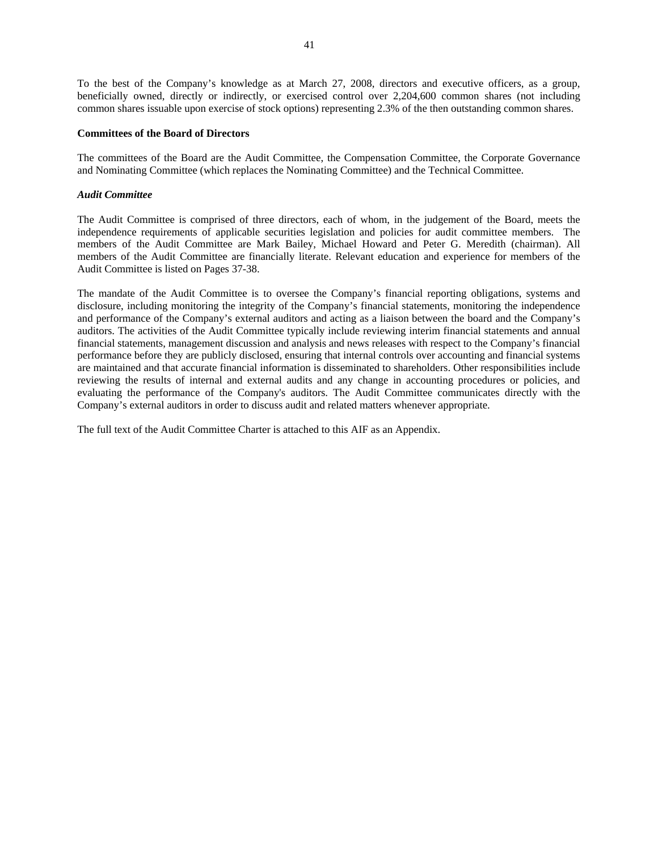To the best of the Company's knowledge as at March 27, 2008, directors and executive officers, as a group, beneficially owned, directly or indirectly, or exercised control over 2,204,600 common shares (not including common shares issuable upon exercise of stock options) representing 2.3% of the then outstanding common shares.

#### **Committees of the Board of Directors**

The committees of the Board are the Audit Committee, the Compensation Committee, the Corporate Governance and Nominating Committee (which replaces the Nominating Committee) and the Technical Committee.

#### *Audit Committee*

The Audit Committee is comprised of three directors, each of whom, in the judgement of the Board, meets the independence requirements of applicable securities legislation and policies for audit committee members. The members of the Audit Committee are Mark Bailey, Michael Howard and Peter G. Meredith (chairman). All members of the Audit Committee are financially literate. Relevant education and experience for members of the Audit Committee is listed on Pages 37-38.

The mandate of the Audit Committee is to oversee the Company's financial reporting obligations, systems and disclosure, including monitoring the integrity of the Company's financial statements, monitoring the independence and performance of the Company's external auditors and acting as a liaison between the board and the Company's auditors. The activities of the Audit Committee typically include reviewing interim financial statements and annual financial statements, management discussion and analysis and news releases with respect to the Company's financial performance before they are publicly disclosed, ensuring that internal controls over accounting and financial systems are maintained and that accurate financial information is disseminated to shareholders. Other responsibilities include reviewing the results of internal and external audits and any change in accounting procedures or policies, and evaluating the performance of the Company's auditors. The Audit Committee communicates directly with the Company's external auditors in order to discuss audit and related matters whenever appropriate.

The full text of the Audit Committee Charter is attached to this AIF as an Appendix.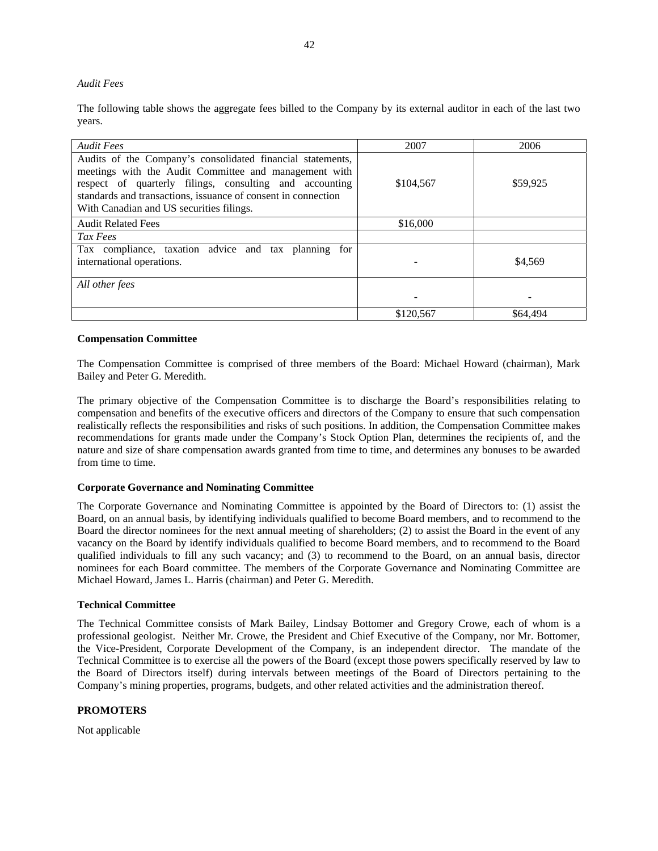#### <span id="page-42-0"></span>*Audit Fees*

The following table shows the aggregate fees billed to the Company by its external auditor in each of the last two years.

| <b>Audit Fees</b>                                                                                                                                                                                                                                                                           | 2007      | 2006     |
|---------------------------------------------------------------------------------------------------------------------------------------------------------------------------------------------------------------------------------------------------------------------------------------------|-----------|----------|
| Audits of the Company's consolidated financial statements,<br>meetings with the Audit Committee and management with<br>respect of quarterly filings, consulting and accounting<br>standards and transactions, issuance of consent in connection<br>With Canadian and US securities filings. | \$104,567 | \$59,925 |
| <b>Audit Related Fees</b>                                                                                                                                                                                                                                                                   | \$16,000  |          |
| Tax Fees                                                                                                                                                                                                                                                                                    |           |          |
| Tax compliance, taxation advice and tax planning for<br>international operations.                                                                                                                                                                                                           |           | \$4,569  |
| All other fees                                                                                                                                                                                                                                                                              |           |          |
|                                                                                                                                                                                                                                                                                             | \$120,567 | \$64,494 |

#### **Compensation Committee**

The Compensation Committee is comprised of three members of the Board: Michael Howard (chairman), Mark Bailey and Peter G. Meredith.

The primary objective of the Compensation Committee is to discharge the Board's responsibilities relating to compensation and benefits of the executive officers and directors of the Company to ensure that such compensation realistically reflects the responsibilities and risks of such positions. In addition, the Compensation Committee makes recommendations for grants made under the Company's Stock Option Plan, determines the recipients of, and the nature and size of share compensation awards granted from time to time, and determines any bonuses to be awarded from time to time.

#### **Corporate Governance and Nominating Committee**

The Corporate Governance and Nominating Committee is appointed by the Board of Directors to: (1) assist the Board, on an annual basis, by identifying individuals qualified to become Board members, and to recommend to the Board the director nominees for the next annual meeting of shareholders; (2) to assist the Board in the event of any vacancy on the Board by identify individuals qualified to become Board members, and to recommend to the Board qualified individuals to fill any such vacancy; and (3) to recommend to the Board, on an annual basis, director nominees for each Board committee. The members of the Corporate Governance and Nominating Committee are Michael Howard, James L. Harris (chairman) and Peter G. Meredith.

#### **Technical Committee**

The Technical Committee consists of Mark Bailey, Lindsay Bottomer and Gregory Crowe, each of whom is a professional geologist. Neither Mr. Crowe, the President and Chief Executive of the Company, nor Mr. Bottomer, the Vice-President, Corporate Development of the Company, is an independent director. The mandate of the Technical Committee is to exercise all the powers of the Board (except those powers specifically reserved by law to the Board of Directors itself) during intervals between meetings of the Board of Directors pertaining to the Company's mining properties, programs, budgets, and other related activities and the administration thereof.

#### **PROMOTERS**

Not applicable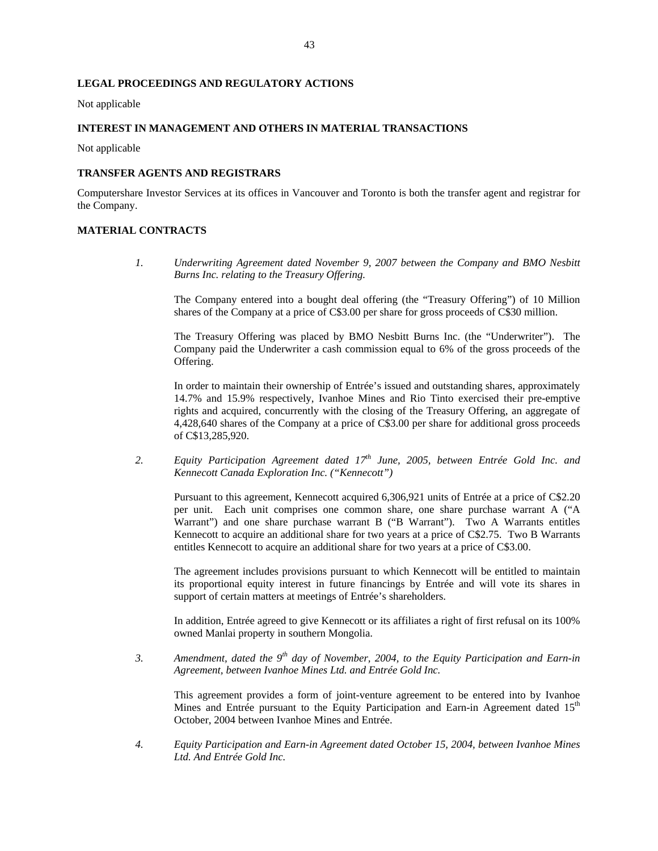### <span id="page-43-0"></span>**LEGAL PROCEEDINGS AND REGULATORY ACTIONS**

Not applicable

#### **INTEREST IN MANAGEMENT AND OTHERS IN MATERIAL TRANSACTIONS**

Not applicable

#### **TRANSFER AGENTS AND REGISTRARS**

Computershare Investor Services at its offices in Vancouver and Toronto is both the transfer agent and registrar for the Company.

#### **MATERIAL CONTRACTS**

*1. Underwriting Agreement dated November 9, 2007 between the Company and BMO Nesbitt Burns Inc. relating to the Treasury Offering.* 

The Company entered into a bought deal offering (the "Treasury Offering") of 10 Million shares of the Company at a price of C\$3.00 per share for gross proceeds of C\$30 million.

The Treasury Offering was placed by BMO Nesbitt Burns Inc. (the "Underwriter"). The Company paid the Underwriter a cash commission equal to 6% of the gross proceeds of the Offering.

In order to maintain their ownership of Entrée's issued and outstanding shares, approximately 14.7% and 15.9% respectively, Ivanhoe Mines and Rio Tinto exercised their pre-emptive rights and acquired, concurrently with the closing of the Treasury Offering, an aggregate of 4,428,640 shares of the Company at a price of C\$3.00 per share for additional gross proceeds of C\$13,285,920.

2. *Equity Participation Agreement dated 17<sup>th</sup> June, 2005, between Entrée Gold Inc. and Kennecott Canada Exploration Inc. ("Kennecott")* 

Pursuant to this agreement, Kennecott acquired 6,306,921 units of Entrée at a price of C\$2.20 per unit. Each unit comprises one common share, one share purchase warrant A ("A Warrant") and one share purchase warrant B ("B Warrant"). Two A Warrants entitles Kennecott to acquire an additional share for two years at a price of C\$2.75. Two B Warrants entitles Kennecott to acquire an additional share for two years at a price of C\$3.00.

The agreement includes provisions pursuant to which Kennecott will be entitled to maintain its proportional equity interest in future financings by Entrée and will vote its shares in support of certain matters at meetings of Entrée's shareholders.

In addition, Entrée agreed to give Kennecott or its affiliates a right of first refusal on its 100% owned Manlai property in southern Mongolia.

*3. Amendment, dated the 9th day of November, 2004, to the Equity Participation and Earn-in Agreement, between Ivanhoe Mines Ltd. and Entrée Gold Inc.* 

This agreement provides a form of joint-venture agreement to be entered into by Ivanhoe Mines and Entrée pursuant to the Equity Participation and Earn-in Agreement dated 15<sup>th</sup> October, 2004 between Ivanhoe Mines and Entrée.

*4. Equity Participation and Earn-in Agreement dated October 15, 2004, between Ivanhoe Mines Ltd. And Entrée Gold Inc.*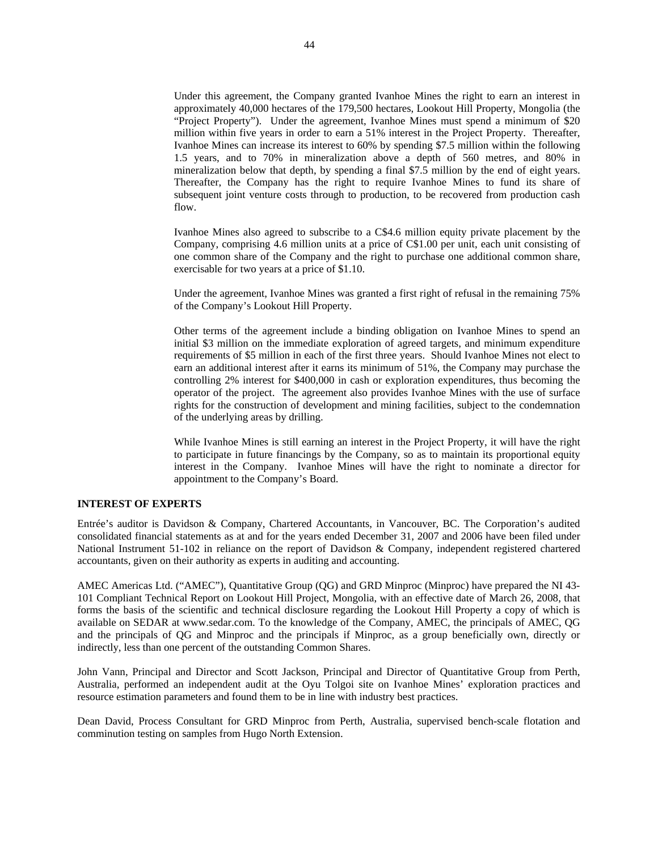<span id="page-44-0"></span>Under this agreement, the Company granted Ivanhoe Mines the right to earn an interest in approximately 40,000 hectares of the 179,500 hectares, Lookout Hill Property, Mongolia (the "Project Property"). Under the agreement, Ivanhoe Mines must spend a minimum of \$20 million within five years in order to earn a 51% interest in the Project Property. Thereafter, Ivanhoe Mines can increase its interest to 60% by spending \$7.5 million within the following 1.5 years, and to 70% in mineralization above a depth of 560 metres, and 80% in mineralization below that depth, by spending a final \$7.5 million by the end of eight years. Thereafter, the Company has the right to require Ivanhoe Mines to fund its share of subsequent joint venture costs through to production, to be recovered from production cash flow.

Ivanhoe Mines also agreed to subscribe to a C\$4.6 million equity private placement by the Company, comprising 4.6 million units at a price of C\$1.00 per unit, each unit consisting of one common share of the Company and the right to purchase one additional common share, exercisable for two years at a price of \$1.10.

Under the agreement, Ivanhoe Mines was granted a first right of refusal in the remaining 75% of the Company's Lookout Hill Property.

Other terms of the agreement include a binding obligation on Ivanhoe Mines to spend an initial \$3 million on the immediate exploration of agreed targets, and minimum expenditure requirements of \$5 million in each of the first three years. Should Ivanhoe Mines not elect to earn an additional interest after it earns its minimum of 51%, the Company may purchase the controlling 2% interest for \$400,000 in cash or exploration expenditures, thus becoming the operator of the project. The agreement also provides Ivanhoe Mines with the use of surface rights for the construction of development and mining facilities, subject to the condemnation of the underlying areas by drilling.

While Ivanhoe Mines is still earning an interest in the Project Property, it will have the right to participate in future financings by the Company, so as to maintain its proportional equity interest in the Company. Ivanhoe Mines will have the right to nominate a director for appointment to the Company's Board.

#### **INTEREST OF EXPERTS**

Entrée's auditor is Davidson & Company, Chartered Accountants, in Vancouver, BC. The Corporation's audited consolidated financial statements as at and for the years ended December 31, 2007 and 2006 have been filed under National Instrument 51-102 in reliance on the report of Davidson & Company, independent registered chartered accountants, given on their authority as experts in auditing and accounting.

AMEC Americas Ltd. ("AMEC"), Quantitative Group (QG) and GRD Minproc (Minproc) have prepared the NI 43- 101 Compliant Technical Report on Lookout Hill Project, Mongolia, with an effective date of March 26, 2008, that forms the basis of the scientific and technical disclosure regarding the Lookout Hill Property a copy of which is available on SEDAR at www.sedar.com. To the knowledge of the Company, AMEC, the principals of AMEC, QG and the principals of QG and Minproc and the principals if Minproc, as a group beneficially own, directly or indirectly, less than one percent of the outstanding Common Shares.

John Vann, Principal and Director and Scott Jackson, Principal and Director of Quantitative Group from Perth, Australia, performed an independent audit at the Oyu Tolgoi site on Ivanhoe Mines' exploration practices and resource estimation parameters and found them to be in line with industry best practices.

Dean David, Process Consultant for GRD Minproc from Perth, Australia, supervised bench-scale flotation and comminution testing on samples from Hugo North Extension.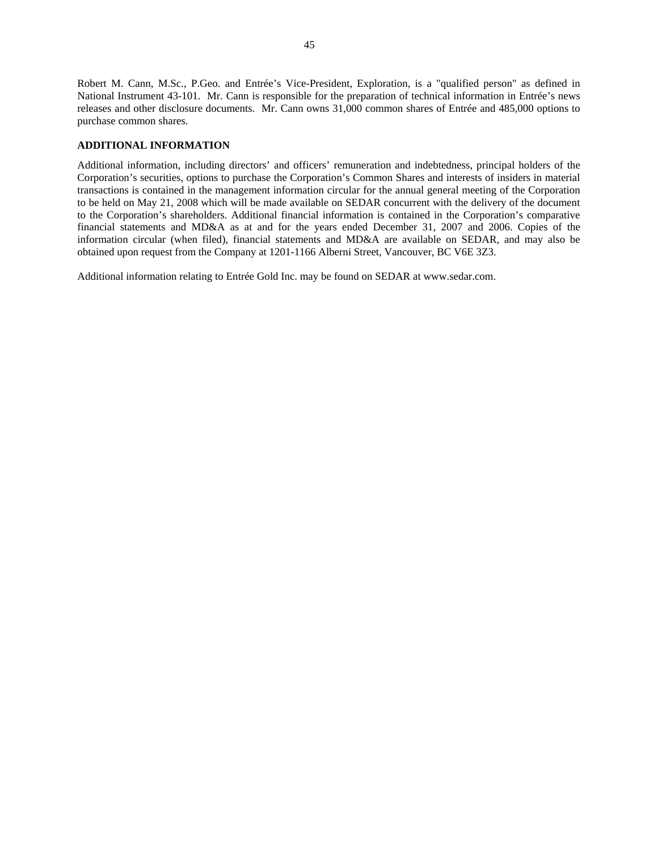<span id="page-45-0"></span>Robert M. Cann, M.Sc., P.Geo. and Entrée's Vice-President, Exploration, is a "qualified person" as defined in National Instrument 43-101. Mr. Cann is responsible for the preparation of technical information in Entrée's news releases and other disclosure documents. Mr. Cann owns 31,000 common shares of Entrée and 485,000 options to purchase common shares.

#### **ADDITIONAL INFORMATION**

Additional information, including directors' and officers' remuneration and indebtedness, principal holders of the Corporation's securities, options to purchase the Corporation's Common Shares and interests of insiders in material transactions is contained in the management information circular for the annual general meeting of the Corporation to be held on May 21, 2008 which will be made available on SEDAR concurrent with the delivery of the document to the Corporation's shareholders. Additional financial information is contained in the Corporation's comparative financial statements and MD&A as at and for the years ended December 31, 2007 and 2006. Copies of the information circular (when filed), financial statements and MD&A are available on SEDAR, and may also be obtained upon request from the Company at 1201-1166 Alberni Street, Vancouver, BC V6E 3Z3.

Additional information relating to Entrée Gold Inc. may be found on SEDAR at www.sedar.com.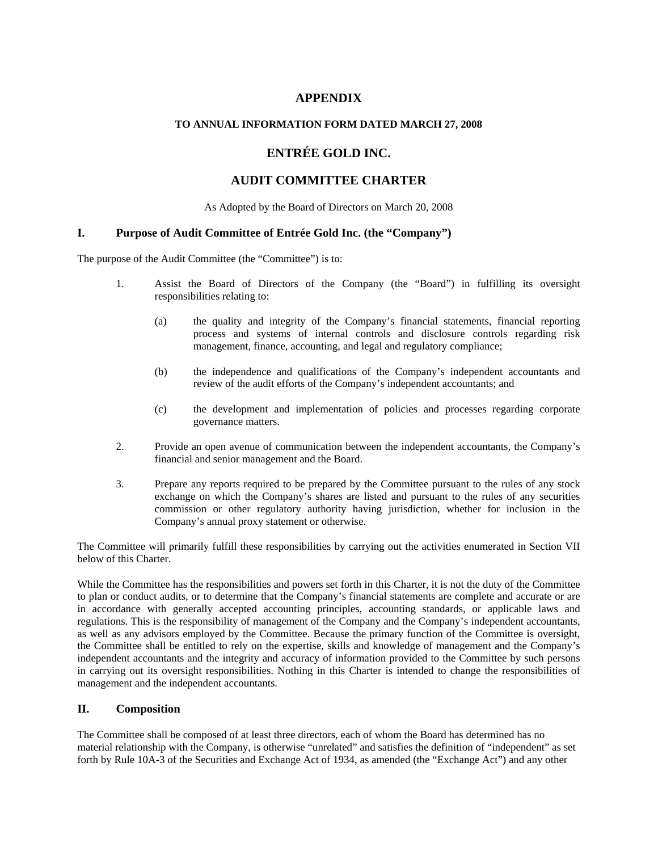# **APPENDIX**

## **TO ANNUAL INFORMATION FORM DATED MARCH 27, 2008**

# **ENTRÉE GOLD INC.**

# **AUDIT COMMITTEE CHARTER**

As Adopted by the Board of Directors on March 20, 2008

## **I. Purpose of Audit Committee of Entrée Gold Inc. (the "Company")**

The purpose of the Audit Committee (the "Committee") is to:

- 1. Assist the Board of Directors of the Company (the "Board") in fulfilling its oversight responsibilities relating to:
	- (a) the quality and integrity of the Company's financial statements, financial reporting process and systems of internal controls and disclosure controls regarding risk management, finance, accounting, and legal and regulatory compliance;
	- (b) the independence and qualifications of the Company's independent accountants and review of the audit efforts of the Company's independent accountants; and
	- (c) the development and implementation of policies and processes regarding corporate governance matters.
- 2. Provide an open avenue of communication between the independent accountants, the Company's financial and senior management and the Board.
- 3. Prepare any reports required to be prepared by the Committee pursuant to the rules of any stock exchange on which the Company's shares are listed and pursuant to the rules of any securities commission or other regulatory authority having jurisdiction, whether for inclusion in the Company's annual proxy statement or otherwise.

The Committee will primarily fulfill these responsibilities by carrying out the activities enumerated in Section VII below of this Charter.

While the Committee has the responsibilities and powers set forth in this Charter, it is not the duty of the Committee to plan or conduct audits, or to determine that the Company's financial statements are complete and accurate or are in accordance with generally accepted accounting principles, accounting standards, or applicable laws and regulations. This is the responsibility of management of the Company and the Company's independent accountants, as well as any advisors employed by the Committee. Because the primary function of the Committee is oversight, the Committee shall be entitled to rely on the expertise, skills and knowledge of management and the Company's independent accountants and the integrity and accuracy of information provided to the Committee by such persons in carrying out its oversight responsibilities. Nothing in this Charter is intended to change the responsibilities of management and the independent accountants.

## **II. Composition**

The Committee shall be composed of at least three directors, each of whom the Board has determined has no material relationship with the Company, is otherwise "unrelated" and satisfies the definition of "independent" as set forth by Rule 10A-3 of the Securities and Exchange Act of 1934, as amended (the "Exchange Act") and any other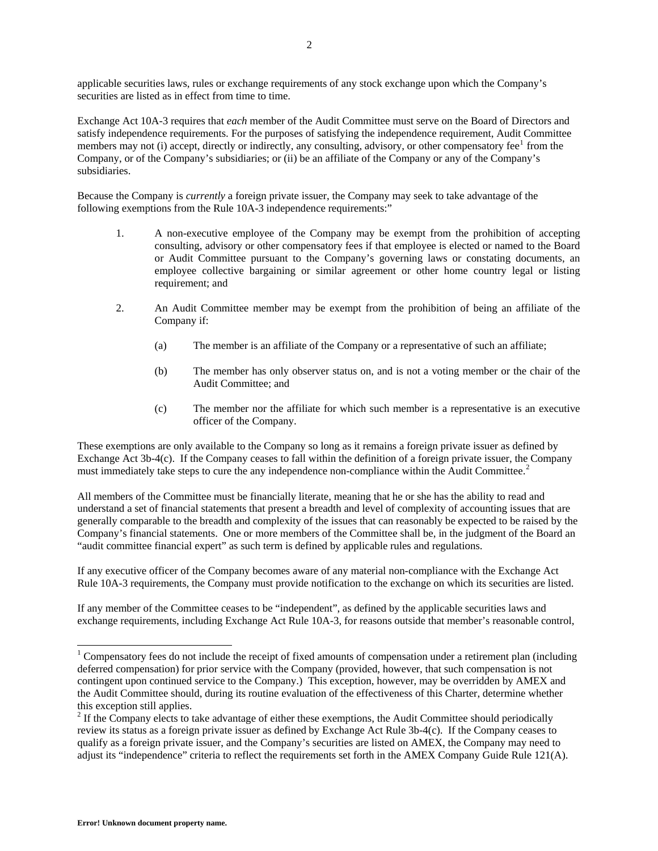<span id="page-47-0"></span>applicable securities laws, rules or exchange requirements of any stock exchange upon which the Company's securities are listed as in effect from time to time.

Exchange Act 10A-3 requires that *each* member of the Audit Committee must serve on the Board of Directors and satisfy independence requirements. For the purposes of satisfying the independence requirement, Audit Committee members may not (i) accept, directly or indirectly, any consulting, advisory, or other compensatory fee<sup>[1](#page-47-0)</sup> from the Company, or of the Company's subsidiaries; or (ii) be an affiliate of the Company or any of the Company's subsidiaries.

Because the Company is *currently* a foreign private issuer, the Company may seek to take advantage of the following exemptions from the Rule 10A-3 independence requirements:"

- 1. A non-executive employee of the Company may be exempt from the prohibition of accepting consulting, advisory or other compensatory fees if that employee is elected or named to the Board or Audit Committee pursuant to the Company's governing laws or constating documents, an employee collective bargaining or similar agreement or other home country legal or listing requirement; and
- 2. An Audit Committee member may be exempt from the prohibition of being an affiliate of the Company if:
	- (a) The member is an affiliate of the Company or a representative of such an affiliate;
	- (b) The member has only observer status on, and is not a voting member or the chair of the Audit Committee; and
	- (c) The member nor the affiliate for which such member is a representative is an executive officer of the Company.

These exemptions are only available to the Company so long as it remains a foreign private issuer as defined by Exchange Act 3b-4(c). If the Company ceases to fall within the definition of a foreign private issuer, the Company must immediately take steps to cure the any independence non-compliance within the Audit Committee.<sup>[2](#page-47-0)</sup>

All members of the Committee must be financially literate, meaning that he or she has the ability to read and understand a set of financial statements that present a breadth and level of complexity of accounting issues that are generally comparable to the breadth and complexity of the issues that can reasonably be expected to be raised by the Company's financial statements. One or more members of the Committee shall be, in the judgment of the Board an "audit committee financial expert" as such term is defined by applicable rules and regulations.

If any executive officer of the Company becomes aware of any material non-compliance with the Exchange Act Rule 10A-3 requirements, the Company must provide notification to the exchange on which its securities are listed.

If any member of the Committee ceases to be "independent", as defined by the applicable securities laws and exchange requirements, including Exchange Act Rule 10A-3, for reasons outside that member's reasonable control,

-

<sup>&</sup>lt;sup>1</sup> Compensatory fees do not include the receipt of fixed amounts of compensation under a retirement plan (including deferred compensation) for prior service with the Company (provided, however, that such compensation is not contingent upon continued service to the Company.) This exception, however, may be overridden by AMEX and the Audit Committee should, during its routine evaluation of the effectiveness of this Charter, determine whether this exception still applies.

 $2<sup>2</sup>$  If the Company elects to take advantage of either these exemptions, the Audit Committee should periodically review its status as a foreign private issuer as defined by Exchange Act Rule 3b-4(c). If the Company ceases to qualify as a foreign private issuer, and the Company's securities are listed on AMEX, the Company may need to adjust its "independence" criteria to reflect the requirements set forth in the AMEX Company Guide Rule 121(A).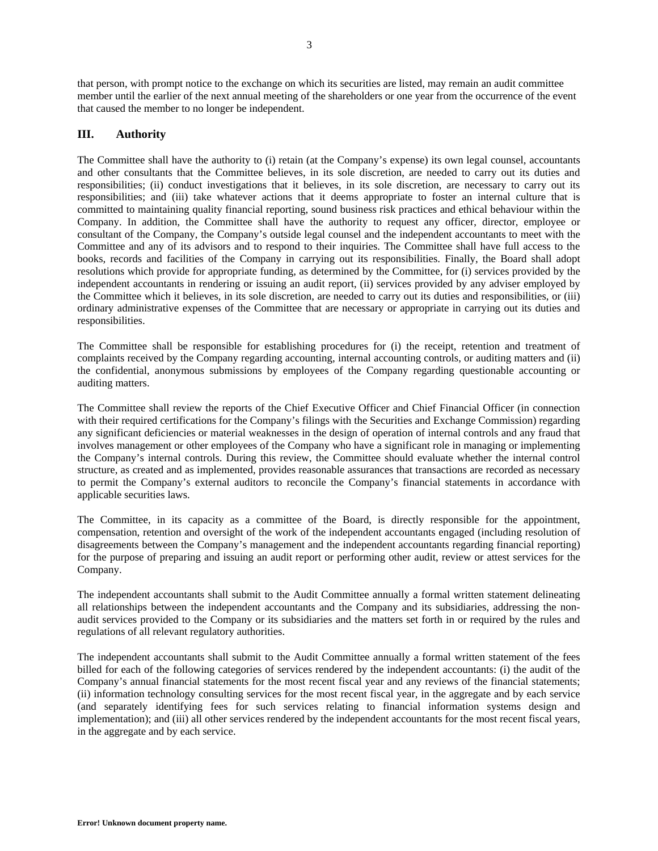that person, with prompt notice to the exchange on which its securities are listed, may remain an audit committee member until the earlier of the next annual meeting of the shareholders or one year from the occurrence of the event that caused the member to no longer be independent.

### **III. Authority**

The Committee shall have the authority to (i) retain (at the Company's expense) its own legal counsel, accountants and other consultants that the Committee believes, in its sole discretion, are needed to carry out its duties and responsibilities; (ii) conduct investigations that it believes, in its sole discretion, are necessary to carry out its responsibilities; and (iii) take whatever actions that it deems appropriate to foster an internal culture that is committed to maintaining quality financial reporting, sound business risk practices and ethical behaviour within the Company. In addition, the Committee shall have the authority to request any officer, director, employee or consultant of the Company, the Company's outside legal counsel and the independent accountants to meet with the Committee and any of its advisors and to respond to their inquiries. The Committee shall have full access to the books, records and facilities of the Company in carrying out its responsibilities. Finally, the Board shall adopt resolutions which provide for appropriate funding, as determined by the Committee, for (i) services provided by the independent accountants in rendering or issuing an audit report, (ii) services provided by any adviser employed by the Committee which it believes, in its sole discretion, are needed to carry out its duties and responsibilities, or (iii) ordinary administrative expenses of the Committee that are necessary or appropriate in carrying out its duties and responsibilities.

The Committee shall be responsible for establishing procedures for (i) the receipt, retention and treatment of complaints received by the Company regarding accounting, internal accounting controls, or auditing matters and (ii) the confidential, anonymous submissions by employees of the Company regarding questionable accounting or auditing matters.

The Committee shall review the reports of the Chief Executive Officer and Chief Financial Officer (in connection with their required certifications for the Company's filings with the Securities and Exchange Commission) regarding any significant deficiencies or material weaknesses in the design of operation of internal controls and any fraud that involves management or other employees of the Company who have a significant role in managing or implementing the Company's internal controls. During this review, the Committee should evaluate whether the internal control structure, as created and as implemented, provides reasonable assurances that transactions are recorded as necessary to permit the Company's external auditors to reconcile the Company's financial statements in accordance with applicable securities laws.

The Committee, in its capacity as a committee of the Board, is directly responsible for the appointment, compensation, retention and oversight of the work of the independent accountants engaged (including resolution of disagreements between the Company's management and the independent accountants regarding financial reporting) for the purpose of preparing and issuing an audit report or performing other audit, review or attest services for the Company.

The independent accountants shall submit to the Audit Committee annually a formal written statement delineating all relationships between the independent accountants and the Company and its subsidiaries, addressing the nonaudit services provided to the Company or its subsidiaries and the matters set forth in or required by the rules and regulations of all relevant regulatory authorities.

The independent accountants shall submit to the Audit Committee annually a formal written statement of the fees billed for each of the following categories of services rendered by the independent accountants: (i) the audit of the Company's annual financial statements for the most recent fiscal year and any reviews of the financial statements; (ii) information technology consulting services for the most recent fiscal year, in the aggregate and by each service (and separately identifying fees for such services relating to financial information systems design and implementation); and (iii) all other services rendered by the independent accountants for the most recent fiscal years, in the aggregate and by each service.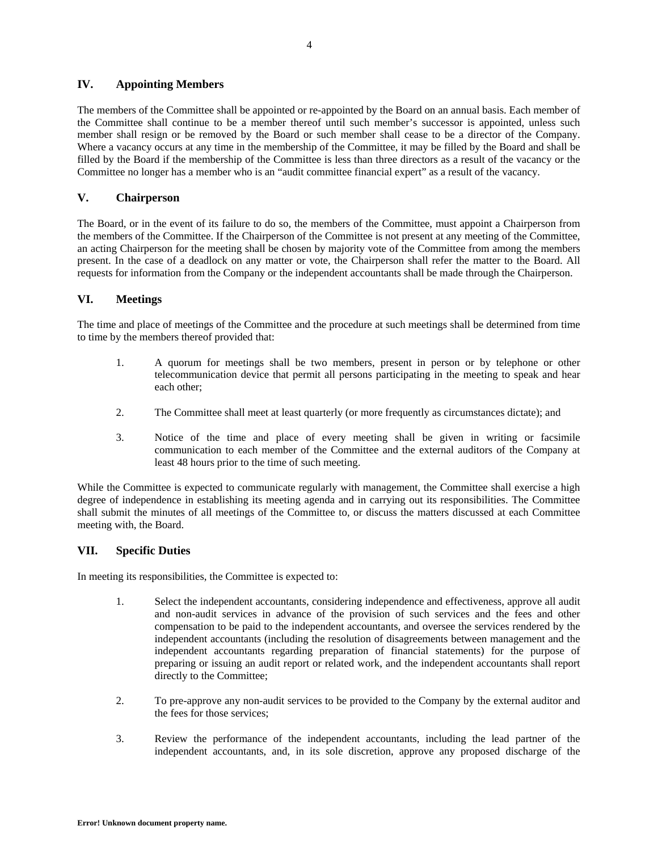## **IV. Appointing Members**

The members of the Committee shall be appointed or re-appointed by the Board on an annual basis. Each member of the Committee shall continue to be a member thereof until such member's successor is appointed, unless such member shall resign or be removed by the Board or such member shall cease to be a director of the Company. Where a vacancy occurs at any time in the membership of the Committee, it may be filled by the Board and shall be filled by the Board if the membership of the Committee is less than three directors as a result of the vacancy or the Committee no longer has a member who is an "audit committee financial expert" as a result of the vacancy.

## **V. Chairperson**

The Board, or in the event of its failure to do so, the members of the Committee, must appoint a Chairperson from the members of the Committee. If the Chairperson of the Committee is not present at any meeting of the Committee, an acting Chairperson for the meeting shall be chosen by majority vote of the Committee from among the members present. In the case of a deadlock on any matter or vote, the Chairperson shall refer the matter to the Board. All requests for information from the Company or the independent accountants shall be made through the Chairperson.

## **VI. Meetings**

The time and place of meetings of the Committee and the procedure at such meetings shall be determined from time to time by the members thereof provided that:

- 1. A quorum for meetings shall be two members, present in person or by telephone or other telecommunication device that permit all persons participating in the meeting to speak and hear each other;
- 2. The Committee shall meet at least quarterly (or more frequently as circumstances dictate); and
- 3. Notice of the time and place of every meeting shall be given in writing or facsimile communication to each member of the Committee and the external auditors of the Company at least 48 hours prior to the time of such meeting.

While the Committee is expected to communicate regularly with management, the Committee shall exercise a high degree of independence in establishing its meeting agenda and in carrying out its responsibilities. The Committee shall submit the minutes of all meetings of the Committee to, or discuss the matters discussed at each Committee meeting with, the Board.

## **VII. Specific Duties**

In meeting its responsibilities, the Committee is expected to:

- 1. Select the independent accountants, considering independence and effectiveness, approve all audit and non-audit services in advance of the provision of such services and the fees and other compensation to be paid to the independent accountants, and oversee the services rendered by the independent accountants (including the resolution of disagreements between management and the independent accountants regarding preparation of financial statements) for the purpose of preparing or issuing an audit report or related work, and the independent accountants shall report directly to the Committee;
- 2. To pre-approve any non-audit services to be provided to the Company by the external auditor and the fees for those services;
- 3. Review the performance of the independent accountants, including the lead partner of the independent accountants, and, in its sole discretion, approve any proposed discharge of the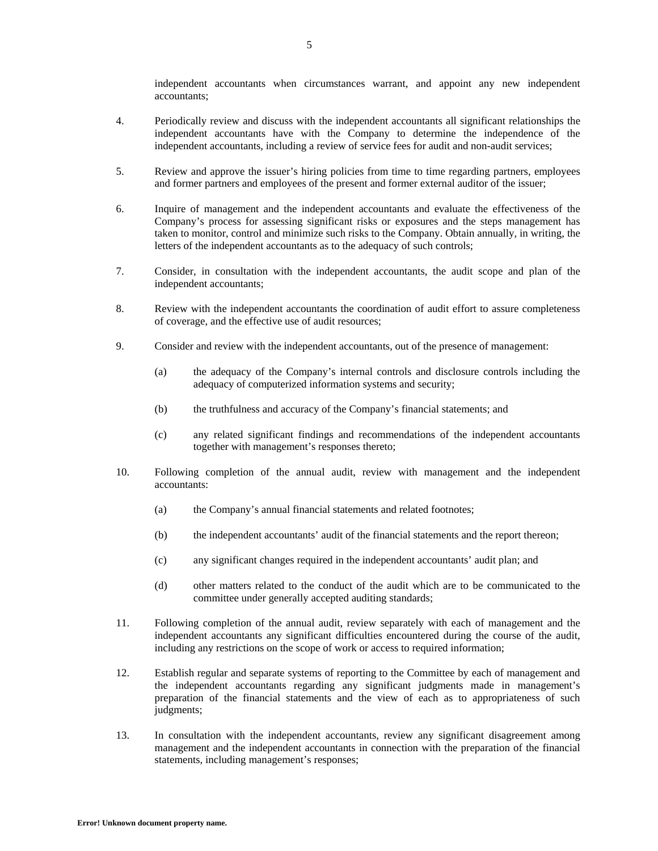independent accountants when circumstances warrant, and appoint any new independent accountants;

- 4. Periodically review and discuss with the independent accountants all significant relationships the independent accountants have with the Company to determine the independence of the independent accountants, including a review of service fees for audit and non-audit services;
- 5. Review and approve the issuer's hiring policies from time to time regarding partners, employees and former partners and employees of the present and former external auditor of the issuer;
- 6. Inquire of management and the independent accountants and evaluate the effectiveness of the Company's process for assessing significant risks or exposures and the steps management has taken to monitor, control and minimize such risks to the Company. Obtain annually, in writing, the letters of the independent accountants as to the adequacy of such controls;
- 7. Consider, in consultation with the independent accountants, the audit scope and plan of the independent accountants;
- 8. Review with the independent accountants the coordination of audit effort to assure completeness of coverage, and the effective use of audit resources;
- 9. Consider and review with the independent accountants, out of the presence of management:
	- (a) the adequacy of the Company's internal controls and disclosure controls including the adequacy of computerized information systems and security;
	- (b) the truthfulness and accuracy of the Company's financial statements; and
	- (c) any related significant findings and recommendations of the independent accountants together with management's responses thereto;
- 10. Following completion of the annual audit, review with management and the independent accountants:
	- (a) the Company's annual financial statements and related footnotes;
	- (b) the independent accountants' audit of the financial statements and the report thereon;
	- (c) any significant changes required in the independent accountants' audit plan; and
	- (d) other matters related to the conduct of the audit which are to be communicated to the committee under generally accepted auditing standards;
- 11. Following completion of the annual audit, review separately with each of management and the independent accountants any significant difficulties encountered during the course of the audit, including any restrictions on the scope of work or access to required information;
- 12. Establish regular and separate systems of reporting to the Committee by each of management and the independent accountants regarding any significant judgments made in management's preparation of the financial statements and the view of each as to appropriateness of such judgments;
- 13. In consultation with the independent accountants, review any significant disagreement among management and the independent accountants in connection with the preparation of the financial statements, including management's responses;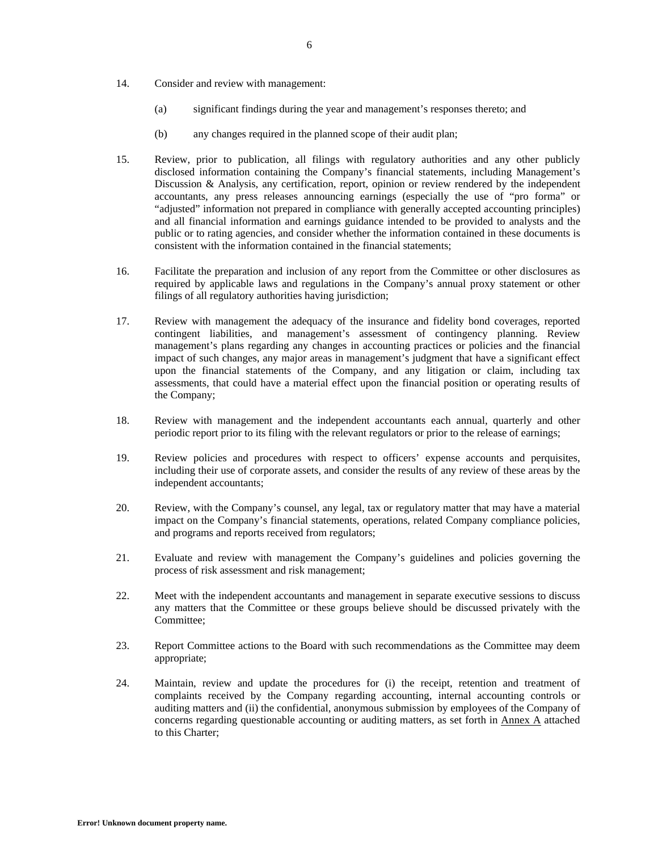- 14. Consider and review with management:
	- (a) significant findings during the year and management's responses thereto; and
	- (b) any changes required in the planned scope of their audit plan;
- 15. Review, prior to publication, all filings with regulatory authorities and any other publicly disclosed information containing the Company's financial statements, including Management's Discussion & Analysis, any certification, report, opinion or review rendered by the independent accountants, any press releases announcing earnings (especially the use of "pro forma" or "adjusted" information not prepared in compliance with generally accepted accounting principles) and all financial information and earnings guidance intended to be provided to analysts and the public or to rating agencies, and consider whether the information contained in these documents is consistent with the information contained in the financial statements;
- 16. Facilitate the preparation and inclusion of any report from the Committee or other disclosures as required by applicable laws and regulations in the Company's annual proxy statement or other filings of all regulatory authorities having jurisdiction;
- 17. Review with management the adequacy of the insurance and fidelity bond coverages, reported contingent liabilities, and management's assessment of contingency planning. Review management's plans regarding any changes in accounting practices or policies and the financial impact of such changes, any major areas in management's judgment that have a significant effect upon the financial statements of the Company, and any litigation or claim, including tax assessments, that could have a material effect upon the financial position or operating results of the Company;
- 18. Review with management and the independent accountants each annual, quarterly and other periodic report prior to its filing with the relevant regulators or prior to the release of earnings;
- 19. Review policies and procedures with respect to officers' expense accounts and perquisites, including their use of corporate assets, and consider the results of any review of these areas by the independent accountants;
- 20. Review, with the Company's counsel, any legal, tax or regulatory matter that may have a material impact on the Company's financial statements, operations, related Company compliance policies, and programs and reports received from regulators;
- 21. Evaluate and review with management the Company's guidelines and policies governing the process of risk assessment and risk management;
- 22. Meet with the independent accountants and management in separate executive sessions to discuss any matters that the Committee or these groups believe should be discussed privately with the Committee;
- 23. Report Committee actions to the Board with such recommendations as the Committee may deem appropriate;
- 24. Maintain, review and update the procedures for (i) the receipt, retention and treatment of complaints received by the Company regarding accounting, internal accounting controls or auditing matters and (ii) the confidential, anonymous submission by employees of the Company of concerns regarding questionable accounting or auditing matters, as set forth in Annex A attached to this Charter;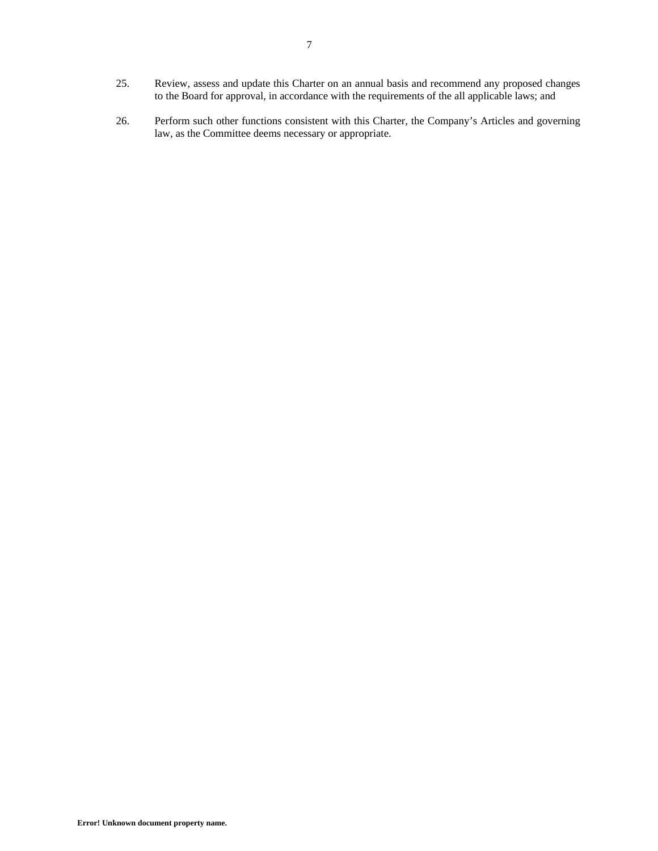- 25. Review, assess and update this Charter on an annual basis and recommend any proposed changes to the Board for approval, in accordance with the requirements of the all applicable laws; and
- 26. Perform such other functions consistent with this Charter, the Company's Articles and governing law, as the Committee deems necessary or appropriate.